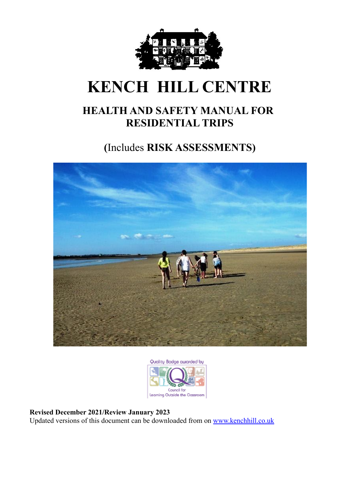

# **KENCH HILL CENTRE**

## **HEALTH AND SAFETY MANUAL FOR RESIDENTIAL TRIPS**

**(**Includes **RISK ASSESSMENTS)**





#### **Revised December 2021/Review January 2023**

Updated versions of this document can be downloaded from on [www.kenchhill.co.uk](http://www.kenchhill.co.uk)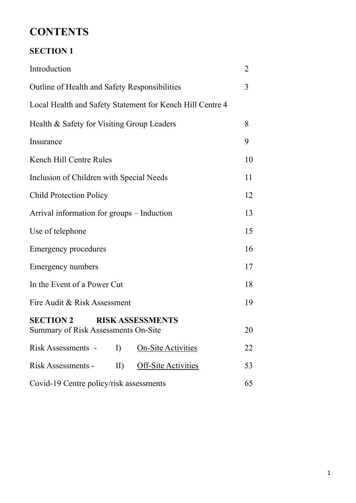## **CONTENTS**

### **SECTION 1**

| Introduction                                                                       | $\overline{2}$ |  |
|------------------------------------------------------------------------------------|----------------|--|
| Outline of Health and Safety Responsibilities                                      | 3              |  |
| Local Health and Safety Statement for Kench Hill Centre 4                          |                |  |
| Health & Safety for Visiting Group Leaders                                         | 8              |  |
| Insurance                                                                          | 9              |  |
| Kench Hill Centre Rules                                                            | 10             |  |
| Inclusion of Children with Special Needs                                           | 11             |  |
| <b>Child Protection Policy</b>                                                     | 12             |  |
| Arrival information for groups - Induction                                         | 13             |  |
| Use of telephone                                                                   | 15             |  |
| <b>Emergency procedures</b>                                                        | 16             |  |
| Emergency numbers                                                                  | 17             |  |
| In the Event of a Power Cut                                                        | 18             |  |
| Fire Audit & Risk Assessment                                                       | 19             |  |
| <b>SECTION 2</b><br><b>RISK ASSESSMENTS</b><br>Summary of Risk Assessments On-Site | 20             |  |
| Risk Assessments -<br>I)<br><b>On-Site Activities</b>                              | 22             |  |
| Risk Assessments -<br><b>Off-Site Activities</b><br>$\mathbf{II}$                  | 53             |  |
| Covid-19 Centre policy/risk assessments                                            |                |  |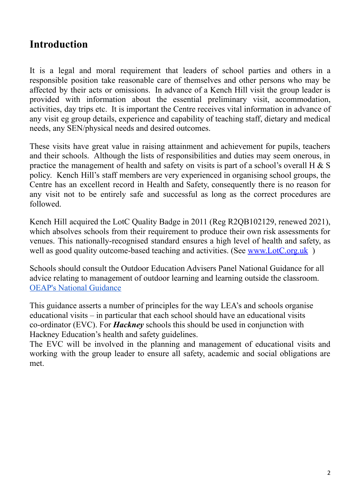## **Introduction**

It is a legal and moral requirement that leaders of school parties and others in a responsible position take reasonable care of themselves and other persons who may be affected by their acts or omissions. In advance of a Kench Hill visit the group leader is provided with information about the essential preliminary visit, accommodation, activities, day trips etc. It is important the Centre receives vital information in advance of any visit eg group details, experience and capability of teaching staff, dietary and medical needs, any SEN/physical needs and desired outcomes.

These visits have great value in raising attainment and achievement for pupils, teachers and their schools. Although the lists of responsibilities and duties may seem onerous, in practice the management of health and safety on visits is part of a school's overall H  $\&$  S policy. Kench Hill's staff members are very experienced in organising school groups, the Centre has an excellent record in Health and Safety, consequently there is no reason for any visit not to be entirely safe and successful as long as the correct procedures are followed.

Kench Hill acquired the LotC Quality Badge in 2011 (Reg R2QB102129, renewed 2021), which absolves schools from their requirement to produce their own risk assessments for venues. This nationally-recognised standard ensures a high level of health and safety, as well as good quality outcome-based teaching and activities. (See [www.LotC.org.uk](http://www.lotc.org.uk))

Schools should consult the Outdoor Education Advisers Panel National Guidance for all advice relating to management of outdoor learning and learning outside the classroom. OEAP's National [Guidance](https://oeapng.info/)

This guidance asserts a number of principles for the way LEA's and schools organise educational visits – in particular that each school should have an educational visits co-ordinator (EVC). For *Hackney* schools this should be used in conjunction with Hackney Education's health and safety guidelines.

The EVC will be involved in the planning and management of educational visits and working with the group leader to ensure all safety, academic and social obligations are met.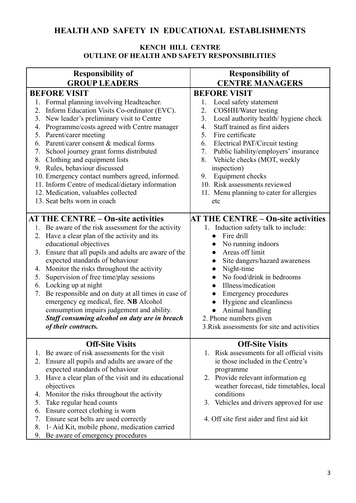### **HEALTH AND SAFETY IN EDUCATIONAL ESTABLISHMENTS**

#### **KENCH HILL CENTRE OUTLINE OF HEALTH AND SAFETY RESPONSIBILITIES**

| <b>Responsibility of</b>                                                                                                                                                                                                                                                                                                                                                                                                                                                                                                                                                                                                                                                                                                                                                                                                                                                                                                                                                               | <b>Responsibility of</b>                                                                                                                                                                                                                                                                                                                                                                                                                                                                                                                                                                                                                                                                              |
|----------------------------------------------------------------------------------------------------------------------------------------------------------------------------------------------------------------------------------------------------------------------------------------------------------------------------------------------------------------------------------------------------------------------------------------------------------------------------------------------------------------------------------------------------------------------------------------------------------------------------------------------------------------------------------------------------------------------------------------------------------------------------------------------------------------------------------------------------------------------------------------------------------------------------------------------------------------------------------------|-------------------------------------------------------------------------------------------------------------------------------------------------------------------------------------------------------------------------------------------------------------------------------------------------------------------------------------------------------------------------------------------------------------------------------------------------------------------------------------------------------------------------------------------------------------------------------------------------------------------------------------------------------------------------------------------------------|
| <b>GROUP LEADERS</b>                                                                                                                                                                                                                                                                                                                                                                                                                                                                                                                                                                                                                                                                                                                                                                                                                                                                                                                                                                   | <b>CENTRE MANAGERS</b>                                                                                                                                                                                                                                                                                                                                                                                                                                                                                                                                                                                                                                                                                |
| <b>BEFORE VISIT</b><br>1. Formal planning involving Headteacher.<br>Inform Education Visits Co-ordinator (EVC).<br>2.<br>New leader's preliminary visit to Centre<br>3.<br>Programme/costs agreed with Centre manager<br>4.<br>Parent/carer meeting<br>5.<br>Parent/carer consent & medical forms<br>6.<br>School journey grant forms distributed<br>7.<br>8. Clothing and equipment lists<br>9. Rules, behaviour discussed<br>10. Emergency contact numbers agreed, informed.<br>11. Inform Centre of medical/dietary information<br>12. Medication, valuables collected<br>13. Seat belts worn in coach<br><b>AT THE CENTRE – On-site activities</b><br>1. Be aware of the risk assessment for the activity<br>2. Have a clear plan of the activity and its<br>educational objectives<br>3. Ensure that all pupils and adults are aware of the<br>expected standards of behaviour<br>Monitor the risks throughout the activity<br>4.<br>Supervision of free time/play sessions<br>5. | <b>BEFORE VISIT</b><br>Local safety statement<br>1.<br><b>COSHH/Water testing</b><br>2.<br>Local authority health/ hygiene check<br>3.<br>Staff trained as first aiders<br>4.<br>5.<br>Fire certificate<br>6.<br>Electrical PAT/Circuit testing<br>Public liability/employers' insurance<br>7.<br>Vehicle checks (MOT, weekly<br>8.<br>inspection)<br>Equipment checks<br>9.<br>10. Risk assessments reviewed<br>11. Menu planning to cater for allergies<br>etc<br><b>AT THE CENTRE – On-site activities</b><br>1. Induction safety talk to include:<br>Fire drill<br>$\bullet$<br>No running indoors<br>Areas off limit<br>Site dangers/hazard awareness<br>Night-time<br>No food/drink in bedrooms |
| Locking up at night<br>6.<br>Be responsible and on duty at all times in case of<br>7.<br>emergency eg medical, fire. NB Alcohol<br>consumption impairs judgement and ability.<br>Staff consuming alcohol on duty are in breach<br>of their contracts.                                                                                                                                                                                                                                                                                                                                                                                                                                                                                                                                                                                                                                                                                                                                  | Illness/medication<br>$\bullet$<br><b>Emergency procedures</b><br>$\bullet$<br>Hygiene and cleanliness<br>Animal handling<br>2. Phone numbers given<br>3. Risk assessments for site and activities                                                                                                                                                                                                                                                                                                                                                                                                                                                                                                    |
| <b>Off-Site Visits</b>                                                                                                                                                                                                                                                                                                                                                                                                                                                                                                                                                                                                                                                                                                                                                                                                                                                                                                                                                                 | <b>Off-Site Visits</b>                                                                                                                                                                                                                                                                                                                                                                                                                                                                                                                                                                                                                                                                                |
| Be aware of risk assessments for the visit<br>$\mathbf{L}$<br>Ensure all pupils and adults are aware of the<br>2.<br>expected standards of behaviour<br>3. Have a clear plan of the visit and its educational<br>objectives<br>Monitor the risks throughout the activity<br>4.<br>Take regular head counts<br>5.<br>Ensure correct clothing is worn<br>6.<br>Ensure seat belts are used correctly<br>7.<br>1 <sup>st</sup> Aid Kit, mobile phone, medication carried<br>8.                                                                                                                                                                                                                                                                                                                                                                                                                                                                                                             | 1. Risk assessments for all official visits<br>ie those included in the Centre's<br>programme<br>2. Provide relevant information eg<br>weather forecast, tide timetables, local<br>conditions<br>3. Vehicles and drivers approved for use<br>4. Off site first aider and first aid kit                                                                                                                                                                                                                                                                                                                                                                                                                |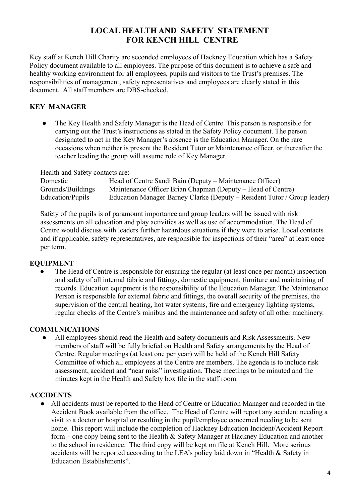#### **LOCAL HEALTH AND SAFETY STATEMENT FOR KENCH HILL CENTRE**

Key staff at Kench Hill Charity are seconded employees of Hackney Education which has a Safety Policy document available to all employees. The purpose of this document is to achieve a safe and healthy working environment for all employees, pupils and visitors to the Trust's premises. The responsibilities of management, safety representatives and employees are clearly stated in this document. All staff members are DBS-checked.

#### **KEY MANAGER**

● The Key Health and Safety Manager is the Head of Centre. This person is responsible for carrying out the Trust's instructions as stated in the Safety Policy document. The person designated to act in the Key Manager's absence is the Education Manager. On the rare occasions when neither is present the Resident Tutor or Maintenance officer, or thereafter the teacher leading the group will assume role of Key Manager.

Health and Safety contacts are:-

| Domestic          | Head of Centre Sandi Bain (Deputy – Maintenance Officer)                 |
|-------------------|--------------------------------------------------------------------------|
| Grounds/Buildings | Maintenance Officer Brian Chapman (Deputy – Head of Centre)              |
| Education/Pupils  | Education Manager Barney Clarke (Deputy – Resident Tutor / Group leader) |

Safety of the pupils is of paramount importance and group leaders will be issued with risk assessments on all education and play activities as well as use of accommodation. The Head of Centre would discuss with leaders further hazardous situations if they were to arise. Local contacts and if applicable, safety representatives, are responsible for inspections of their "area" at least once per term.

#### **EQUIPMENT**

The Head of Centre is responsible for ensuring the regular (at least once per month) inspection and safety of all internal fabric and fittings, domestic equipment, furniture and maintaining of records. Education equipment is the responsibility of the Education Manager. The Maintenance Person is responsible for external fabric and fittings, the overall security of the premises, the supervision of the central heating, hot water systems, fire and emergency lighting systems, regular checks of the Centre's minibus and the maintenance and safety of all other machinery.

#### **COMMUNICATIONS**

• All employees should read the Health and Safety documents and Risk Assessments. New members of staff will be fully briefed on Health and Safety arrangements by the Head of Centre. Regular meetings (at least one per year) will be held of the Kench Hill Safety Committee of which all employees at the Centre are members. The agenda is to include risk assessment, accident and "near miss" investigation. These meetings to be minuted and the minutes kept in the Health and Safety box file in the staff room.

#### **ACCIDENTS**

● All accidents must be reported to the Head of Centre or Education Manager and recorded in the Accident Book available from the office. The Head of Centre will report any accident needing a visit to a doctor or hospital or resulting in the pupil/employee concerned needing to be sent home. This report will include the completion of Hackney Education Incident/Accident Report form – one copy being sent to the Health & Safety Manager at Hackney Education and another to the school in residence. The third copy will be kept on file at Kench Hill. More serious accidents will be reported according to the LEA's policy laid down in "Health & Safety in Education Establishments".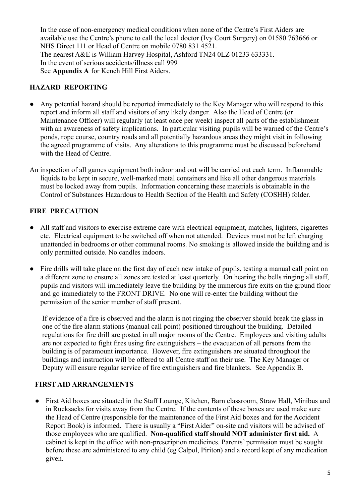In the case of non-emergency medical conditions when none of the Centre's First Aiders are available use the Centre's phone to call the local doctor (Ivy Court Surgery) on 01580 763666 or NHS Direct 111 or Head of Centre on mobile 0780 831 4521. The nearest A&E is William Harvey Hospital, Ashford TN24 0LZ 01233 633331. In the event of serious accidents/illness call 999 See **Appendix A** for Kench Hill First Aiders.

#### **HAZARD REPORTING**

- Any potential hazard should be reported immediately to the Key Manager who will respond to this report and inform all staff and visitors of any likely danger. Also the Head of Centre (or Maintenance Officer) will regularly (at least once per week) inspect all parts of the establishment with an awareness of safety implications. In particular visiting pupils will be warned of the Centre's ponds, rope course, country roads and all potentially hazardous areas they might visit in following the agreed programme of visits. Any alterations to this programme must be discussed beforehand with the Head of Centre.
- An inspection of all games equipment both indoor and out will be carried out each term. Inflammable liquids to be kept in secure, well-marked metal containers and like all other dangerous materials must be locked away from pupils. Information concerning these materials is obtainable in the Control of Substances Hazardous to Health Section of the Health and Safety (COSHH) folder.

#### **FIRE PRECAUTION**

- All staff and visitors to exercise extreme care with electrical equipment, matches, lighters, cigarettes etc. Electrical equipment to be switched off when not attended. Devices must not be left charging unattended in bedrooms or other communal rooms. No smoking is allowed inside the building and is only permitted outside. No candles indoors.
- Fire drills will take place on the first day of each new intake of pupils, testing a manual call point on a different zone to ensure all zones are tested at least quarterly. On hearing the bells ringing all staff, pupils and visitors will immediately leave the building by the numerous fire exits on the ground floor and go immediately to the FRONT DRIVE. No one will re-enter the building without the permission of the senior member of staff present.

If evidence of a fire is observed and the alarm is not ringing the observer should break the glass in one of the fire alarm stations (manual call point) positioned throughout the building. Detailed regulations for fire drill are posted in all major rooms of the Centre. Employees and visiting adults are not expected to fight fires using fire extinguishers – the evacuation of all persons from the building is of paramount importance. However, fire extinguishers are situated throughout the buildings and instruction will be offered to all Centre staff on their use. The Key Manager or Deputy will ensure regular service of fire extinguishers and fire blankets. See Appendix B.

#### **FIRST AID ARRANGEMENTS**

● First Aid boxes are situated in the Staff Lounge, Kitchen, Barn classroom, Straw Hall, Minibus and in Rucksacks for visits away from the Centre. If the contents of these boxes are used make sure the Head of Centre (responsible for the maintenance of the First Aid boxes and for the Accident Report Book) is informed. There is usually a "First Aider" on-site and visitors will be advised of those employees who are qualified. **Non-qualified staff should NOT administer first aid.** A cabinet is kept in the office with non-prescription medicines. Parents' permission must be sought before these are administered to any child (eg Calpol, Piriton) and a record kept of any medication given.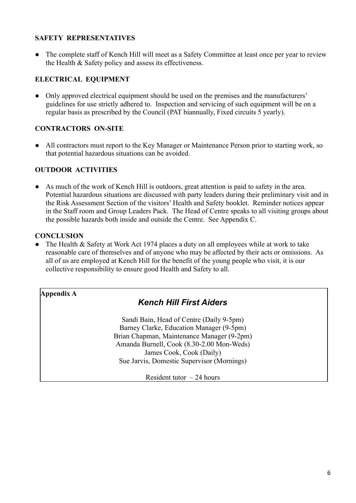#### **SAFETY REPRESENTATIVES**

• The complete staff of Kench Hill will meet as a Safety Committee at least once per year to review the Health & Safety policy and assess its effectiveness.

#### **ELECTRICAL EQUIPMENT**

• Only approved electrical equipment should be used on the premises and the manufacturers' guidelines for use strictly adhered to. Inspection and servicing of such equipment will be on a regular basis as prescribed by the Council (PAT biannually, Fixed circuits 5 yearly).

#### **CONTRACTORS ON-SITE**

• All contractors must report to the Key Manager or Maintenance Person prior to starting work, so that potential hazardous situations can be avoided.

#### **OUTDOOR ACTIVITIES**

● As much of the work of Kench Hill is outdoors, great attention is paid to safety in the area. Potential hazardous situations are discussed with party leaders during their preliminary visit and in the Risk Assessment Section of the visitors' Health and Safety booklet. Reminder notices appear in the Staff room and Group Leaders Pack. The Head of Centre speaks to all visiting groups about the possible hazards both inside and outside the Centre. See Appendix C.

#### **CONCLUSION**

• The Health & Safety at Work Act 1974 places a duty on all employees while at work to take reasonable care of themselves and of anyone who may be affected by their acts or omissions. As all of us are employed at Kench Hill for the benefit of the young people who visit, it is our collective responsibility to ensure good Health and Safety to all.

#### **Appendix A**

#### *Kench Hill First Aiders*

Sandi Bain, Head of Centre (Daily 9-5pm) Barney Clarke, Education Manager (9-5pm) Brian Chapman, Maintenance Manager (9-2pm) Amanda Burnell, Cook (8.30-2.00 Mon-Weds) James Cook, Cook (Daily) Sue Jarvis, Domestic Supervisor (Mornings)

Resident tutor  $-24$  hours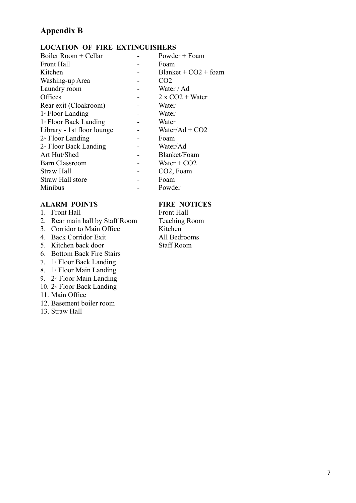### **Appendix B**

#### **LOCATION OF FIRE EXTINGUISHERS**

| Boiler Room + Cellar                | Powder + Foam             |
|-------------------------------------|---------------------------|
| <b>Front Hall</b>                   | Foam                      |
| Kitchen                             | $Blanket + CO2 + foam$    |
| Washing-up Area                     | CO <sub>2</sub>           |
| Laundry room                        | Water / Ad                |
| Offices                             | $2 \times CO2 + Water$    |
| Rear exit (Cloakroom)               | Water                     |
| $1$ <sup>st</sup> Floor Landing     | Water                     |
| $1$ <sup>s</sup> Floor Back Landing | Water                     |
| Library - 1st floor lounge          | Water/Ad + $CO2$          |
| $2nd$ Floor Landing                 | Foam                      |
| $2nd$ Floor Back Landing            | Water/Ad                  |
| Art Hut/Shed                        | Blanket/Foam              |
| <b>Barn Classroom</b>               | Water $+$ CO <sub>2</sub> |
| <b>Straw Hall</b>                   | CO <sub>2</sub> , Foam    |
| Straw Hall store                    | Foam                      |
| Minibus                             | Powder                    |

#### **ALARM POINTS FIRE NOTICES**

- 
- 1. Front Hall<br>
2. Rear main hall by Staff Room<br>
Teaching Room 2. Rear main hall by Staff Room Teaching<br>3. Corridor to Main Office Kitchen
- 3. Corridor to Main Office
- 4. Back Corridor Exit All Bedrooms
- 5. Kitchen back door Staff Room
- 6. Bottom Back Fire Stairs
- 7. 1st Floor Back Landing
- 8.  $1$ <sup>s</sup> Floor Main Landing
- 9. 2<sup>nd</sup> Floor Main Landing
- 10. 2<sup>nd</sup> Floor Back Landing
- 11. Main Office
- 12. Basement boiler room
- 13. Straw Hall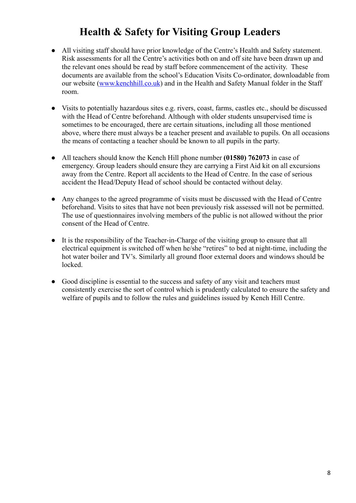## **Health & Safety for Visiting Group Leaders**

- All visiting staff should have prior knowledge of the Centre's Health and Safety statement. Risk assessments for all the Centre's activities both on and off site have been drawn up and the relevant ones should be read by staff before commencement of the activity. These documents are available from the school's Education Visits Co-ordinator, downloadable from our website [\(www.kenchhill.co.uk](http://www.kenchhill.co.uk)) and in the Health and Safety Manual folder in the Staff room.
- Visits to potentially hazardous sites e.g. rivers, coast, farms, castles etc., should be discussed with the Head of Centre beforehand. Although with older students unsupervised time is sometimes to be encouraged, there are certain situations, including all those mentioned above, where there must always be a teacher present and available to pupils. On all occasions the means of contacting a teacher should be known to all pupils in the party.
- All teachers should know the Kench Hill phone number **(01580) 762073** in case of emergency. Group leaders should ensure they are carrying a First Aid kit on all excursions away from the Centre. Report all accidents to the Head of Centre. In the case of serious accident the Head/Deputy Head of school should be contacted without delay.
- Any changes to the agreed programme of visits must be discussed with the Head of Centre beforehand. Visits to sites that have not been previously risk assessed will not be permitted. The use of questionnaires involving members of the public is not allowed without the prior consent of the Head of Centre.
- It is the responsibility of the Teacher-in-Charge of the visiting group to ensure that all electrical equipment is switched off when he/she "retires" to bed at night-time, including the hot water boiler and TV's. Similarly all ground floor external doors and windows should be locked.
- Good discipline is essential to the success and safety of any visit and teachers must consistently exercise the sort of control which is prudently calculated to ensure the safety and welfare of pupils and to follow the rules and guidelines issued by Kench Hill Centre.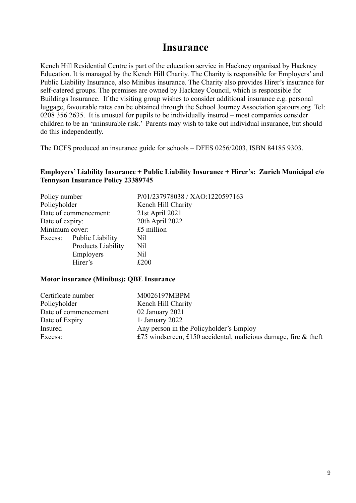### **Insurance**

Kench Hill Residential Centre is part of the education service in Hackney organised by Hackney Education. It is managed by the Kench Hill Charity. The Charity is responsible for Employers' and Public Liability Insurance, also Minibus insurance. The Charity also provides Hirer's insurance for self-catered groups. The premises are owned by Hackney Council, which is responsible for Buildings Insurance. If the visiting group wishes to consider additional insurance e.g. personal luggage, favourable rates can be obtained through the School Journey Association sjatours.org Tel: 0208 356 2635. It is unusual for pupils to be individually insured – most companies consider children to be an 'uninsurable risk.' Parents may wish to take out individual insurance, but should do this independently.

The DCFS produced an insurance guide for schools – DFES 0256/2003, ISBN 84185 9303.

#### **Employers' Liability Insurance + Public Liability Insurance + Hirer's: Zurich Municipal c/o Tennyson Insurance Policy 23389745**

| Policy number   |                          | P/01/237978038 / XAO:1220597163 |  |  |  |
|-----------------|--------------------------|---------------------------------|--|--|--|
| Policyholder    |                          | Kench Hill Charity              |  |  |  |
|                 | Date of commencement:    | 21st April 2021                 |  |  |  |
| Date of expiry: |                          | 20th April 2022                 |  |  |  |
| Minimum cover:  |                          | £5 million                      |  |  |  |
|                 | Excess: Public Liability | Nil                             |  |  |  |
|                 | Products Liability       | Nil                             |  |  |  |
|                 | Employers                | Nil                             |  |  |  |
|                 | Hirer's                  | £200                            |  |  |  |

#### **Motor insurance (Minibus): QBE Insurance**

| Certificate number   | M0026197MBPM                                                       |
|----------------------|--------------------------------------------------------------------|
| Policyholder         | Kench Hill Charity                                                 |
| Date of commencement | 02 January 2021                                                    |
| Date of Expiry       | $1$ <sup>st</sup> January 2022                                     |
| Insured              | Any person in the Policyholder's Employ                            |
| Excess:              | £75 windscreen, £150 accidental, malicious damage, fire $\&$ theft |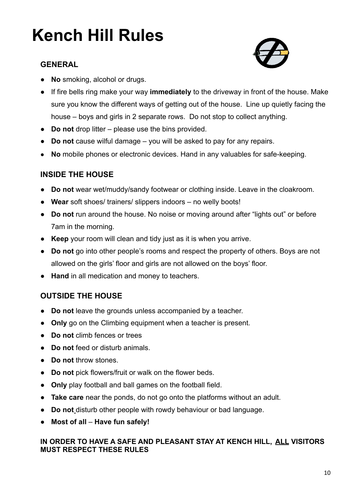# **Kench Hill Rules**

#### **GENERAL**



- **No** smoking, alcohol or drugs.
- If fire bells ring make your way **immediately** to the driveway in front of the house. Make sure you know the different ways of getting out of the house. Line up quietly facing the house – boys and girls in 2 separate rows. Do not stop to collect anything.
- **Do not** drop litter please use the bins provided.
- **Do not** cause wilful damage you will be asked to pay for any repairs.
- **No** mobile phones or electronic devices. Hand in any valuables for safe-keeping.

#### **INSIDE THE HOUSE**

- **Do not** wear wet/muddy/sandy footwear or clothing inside. Leave in the cloakroom.
- **Wear** soft shoes/ trainers/ slippers indoors no welly boots!
- **Do not** run around the house. No noise or moving around after "lights out" or before 7am in the morning.
- **Keep** your room will clean and tidy just as it is when you arrive.
- **Do not** go into other people's rooms and respect the property of others. Boys are not allowed on the girls' floor and girls are not allowed on the boys' floor.
- **Hand** in all medication and money to teachers.

#### **OUTSIDE THE HOUSE**

- **Do not** leave the grounds unless accompanied by a teacher.
- **Only** go on the Climbing equipment when a teacher is present.
- **Do not** climb fences or trees
- **Do not** feed or disturb animals.
- **Do not** throw stones.
- **Do not** pick flowers/fruit or walk on the flower beds.
- **Only** play football and ball games on the football field.
- **Take care** near the ponds, do not go onto the platforms without an adult.
- **Do not** disturb other people with rowdy behaviour or bad language.
- **Most of all Have fun safely!**

#### **IN ORDER TO HAVE A SAFE AND PLEASANT STAY AT KENCH HILL, ALL VISITORS MUST RESPECT THESE RULES**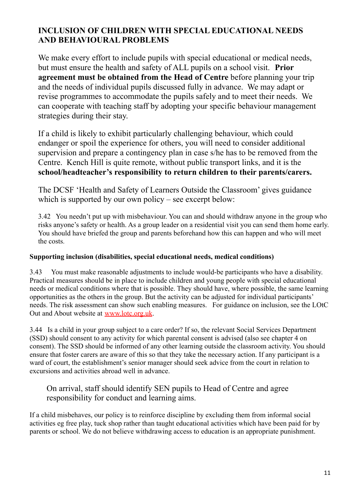#### **INCLUSION OF CHILDREN WITH SPECIAL EDUCATIONAL NEEDS AND BEHAVIOURAL PROBLEMS**

We make every effort to include pupils with special educational or medical needs, but must ensure the health and safety of ALL pupils on a school visit. **Prior agreement must be obtained from the Head of Centre** before planning your trip and the needs of individual pupils discussed fully in advance. We may adapt or revise programmes to accommodate the pupils safely and to meet their needs. We can cooperate with teaching staff by adopting your specific behaviour management strategies during their stay.

If a child is likely to exhibit particularly challenging behaviour, which could endanger or spoil the experience for others, you will need to consider additional supervision and prepare a contingency plan in case s/he has to be removed from the Centre. Kench Hill is quite remote, without public transport links, and it is the **school/headteacher's responsibility to return children to their parents/carers.**

The DCSF 'Health and Safety of Learners Outside the Classroom' gives guidance which is supported by our own policy – see excerpt below:

3.42 You needn't put up with misbehaviour. You can and should withdraw anyone in the group who risks anyone's safety or health. As a group leader on a residential visit you can send them home early. You should have briefed the group and parents beforehand how this can happen and who will meet the costs.

#### **Supporting inclusion (disabilities, special educational needs, medical conditions)**

3.43 You must make reasonable adjustments to include would-be participants who have a disability. Practical measures should be in place to include children and young people with special educational needs or medical conditions where that is possible. They should have, where possible, the same learning opportunities as the others in the group. But the activity can be adjusted for individual participants' needs. The risk assessment can show such enabling measures. For guidance on inclusion, see the LOtC Out and About website at [www.lotc.org.uk](http://www.lotc.org.uk).

3.44 Is a child in your group subject to a care order? If so, the relevant Social Services Department (SSD) should consent to any activity for which parental consent is advised (also see chapter 4 on consent). The SSD should be informed of any other learning outside the classroom activity. You should ensure that foster carers are aware of this so that they take the necessary action. If any participant is a ward of court, the establishment's senior manager should seek advice from the court in relation to excursions and activities abroad well in advance.

#### On arrival, staff should identify SEN pupils to Head of Centre and agree responsibility for conduct and learning aims.

If a child misbehaves, our policy is to reinforce discipline by excluding them from informal social activities eg free play, tuck shop rather than taught educational activities which have been paid for by parents or school. We do not believe withdrawing access to education is an appropriate punishment.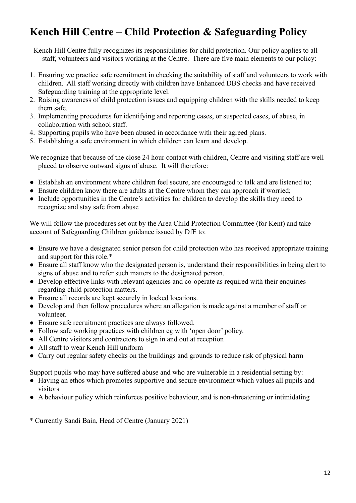## **Kench Hill Centre – Child Protection & Safeguarding Policy**

Kench Hill Centre fully recognizes its responsibilities for child protection. Our policy applies to all staff, volunteers and visitors working at the Centre. There are five main elements to our policy:

- 1. Ensuring we practice safe recruitment in checking the suitability of staff and volunteers to work with children. All staff working directly with children have Enhanced DBS checks and have received Safeguarding training at the appropriate level.
- 2. Raising awareness of child protection issues and equipping children with the skills needed to keep them safe.
- 3. Implementing procedures for identifying and reporting cases, or suspected cases, of abuse, in collaboration with school staff.
- 4. Supporting pupils who have been abused in accordance with their agreed plans.
- 5. Establishing a safe environment in which children can learn and develop.

We recognize that because of the close 24 hour contact with children, Centre and visiting staff are well placed to observe outward signs of abuse. It will therefore:

- Establish an environment where children feel secure, are encouraged to talk and are listened to;
- Ensure children know there are adults at the Centre whom they can approach if worried;
- Include opportunities in the Centre's activities for children to develop the skills they need to recognize and stay safe from abuse

We will follow the procedures set out by the Area Child Protection Committee (for Kent) and take account of Safeguarding Children guidance issued by DfE to:

- Ensure we have a designated senior person for child protection who has received appropriate training and support for this role.\*
- Ensure all staff know who the designated person is, understand their responsibilities in being alert to signs of abuse and to refer such matters to the designated person.
- Develop effective links with relevant agencies and co-operate as required with their enquiries regarding child protection matters.
- Ensure all records are kept securely in locked locations.
- Develop and then follow procedures where an allegation is made against a member of staff or volunteer.
- Ensure safe recruitment practices are always followed.
- Follow safe working practices with children eg with 'open door' policy.
- All Centre visitors and contractors to sign in and out at reception
- All staff to wear Kench Hill uniform
- Carry out regular safety checks on the buildings and grounds to reduce risk of physical harm

Support pupils who may have suffered abuse and who are vulnerable in a residential setting by:

- Having an ethos which promotes supportive and secure environment which values all pupils and visitors
- A behaviour policy which reinforces positive behaviour, and is non-threatening or intimidating

\* Currently Sandi Bain, Head of Centre (January 2021)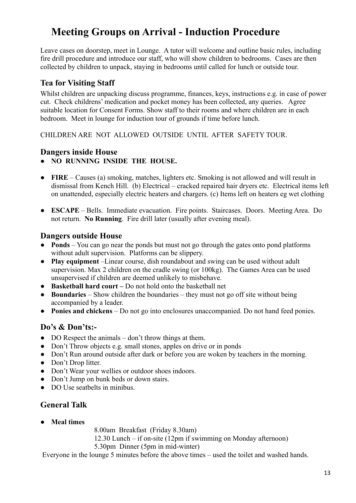## **Meeting Groups on Arrival - Induction Procedure**

Leave cases on doorstep, meet in Lounge. A tutor will welcome and outline basic rules, including fire drill procedure and introduce our staff, who will show children to bedrooms. Cases are then collected by children to unpack, staying in bedrooms until called for lunch or outside tour.

#### **Tea for Visiting Staff**

Whilst children are unpacking discuss programme, finances, keys, instructions e.g. in case of power cut. Check childrens' medication and pocket money has been collected, any queries. Agree suitable location for Consent Forms. Show staff to their rooms and where children are in each bedroom. Meet in lounge for induction tour of grounds if time before lunch.

CHILDREN ARE NOT ALLOWED OUTSIDE UNTIL AFTER SAFETY TOUR.

#### **Dangers inside House**

- **NO RUNNING INSIDE THE HOUSE.**
- **FIRE** Causes (a) smoking, matches, lighters etc. Smoking is not allowed and will result in dismissal from Kench Hill. (b) Electrical – cracked repaired hair dryers etc. Electrical items left on unattended, especially electric heaters and chargers. (c) Items left on heaters eg wet clothing
- **ESCAPE** Bells. Immediate evacuation. Fire points. Staircases. Doors. Meeting Area. Do not return. **No Running**. Fire drill later (usually after evening meal).

#### **Dangers outside House**

- **Ponds** You can go near the ponds but must not go through the gates onto pond platforms without adult supervision. Platforms can be slippery.
- **Play equipment** –Linear course, dish roundabout and swing can be used without adult supervision. Max 2 children on the cradle swing (or 100kg). The Games Area can be used unsupervised if children are deemed unlikely to misbehave.
- **Basketball hard court –** Do not hold onto the basketball net
- **Boundaries** Show children the boundaries they must not go off site without being accompanied by a leader.
- **Ponies and chickens** Do not go into enclosures unaccompanied. Do not hand feed ponies.

#### **Do's & Don'ts:-**

- DO Respect the animals don't throw things at them.
- Don't Throw objects e.g. small stones, apples on drive or in ponds
- Don't Run around outside after dark or before you are woken by teachers in the morning.
- Don't Drop litter.
- Don't Wear your wellies or outdoor shoes indoors.
- Don't Jump on bunk beds or down stairs.
- DO Use seathelts in minibus.

### **General Talk**

● **Meal times**

8.00am Breakfast (Friday 8.30am)

12.30 Lunch – if on-site (12pm if swimming on Monday afternoon)

5.30pm Dinner (5pm in mid-winter)

Everyone in the lounge 5 minutes before the above times – used the toilet and washed hands.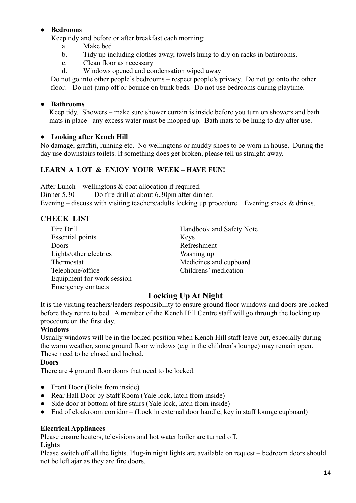#### ● **Bedrooms**

Keep tidy and before or after breakfast each morning:

- a. Make bed
- b. Tidy up including clothes away, towels hung to dry on racks in bathrooms.
- c. Clean floor as necessary
- d. Windows opened and condensation wiped away

Do not go into other people's bedrooms – respect people's privacy. Do not go onto the other floor. Do not jump off or bounce on bunk beds. Do not use bedrooms during playtime.

#### ● **Bathrooms**

Keep tidy. Showers – make sure shower curtain is inside before you turn on showers and bath mats in place– any excess water must be mopped up. Bath mats to be hung to dry after use.

#### ● **Looking after Kench Hill**

No damage, graffiti, running etc. No wellingtons or muddy shoes to be worn in house. During the day use downstairs toilets. If something does get broken, please tell us straight away.

#### **LEARN A LOT & ENJOY YOUR WEEK – HAVE FUN!**

After Lunch – wellingtons  $\&$  coat allocation if required. Dinner 5.30 Do fire drill at about 6.30pm after dinner. Evening – discuss with visiting teachers/adults locking up procedure. Evening snack & drinks.

#### **CHECK LIST**

Fire Drill Handbook and Safety Note Essential points Keys Doors Refreshment Lights/other electrics Washing up Thermostat Medicines and cupboard Telephone/office Childrens' medication Equipment for work session Emergency contacts

#### **Locking Up At Night**

It is the visiting teachers/leaders responsibility to ensure ground floor windows and doors are locked before they retire to bed. A member of the Kench Hill Centre staff will go through the locking up procedure on the first day.

#### **Windows**

Usually windows will be in the locked position when Kench Hill staff leave but, especially during the warm weather, some ground floor windows (e.g in the children's lounge) may remain open. These need to be closed and locked.

#### **Doors**

There are 4 ground floor doors that need to be locked.

- Front Door (Bolts from inside)
- Rear Hall Door by Staff Room (Yale lock, latch from inside)
- Side door at bottom of fire stairs (Yale lock, latch from inside)
- $\bullet$  End of cloakroom corridor (Lock in external door handle, key in staff lounge cupboard)

#### **Electrical Appliances**

Please ensure heaters, televisions and hot water boiler are turned off.

#### **Lights**

Please switch off all the lights. Plug-in night lights are available on request – bedroom doors should not be left ajar as they are fire doors.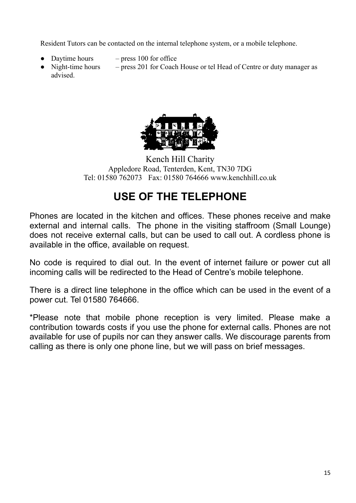Resident Tutors can be contacted on the internal telephone system, or a mobile telephone.

- Daytime hours  $-$  press 100 for office
- Night-time hours press 201 for Coach House or tel Head of Centre or duty manager as advised.



Kench Hill Charity Appledore Road, Tenterden, Kent, TN30 7DG Tel: 01580 762073 Fax: 01580 764666 www.kenchhill.co.uk

## **USE OF THE TELEPHONE**

Phones are located in the kitchen and offices. These phones receive and make external and internal calls. The phone in the visiting staffroom (Small Lounge) does not receive external calls, but can be used to call out. A cordless phone is available in the office, available on request.

No code is required to dial out. In the event of internet failure or power cut all incoming calls will be redirected to the Head of Centre's mobile telephone.

There is a direct line telephone in the office which can be used in the event of a power cut. Tel 01580 764666.

\*Please note that mobile phone reception is very limited. Please make a contribution towards costs if you use the phone for external calls. Phones are not available for use of pupils nor can they answer calls. We discourage parents from calling as there is only one phone line, but we will pass on brief messages.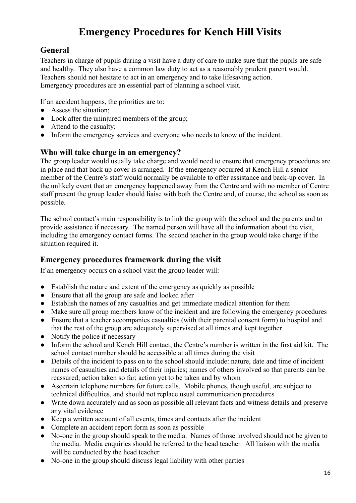## **Emergency Procedures for Kench Hill Visits**

#### **General**

Teachers in charge of pupils during a visit have a duty of care to make sure that the pupils are safe and healthy. They also have a common law duty to act as a reasonably prudent parent would. Teachers should not hesitate to act in an emergency and to take lifesaving action. Emergency procedures are an essential part of planning a school visit.

If an accident happens, the priorities are to:

- Assess the situation;
- Look after the uninjured members of the group;
- Attend to the casualty;
- Inform the emergency services and everyone who needs to know of the incident.

#### **Who will take charge in an emergency?**

The group leader would usually take charge and would need to ensure that emergency procedures are in place and that back up cover is arranged. If the emergency occurred at Kench Hill a senior member of the Centre's staff would normally be available to offer assistance and back-up cover. In the unlikely event that an emergency happened away from the Centre and with no member of Centre staff present the group leader should liaise with both the Centre and, of course, the school as soon as possible.

The school contact's main responsibility is to link the group with the school and the parents and to provide assistance if necessary. The named person will have all the information about the visit, including the emergency contact forms. The second teacher in the group would take charge if the situation required it.

#### **Emergency procedures framework during the visit**

If an emergency occurs on a school visit the group leader will:

- Establish the nature and extent of the emergency as quickly as possible
- Ensure that all the group are safe and looked after
- Establish the names of any casualties and get immediate medical attention for them
- Make sure all group members know of the incident and are following the emergency procedures
- Ensure that a teacher accompanies casualties (with their parental consent form) to hospital and that the rest of the group are adequately supervised at all times and kept together
- Notify the police if necessary
- Inform the school and Kench Hill contact, the Centre's number is written in the first aid kit. The school contact number should be accessible at all times during the visit
- Details of the incident to pass on to the school should include: nature, date and time of incident names of casualties and details of their injuries; names of others involved so that parents can be reassured; action taken so far; action yet to be taken and by whom
- Ascertain telephone numbers for future calls. Mobile phones, though useful, are subject to technical difficulties, and should not replace usual communication procedures
- Write down accurately and as soon as possible all relevant facts and witness details and preserve any vital evidence
- Keep a written account of all events, times and contacts after the incident
- Complete an accident report form as soon as possible
- No-one in the group should speak to the media. Names of those involved should not be given to the media. Media enquiries should be referred to the head teacher. All liaison with the media will be conducted by the head teacher
- No-one in the group should discuss legal liability with other parties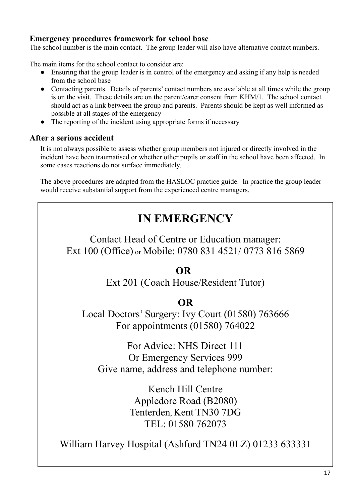#### **Emergency procedures framework for school base**

The school number is the main contact. The group leader will also have alternative contact numbers.

The main items for the school contact to consider are:

- Ensuring that the group leader is in control of the emergency and asking if any help is needed from the school base
- Contacting parents. Details of parents' contact numbers are available at all times while the group is on the visit. These details are on the parent/carer consent from KHM/1. The school contact should act as a link between the group and parents. Parents should be kept as well informed as possible at all stages of the emergency
- The reporting of the incident using appropriate forms if necessary

#### **After a serious accident**

It is not always possible to assess whether group members not injured or directly involved in the incident have been traumatised or whether other pupils or staff in the school have been affected. In some cases reactions do not surface immediately.

The above procedures are adapted from the HASLOC practice guide. In practice the group leader would receive substantial support from the experienced centre managers.

## **IN EMERGENCY**

Contact Head of Centre or Education manager: Ext 100 (Office) or Mobile: 0780 831 4521/ 0773 816 5869

### **OR**

Ext 201 (Coach House/Resident Tutor)

### **OR**

Local Doctors' Surgery: Ivy Court (01580) 763666 For appointments (01580) 764022

For Advice: NHS Direct 111 Or Emergency Services 999 Give name, address and telephone number:

> Kench Hill Centre Appledore Road (B2080) Tenterden, Kent TN30 7DG TEL: 01580 762073

William Harvey Hospital (Ashford TN24 0LZ) 01233 633331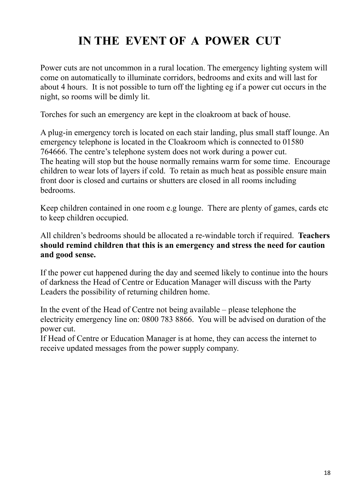## **IN THE EVENT OF A POWER CUT**

Power cuts are not uncommon in a rural location. The emergency lighting system will come on automatically to illuminate corridors, bedrooms and exits and will last for about 4 hours. It is not possible to turn off the lighting eg if a power cut occurs in the night, so rooms will be dimly lit.

Torches for such an emergency are kept in the cloakroom at back of house.

A plug-in emergency torch is located on each stair landing, plus small staff lounge. An emergency telephone is located in the Cloakroom which is connected to 01580 764666. The centre's telephone system does not work during a power cut. The heating will stop but the house normally remains warm for some time. Encourage children to wear lots of layers if cold. To retain as much heat as possible ensure main front door is closed and curtains or shutters are closed in all rooms including bedrooms.

Keep children contained in one room e.g lounge. There are plenty of games, cards etc to keep children occupied.

All children's bedrooms should be allocated a re-windable torch if required. **Teachers should remind children that this is an emergency and stress the need for caution and good sense.**

If the power cut happened during the day and seemed likely to continue into the hours of darkness the Head of Centre or Education Manager will discuss with the Party Leaders the possibility of returning children home.

In the event of the Head of Centre not being available – please telephone the electricity emergency line on: 0800 783 8866. You will be advised on duration of the power cut.

If Head of Centre or Education Manager is at home, they can access the internet to receive updated messages from the power supply company.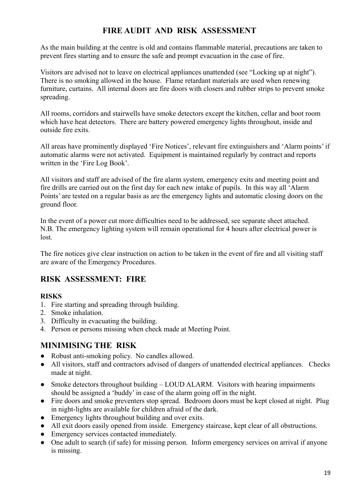#### **FIRE AUDIT AND RISK ASSESSMENT**

As the main building at the centre is old and contains flammable material, precautions are taken to prevent fires starting and to ensure the safe and prompt evacuation in the case of fire.

Visitors are advised not to leave on electrical appliances unattended (see "Locking up at night"). There is no smoking allowed in the house. Flame retardant materials are used when renewing furniture, curtains. All internal doors are fire doors with closers and rubber strips to prevent smoke spreading.

All rooms, corridors and stairwells have smoke detectors except the kitchen, cellar and boot room which have heat detectors. There are battery powered emergency lights throughout, inside and outside fire exits.

All areas have prominently displayed 'Fire Notices', relevant fire extinguishers and 'Alarm points' if automatic alarms were not activated. Equipment is maintained regularly by contract and reports written in the 'Fire Log Book'.

All visitors and staff are advised of the fire alarm system, emergency exits and meeting point and fire drills are carried out on the first day for each new intake of pupils. In this way all 'Alarm Points' are tested on a regular basis as are the emergency lights and automatic closing doors on the ground floor.

In the event of a power cut more difficulties need to be addressed, see separate sheet attached. N.B. The emergency lighting system will remain operational for 4 hours after electrical power is lost.

The fire notices give clear instruction on action to be taken in the event of fire and all visiting staff are aware of the Emergency Procedures.

#### **RISK ASSESSMENT: FIRE**

#### **RISKS**

- 1. Fire starting and spreading through building.
- 2. Smoke inhalation.
- 3. Difficulty in evacuating the building.
- 4. Person or persons missing when check made at Meeting Point.

#### **MINIMISING THE RISK**

- Robust anti-smoking policy. No candles allowed.
- All visitors, staff and contractors advised of dangers of unattended electrical appliances. Checks made at night.
- Smoke detectors throughout building LOUD ALARM. Visitors with hearing impairments should be assigned a 'buddy' in case of the alarm going off in the night.
- Fire doors and smoke preventers stop spread. Bedroom doors must be kept closed at night. Plug in night-lights are available for children afraid of the dark.
- Emergency lights throughout building and over exits.
- All exit doors easily opened from inside. Emergency staircase, kept clear of all obstructions.
- Emergency services contacted immediately.
- One adult to search (if safe) for missing person. Inform emergency services on arrival if anyone is missing.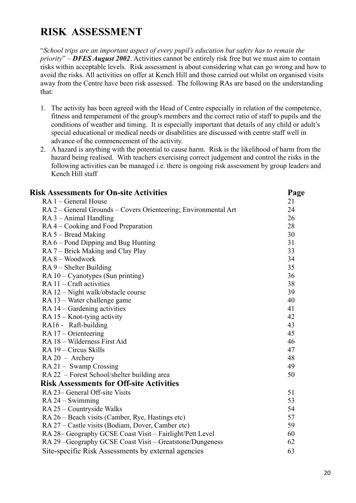## **RISK ASSESSMENT**

"*School trips are an important aspect of every pupil's education but safety has to remain the priority*" – *DFES August 2002*. Activities cannot be entirely risk free but we must aim to contain risks within acceptable levels. Risk assessment is about considering what can go wrong and how to avoid the risks. All activities on offer at Kench Hill and those carried out whilst on organised visits away from the Centre have been risk assessed. The following RAs are based on the understanding that:

- 1. The activity has been agreed with the Head of Centre especially in relation of the competence, fitness and temperament of the group's members and the correct ratio of staff to pupils and the conditions of weather and timing. It is especially important that details of any child or adult's special educational or medical needs or disabilities are discussed with centre staff well in advance of the commencement of the activity.
- 2. A hazard is anything with the potential to cause harm. Risk is the likelihood of harm from the hazard being realised. With teachers exercising correct judgement and control the risks in the following activities can be managed i.e. there is ongoing risk assessment by group leaders and Kench Hill staff

| <b>Risk Assessments for On-site Activities</b>                  | Page |
|-----------------------------------------------------------------|------|
| RA 1 – General House                                            | 21   |
| RA 2 – General Grounds – Covers Orienteering; Environmental Art | 24   |
| $RA$ 3 – Animal Handling                                        | 26   |
| RA4 – Cooking and Food Preparation                              | 28   |
| $RA 5 - Bread Making$                                           | 30   |
| RA 6 – Pond Dipping and Bug Hunting                             | 31   |
| RA 7 – Brick Making and Clay Play                               | 33   |
| $RA 8 - Woodwork$                                               | 34   |
| $RA 9 - Shelter Building$                                       | 35   |
| $RA 10 - Cyanotypes (Sun printing)$                             | 36   |
| $RA 11 - Craff activities$                                      | 38   |
| RA 12 - Night walk/obstacle course                              | 39   |
| RA 13 – Water challenge game                                    | 40   |
| $RA$ 14 – Gardening activities                                  | 41   |
| $RA 15 - Knot$ -tying activity                                  | 42   |
| RA16 - Raft-building                                            | 43   |
| $RA 17 - Orienteering$                                          | 45   |
| RA 18 - Wilderness First Aid                                    | 46   |
| RA 19 – Circus Skills                                           | 47   |
| $RA 20 - Archery$                                               | 48   |
| RA 21 - Swamp Crossing                                          | 49   |
| RA 22 – Forest School/shelter building area                     | 50   |
| <b>Risk Assessments for Off-site Activities</b>                 |      |
| RA 23– General Off-site Visits                                  | 51   |
| $RA 24 - Swimming$                                              | 53   |
| RA 25 – Countryside Walks                                       | 54   |
| RA 26 – Beach visits (Camber, Rye, Hastings etc)                | 57   |
| RA 27 – Castle visits (Bodiam, Dover, Camber etc)               | 59   |
| RA 28- Geography GCSE Coast Visit - Fairlight/Pett Level        | 60   |
| RA 29 - Geography GCSE Coast Visit - Greatstone/Dungeness       | 62   |
| Site-specific Risk Assessments by external agencies             | 63   |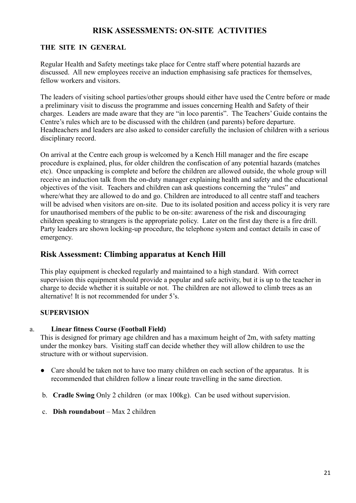#### **RISK ASSESSMENTS: ON-SITE ACTIVITIES**

#### **THE SITE IN GENERAL**

Regular Health and Safety meetings take place for Centre staff where potential hazards are discussed. All new employees receive an induction emphasising safe practices for themselves, fellow workers and visitors.

The leaders of visiting school parties/other groups should either have used the Centre before or made a preliminary visit to discuss the programme and issues concerning Health and Safety of their charges. Leaders are made aware that they are "in loco parentis". The Teachers' Guide contains the Centre's rules which are to be discussed with the children (and parents) before departure. Headteachers and leaders are also asked to consider carefully the inclusion of children with a serious disciplinary record.

On arrival at the Centre each group is welcomed by a Kench Hill manager and the fire escape procedure is explained, plus, for older children the confiscation of any potential hazards (matches etc). Once unpacking is complete and before the children are allowed outside, the whole group will receive an induction talk from the on-duty manager explaining health and safety and the educational objectives of the visit. Teachers and children can ask questions concerning the "rules" and where/what they are allowed to do and go. Children are introduced to all centre staff and teachers will be advised when visitors are on-site. Due to its isolated position and access policy it is very rare for unauthorised members of the public to be on-site: awareness of the risk and discouraging children speaking to strangers is the appropriate policy. Later on the first day there is a fire drill. Party leaders are shown locking-up procedure, the telephone system and contact details in case of emergency.

#### **Risk Assessment: Climbing apparatus at Kench Hill**

This play equipment is checked regularly and maintained to a high standard. With correct supervision this equipment should provide a popular and safe activity, but it is up to the teacher in charge to decide whether it is suitable or not. The children are not allowed to climb trees as an alternative! It is not recommended for under 5's.

#### **SUPERVISION**

#### a. **Linear fitness Course (Football Field)**

This is designed for primary age children and has a maximum height of 2m, with safety matting under the monkey bars. Visiting staff can decide whether they will allow children to use the structure with or without supervision.

- Care should be taken not to have too many children on each section of the apparatus. It is recommended that children follow a linear route travelling in the same direction.
- b. **Cradle Swing** Only 2 children (or max 100kg). Can be used without supervision.
- c. **Dish roundabout** Max 2 children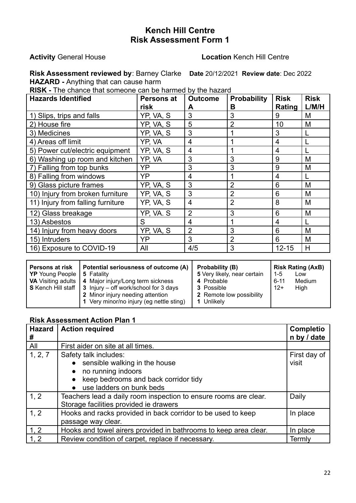#### **Activity** General House **Location** Kench Hill Centre

**Risk Assessment reviewed by**: Barney Clarke **Date** 20/12/2021 **Review date**: Dec 2022 **HAZARD -** Anything that can cause harm

**RISK -** The chance that someone can be harmed by the hazard

| <b>Hazards Identified</b>         | <b>Persons at</b><br>risk | <b>Outcome</b><br>A | <b>Probability</b><br>в | <b>Risk</b><br>Rating | <b>Risk</b><br>L/M/H |
|-----------------------------------|---------------------------|---------------------|-------------------------|-----------------------|----------------------|
| 1) Slips, trips and falls         | YP, VA, S                 | 3                   | 3                       | 9                     | M                    |
| 2) House fire                     | YP, VA, S                 | 5                   | $\overline{2}$          | 10                    | M                    |
| 3) Medicines                      | YP, VA, S                 | 3                   |                         | 3                     |                      |
| 4) Areas off limit                | YP, VA                    | 4                   |                         | 4                     |                      |
| 5) Power cut/electric equipment   | YP, VA, S                 | 4                   | 1                       | 4                     |                      |
| 6) Washing up room and kitchen    | YP, VA                    | 3                   | 3                       | 9                     | M                    |
| 7) Falling from top bunks         | YP                        | 3                   | 3                       | 9                     | M                    |
| 8) Falling from windows           | YP                        | 4                   |                         | 4                     |                      |
| 9) Glass picture frames           | YP, VA, S                 | 3                   | $\overline{2}$          | 6                     | M                    |
| 10) Injury from broken furniture  | YP, VA, S                 | 3                   | $\overline{2}$          | 6                     | M                    |
| 11) Injury from falling furniture | YP, VA, S                 | 4                   | $\overline{2}$          | 8                     | M                    |
| 12) Glass breakage                | YP, VA. S                 | $\overline{2}$      | 3                       | 6                     | M                    |
| 13) Asbestos                      | S                         | $\overline{4}$      | 1                       | 4                     |                      |
| 14) Injury from heavy doors       | YP, VA, S                 | $\overline{2}$      | 3                       | 6                     | M                    |
| 15) Intruders                     | YP                        | 3                   | $\overline{2}$          | 6                     | M                    |
| 16) Exposure to COVID-19          | All                       | 4/5                 | 3                       | $12 - 15$             | н                    |

|  | Persons at risk<br><b>YP</b> Young People | Potential seriousness of outcome (A)<br>5 Fatality<br><b>VA</b> Visiting adults   4 Major injury/Long term sickness<br><b>S</b> Kench Hill staff $\vert 3 \vert$ Injury – off work/school for 3 days<br>2 Minor injury needing attention<br>1 Very minor/no injury (eg nettle sting) | Probability (B)<br>5 Very likely, near certain<br>4 Probable<br>3 Possible<br>2 Remote low possibility<br>1 Unlikely | <b>Risk Rating (AxB)</b><br>$1 - 5$<br>Low<br>Medium<br>$6 - 11$<br>$12+$<br>High |
|--|-------------------------------------------|--------------------------------------------------------------------------------------------------------------------------------------------------------------------------------------------------------------------------------------------------------------------------------------|----------------------------------------------------------------------------------------------------------------------|-----------------------------------------------------------------------------------|
|--|-------------------------------------------|--------------------------------------------------------------------------------------------------------------------------------------------------------------------------------------------------------------------------------------------------------------------------------------|----------------------------------------------------------------------------------------------------------------------|-----------------------------------------------------------------------------------|

| <b>Hazard</b><br># | <b>Action required</b>                                           | <b>Completio</b><br>n by / date |
|--------------------|------------------------------------------------------------------|---------------------------------|
| All                | First aider on site at all times.                                |                                 |
| 1, 2, 7            | Safety talk includes:                                            | First day of                    |
|                    | • sensible walking in the house                                  | visit                           |
|                    | no running indoors<br>$\bullet$                                  |                                 |
|                    | • keep bedrooms and back corridor tidy                           |                                 |
|                    | • use ladders on bunk beds                                       |                                 |
| 1, 2               | Teachers lead a daily room inspection to ensure rooms are clear. | Daily                           |
|                    | Storage facilities provided ie drawers                           |                                 |
| 1, 2               | Hooks and racks provided in back corridor to be used to keep     | In place                        |
|                    | passage way clear.                                               |                                 |
| 1, 2               | Hooks and towel airers provided in bathrooms to keep area clear. | In place                        |
| 1, 2               | Review condition of carpet, replace if necessary.                | Termly                          |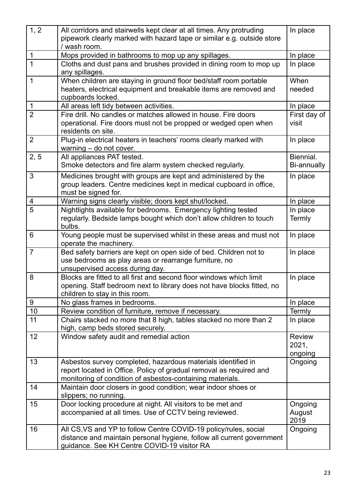| 1, 2           | All corridors and stairwells kept clear at all times. Any protruding<br>pipework clearly marked with hazard tape or similar e.g. outside store<br>/ wash room.                                   | In place                          |
|----------------|--------------------------------------------------------------------------------------------------------------------------------------------------------------------------------------------------|-----------------------------------|
| $\mathbf{1}$   | Mops provided in bathrooms to mop up any spillages.                                                                                                                                              | In place                          |
| $\overline{1}$ | Cloths and dust pans and brushes provided in dining room to mop up<br>any spillages.                                                                                                             | In place                          |
| 1              | When children are staying in ground floor bed/staff room portable<br>heaters, electrical equipment and breakable items are removed and<br>cupboards locked.                                      | When<br>needed                    |
| $\mathbf 1$    | All areas left tidy between activities.                                                                                                                                                          | In place                          |
| $\overline{2}$ | Fire drill. No candles or matches allowed in house. Fire doors<br>operational. Fire doors must not be propped or wedged open when<br>residents on site.                                          | First day of<br>visit             |
| 2              | Plug-in electrical heaters in teachers' rooms clearly marked with<br>warning - do not cover.                                                                                                     | In place                          |
| 2, 5           | All appliances PAT tested.<br>Smoke detectors and fire alarm system checked regularly.                                                                                                           | Biennial.<br><b>Bi-annually</b>   |
| 3              | Medicines brought with groups are kept and administered by the<br>group leaders. Centre medicines kept in medical cupboard in office,<br>must be signed for.                                     | In place                          |
| 4              | Warning signs clearly visible; doors kept shut/locked.                                                                                                                                           | In place                          |
| 5              | Nightlights available for bedrooms. Emergency lighting tested<br>regularly. Bedside lamps bought which don't allow children to touch<br>bulbs.                                                   | In place<br>Termly                |
| 6              | Young people must be supervised whilst in these areas and must not<br>operate the machinery.                                                                                                     | In place                          |
| $\overline{7}$ | Bed safety barriers are kept on open side of bed. Children not to<br>use bedrooms as play areas or rearrange furniture, no<br>unsupervised access during day.                                    | In place                          |
| 8              | Blocks are fitted to all first and second floor windows which limit<br>opening. Staff bedroom next to library does not have blocks fitted, no<br>children to stay in this room.                  | In place                          |
| 9              | No glass frames in bedrooms.                                                                                                                                                                     | In place                          |
| $10$           | Review condition of furniture, remove if necessary.                                                                                                                                              | Termly                            |
| 11             | Chairs stacked no more that 8 high, tables stacked no more than 2<br>high, camp beds stored securely.                                                                                            | In place                          |
| 12             | Window safety audit and remedial action                                                                                                                                                          | <b>Review</b><br>2021,<br>ongoing |
| 13             | Asbestos survey completed, hazardous materials identified in<br>report located in Office. Policy of gradual removal as required and<br>monitoring of condition of asbestos-containing materials. | Ongoing                           |
| 14             | Maintain door closers in good condition; wear indoor shoes or<br>slippers; no running.                                                                                                           |                                   |
| 15             | Door locking procedure at night. All visitors to be met and<br>accompanied at all times. Use of CCTV being reviewed.                                                                             | Ongoing<br>August<br>2019         |
| 16             | All CS, VS and YP to follow Centre COVID-19 policy/rules, social<br>distance and maintain personal hygiene, follow all current government<br>guidance. See KH Centre COVID-19 visitor RA         | Ongoing                           |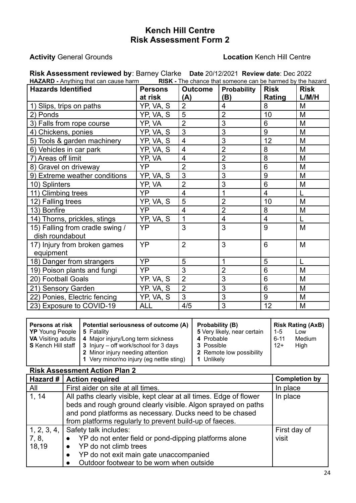#### **Activity** General Grounds **Location** Kench Hill Centre

| Risk Assessment reviewed by: Barney Clarke Date 20/12/2021 Review date: Dec 2022<br><b>HAZARD</b> - Anything that can cause harm<br>RISK - The chance that someone can be harmed by the hazard |                           |                       |                    |                       |                      |  |
|------------------------------------------------------------------------------------------------------------------------------------------------------------------------------------------------|---------------------------|-----------------------|--------------------|-----------------------|----------------------|--|
| <b>Hazards Identified</b>                                                                                                                                                                      | <b>Persons</b><br>at risk | <b>Outcome</b><br>(A) | Probability<br>(B) | <b>Risk</b><br>Rating | <b>Risk</b><br>L/M/H |  |
|                                                                                                                                                                                                | YP, VA, S                 | $\overline{2}$        | 4                  | 8                     | M                    |  |
| 1) Slips, trips on paths<br>2) Ponds                                                                                                                                                           | YP, VA, S                 | 5                     | $\overline{2}$     | 10                    | M                    |  |
|                                                                                                                                                                                                |                           | $\overline{2}$        | 3                  | 6                     | M                    |  |
| 3) Falls from rope course                                                                                                                                                                      | YP, VA                    | 3                     | 3                  | 9                     | M                    |  |
| 4) Chickens, ponies                                                                                                                                                                            | YP, VA, S                 |                       |                    | 12                    |                      |  |
| 5) Tools & garden machinery                                                                                                                                                                    | YP, VA, S                 | $\overline{4}$        | 3                  |                       | M                    |  |
| 6) Vehicles in car park                                                                                                                                                                        | YP, VA, S                 | $\overline{4}$        | $\overline{2}$     | 8                     | M                    |  |
| 7) Areas off limit                                                                                                                                                                             | YP, VA                    | $\overline{4}$        | $\overline{2}$     | 8                     | M                    |  |
| 8) Gravel on driveway                                                                                                                                                                          | YP                        | $\overline{2}$        | 3                  | 6                     | M                    |  |
| 9) Extreme weather conditions                                                                                                                                                                  | YP, VA, S                 | $\overline{3}$        | 3                  | 9                     | M                    |  |
| 10) Splinters                                                                                                                                                                                  | YP, VA                    | $\overline{2}$        | 3                  | 6                     | M                    |  |
| 11) Climbing trees                                                                                                                                                                             | YP                        | $\overline{4}$        | $\overline{1}$     | $\overline{4}$        | L                    |  |
| 12) Falling trees                                                                                                                                                                              | YP, VA, S                 | 5                     | $\overline{2}$     | 10                    | M                    |  |
| 13) Bonfire                                                                                                                                                                                    | YP                        | $\overline{4}$        | $\overline{2}$     | 8                     | M                    |  |
| 14) Thorns, prickles, stings                                                                                                                                                                   | YP, VA, S                 | 1                     | $\overline{4}$     | $\overline{4}$        | $\mathsf{L}$         |  |
| 15) Falling from cradle swing /                                                                                                                                                                | YP                        | 3                     | 3                  | 9                     | M                    |  |
| dish roundabout                                                                                                                                                                                |                           |                       |                    |                       |                      |  |
| 17) Injury from broken games<br>equipment                                                                                                                                                      | YP                        | $\overline{2}$        | 3                  | 6                     | M                    |  |
| 18) Danger from strangers                                                                                                                                                                      | YP                        | 5                     | 1                  | 5                     |                      |  |
| 19) Poison plants and fungi                                                                                                                                                                    | YP                        | 3                     | $\overline{2}$     | 6                     | M                    |  |
| 20) Football Goals                                                                                                                                                                             | YP. VA, S                 | $\overline{2}$        | 3                  | 6                     | M                    |  |
| 21) Sensory Garden                                                                                                                                                                             | YP. VA, S                 | $\overline{2}$        | 3                  | 6                     | M                    |  |
| 22) Ponies, Electric fencing                                                                                                                                                                   | YP, VA, S                 | 3                     | 3                  | 9                     | M                    |  |
| 23) Exposure to COVID-19                                                                                                                                                                       | <b>ALL</b>                | 4/5                   | 3                  | 12                    | M                    |  |

| Hazard #    | <b>Action required</b>                                             | <b>Completion by</b> |
|-------------|--------------------------------------------------------------------|----------------------|
| All         | First aider on site at all times.                                  | In place             |
| 1, 14       | All paths clearly visible, kept clear at all times. Edge of flower | In place             |
|             | beds and rough ground clearly visible. Algon sprayed on paths      |                      |
|             | and pond platforms as necessary. Ducks need to be chased           |                      |
|             | from platforms regularly to prevent build-up of faeces.            |                      |
| 1, 2, 3, 4, | Safety talk includes:                                              | First day of         |
| 7, 8,       | YP do not enter field or pond-dipping platforms alone              | visit                |
| 18,19       | YP do not climb trees                                              |                      |
|             | YP do not exit main gate unaccompanied<br>$\bullet$                |                      |
|             | Outdoor footwear to be worn when outside                           |                      |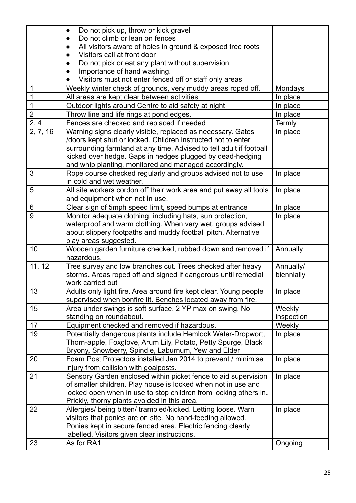|                | Do not pick up, throw or kick gravel<br>$\bullet$                   |            |
|----------------|---------------------------------------------------------------------|------------|
|                | Do not climb or lean on fences                                      |            |
|                | All visitors aware of holes in ground & exposed tree roots          |            |
|                | Visitors call at front door                                         |            |
|                | Do not pick or eat any plant without supervision                    |            |
|                | Importance of hand washing.                                         |            |
|                | Visitors must not enter fenced off or staff only areas              |            |
| 1              | Weekly winter check of grounds, very muddy areas roped off.         | Mondays    |
| 1              | All areas are kept clear between activities                         | In place   |
| $\mathbf{1}$   | Outdoor lights around Centre to aid safety at night                 | In place   |
| $\overline{2}$ | Throw line and life rings at pond edges.                            | In place   |
| 2, 4           | Fences are checked and replaced if needed                           | Termly     |
| 2, 7, 16       | Warning signs clearly visible, replaced as necessary. Gates         | In place   |
|                | /doors kept shut or locked. Children instructed not to enter        |            |
|                | surrounding farmland at any time. Advised to tell adult if football |            |
|                | kicked over hedge. Gaps in hedges plugged by dead-hedging           |            |
|                | and whip planting, monitored and managed accordingly.               |            |
| 3              | Rope course checked regularly and groups advised not to use         | In place   |
|                | in cold and wet weather.                                            |            |
| 5              | All site workers cordon off their work area and put away all tools  | In place   |
|                | and equipment when not in use.                                      |            |
| 6              | Clear sign of 5mph speed limit, speed bumps at entrance             | In place   |
| $\overline{9}$ | Monitor adequate clothing, including hats, sun protection,          | In place   |
|                | waterproof and warm clothing. When very wet, groups advised         |            |
|                | about slippery footpaths and muddy football pitch. Alternative      |            |
|                | play areas suggested.                                               |            |
| 10             | Wooden garden furniture checked, rubbed down and removed if         | Annually   |
|                | hazardous.                                                          |            |
| 11, 12         | Tree survey and low branches cut. Trees checked after heavy         | Annually/  |
|                | storms. Areas roped off and signed if dangerous until remedial      | biennially |
|                | work carried out                                                    |            |
| 13             | Adults only light fire. Area around fire kept clear. Young people   | In place   |
|                | supervised when bonfire lit. Benches located away from fire.        |            |
| 15             | Area under swings is soft surface. 2 YP max on swing. No            | Weekly     |
|                | standing on roundabout.                                             | inspection |
| 17             | Equipment checked and removed if hazardous.                         | Weekly     |
| 19             | Potentially dangerous plants include Hemlock Water-Dropwort,        | In place   |
|                | Thorn-apple, Foxglove, Arum Lily, Potato, Petty Spurge, Black       |            |
|                | Bryony, Snowberry, Spindle, Laburnum, Yew and Elder                 |            |
| 20             | Foam Post Protectors installed Jan 2014 to prevent / minimise       | In place   |
|                | injury from collision with goalposts.                               |            |
| 21             | Sensory Garden enclosed within picket fence to aid supervision      | In place   |
|                | of smaller children. Play house is locked when not in use and       |            |
|                | locked open when in use to stop children from locking others in.    |            |
|                | Prickly, thorny plants avoided in this area.                        |            |
| 22             | Allergies/ being bitten/ trampled/kicked. Letting loose. Warn       | In place   |
|                | visitors that ponies are on site. No hand-feeding allowed.          |            |
|                | Ponies kept in secure fenced area. Electric fencing clearly         |            |
|                | labelled. Visitors given clear instructions.                        |            |
| 23             | As for RA1                                                          | Ongoing    |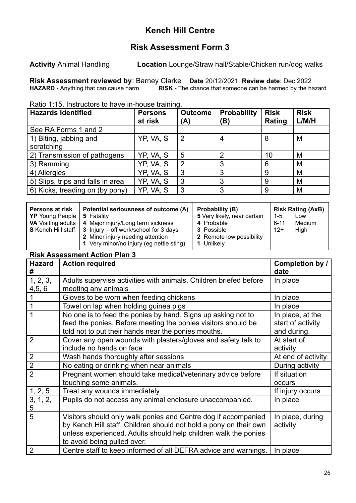### **Kench Hill Centre**

### **Risk Assessment Form 3**

**Activity** Animal Handling **Location** Lounge/Straw hall/Stable/Chicken run/dog walks

**Risk Assessment reviewed by**: Barney Clarke **Date** 20/12/2021 **Review date**: Dec 2022 **RISK** - The chance that someone can be harmed by the hazard

Ratio 1:15. Instructors to have in-house training.

| <b>Hazards Identified</b>            | <b>Persons</b><br>at risk | <b>Outcome</b><br>(A) | <b>Probability</b><br>(B) | <b>Risk</b><br>Rating | <b>Risk</b><br>L/M/H |
|--------------------------------------|---------------------------|-----------------------|---------------------------|-----------------------|----------------------|
| See RA Forms 1 and 2                 |                           |                       |                           |                       |                      |
| 1) Biting, jabbing and<br>scratching | YP, VA, S                 | $\overline{2}$        | 4                         | 8                     | M                    |
| 2) Transmission of pathogens         | YP, VA, S                 | 5                     | າ                         | 10                    | M                    |
| 3) Ramming                           | YP, VA, S                 | $\overline{2}$        | 3                         | 6                     | M                    |
| 4) Allergies                         | YP, VA, S                 | 3                     | 3                         | 9                     | M                    |
| 5) Slips, trips and falls in area    | YP, VA, S                 | 3                     | 3                         | 9                     | M                    |
| 6) Kicks, treading on (by pony)      | YP, VA, S                 | 3                     | 3                         | 9                     | M                    |

| Potential seriousness of outcome (A)<br><b>Persons at risk</b><br><b>YP</b> Young People   5 Fatality<br><b>VA</b> Visiting adults   4 Major injury/Long term sickness |                                                                                                             | <b>Probability (B)</b><br>5 Very likely, near certain<br>4 Probable | 1-5<br>$6 - 11$ | <b>Risk Rating (AxB)</b><br>Low<br>Medium |
|------------------------------------------------------------------------------------------------------------------------------------------------------------------------|-------------------------------------------------------------------------------------------------------------|---------------------------------------------------------------------|-----------------|-------------------------------------------|
|                                                                                                                                                                        | <b>S</b> Kench Hill staff $\vert$ 3 Injury – off work/school for 3 days<br>2 Minor injury needing attention | 3 Possible<br>2 Remote low possibility                              | $12+$           | High                                      |
|                                                                                                                                                                        | 1 Very minor/no injury (eg nettle sting)                                                                    | 1 Unlikely                                                          |                 |                                           |

| <b>Hazard</b><br># | <b>Action required</b>                                                                                                                                                                                                                | Completion by /<br>date                              |
|--------------------|---------------------------------------------------------------------------------------------------------------------------------------------------------------------------------------------------------------------------------------|------------------------------------------------------|
| 1, 2, 3,           | Adults supervise activities with animals. Children briefed before                                                                                                                                                                     | In place                                             |
| 4, 5, 6            | meeting any animals                                                                                                                                                                                                                   |                                                      |
|                    | Gloves to be worn when feeding chickens                                                                                                                                                                                               | In place                                             |
|                    | Towel on lap when holding guinea pigs                                                                                                                                                                                                 | In place                                             |
| 1                  | No one is to feed the ponies by hand. Signs up asking not to<br>feed the ponies. Before meeting the ponies visitors should be<br>told not to put their hands near the ponies mouths.                                                  | In place, at the<br>start of activity<br>and during. |
| $\overline{2}$     | Cover any open wounds with plasters/gloves and safety talk to<br>include no hands on face                                                                                                                                             | At start of<br>activity                              |
| $\overline{2}$     | Wash hands thoroughly after sessions                                                                                                                                                                                                  | At end of activity                                   |
| $\overline{2}$     | No eating or drinking when near animals                                                                                                                                                                                               | During activity                                      |
| $\overline{2}$     | Pregnant women should take medical/veterinary advice before                                                                                                                                                                           | If situation                                         |
|                    | touching some animals.                                                                                                                                                                                                                | occurs                                               |
| 1, 2, 5            | Treat any wounds immediately                                                                                                                                                                                                          | If injury occurs                                     |
| 3, 1, 2,<br>5      | Pupils do not access any animal enclosure unaccompanied.                                                                                                                                                                              | In place                                             |
| 5                  | Visitors should only walk ponies and Centre dog if accompanied<br>by Kench Hill staff. Children should not hold a pony on their own<br>unless experienced. Adults should help children walk the ponies<br>to avoid being pulled over. | In place, during<br>activity                         |
| $\overline{2}$     | Centre staff to keep informed of all DEFRA advice and warnings.                                                                                                                                                                       | In place                                             |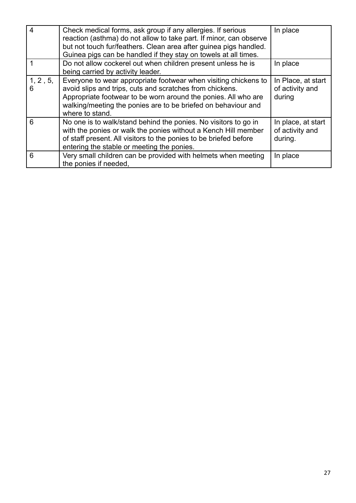| $\overline{4}$ | Check medical forms, ask group if any allergies. If serious<br>reaction (asthma) do not allow to take part. If minor, can observe<br>but not touch fur/feathers. Clean area after guinea pigs handled.<br>Guinea pigs can be handled if they stay on towels at all times.         | In place                                         |
|----------------|-----------------------------------------------------------------------------------------------------------------------------------------------------------------------------------------------------------------------------------------------------------------------------------|--------------------------------------------------|
|                | Do not allow cockerel out when children present unless he is<br>being carried by activity leader.                                                                                                                                                                                 | In place                                         |
| 1, 2, 5,<br>6  | Everyone to wear appropriate footwear when visiting chickens to<br>avoid slips and trips, cuts and scratches from chickens.<br>Appropriate footwear to be worn around the ponies. All who are<br>walking/meeting the ponies are to be briefed on behaviour and<br>where to stand. | In Place, at start<br>of activity and<br>during  |
| 6              | No one is to walk/stand behind the ponies. No visitors to go in<br>with the ponies or walk the ponies without a Kench Hill member<br>of staff present. All visitors to the ponies to be briefed before<br>entering the stable or meeting the ponies.                              | In place, at start<br>of activity and<br>during. |
| 6              | Very small children can be provided with helmets when meeting<br>the ponies if needed.                                                                                                                                                                                            | In place                                         |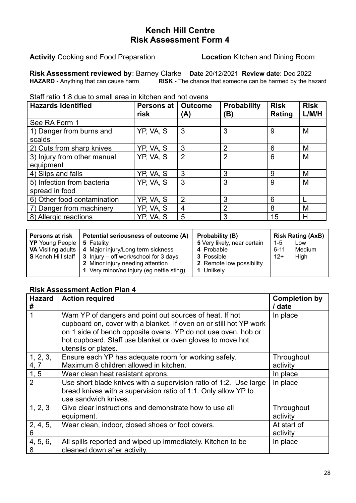#### **Activity** Cooking and Food Preparation **Location** Kitchen and Dining Room

**Risk Assessment reviewed by**: Barney Clarke **Date** 20/12/2021 **Review date**: Dec 2022 **RISK -** The chance that someone can be harmed by the hazard

Staff ratio 1:8 due to small area in kitchen and hot ovens

| <b>Hazards Identified</b>   | <b>Persons at</b><br>risk | <b>Outcome</b><br>(A) | <b>Probability</b><br>B) | <b>Risk</b><br>Rating | <b>Risk</b><br>L/M/H |
|-----------------------------|---------------------------|-----------------------|--------------------------|-----------------------|----------------------|
| See RA Form 1               |                           |                       |                          |                       |                      |
| 1) Danger from burns and    | YP, VA, S                 | 3                     | 3                        | 9                     | M                    |
| scalds                      |                           |                       |                          |                       |                      |
| 2) Cuts from sharp knives   | YP, VA, S                 | 3                     | $\overline{2}$           | 6                     | M                    |
| 3) Injury from other manual | YP, VA, S                 | $\overline{2}$        | $\overline{2}$           | 6                     | M                    |
| equipment                   |                           |                       |                          |                       |                      |
| 4) Slips and falls          | YP, VA, S                 | 3                     | 3                        | 9                     | M                    |
| 5) Infection from bacteria  | YP, VA, S                 | 3                     | 3                        | 9                     | M                    |
| spread in food              |                           |                       |                          |                       |                      |
| 6) Other food contamination | YP, VA, S                 | $\overline{2}$        | 3                        | 6                     |                      |
| 7) Danger from machinery    | YP, VA, S                 | 4                     | $\overline{2}$           | 8                     | M                    |
| 8) Allergic reactions       | YP, VA, S                 | 5                     | 3                        | 15                    | Н                    |

| <b>Persons at risk</b><br><b>YP</b> Young People   5 Fatality | Potential seriousness of outcome (A)<br><b>VA</b> Visiting adults   4 Major injury/Long term sickness<br><b>S</b> Kench Hill staff $\vert 3 \vert$ Injury – off work/school for 3 days<br>2 Minor injury needing attention | Probability (B)<br>5 Very likely, near certain<br>4 Probable<br><b>3</b> Possible<br>2 Remote low possibility | l 1-5<br>$6 - 11$<br>$12+$ | <b>Risk Rating (AxB)</b><br>Low<br><b>Medium</b><br>High |
|---------------------------------------------------------------|----------------------------------------------------------------------------------------------------------------------------------------------------------------------------------------------------------------------------|---------------------------------------------------------------------------------------------------------------|----------------------------|----------------------------------------------------------|
|                                                               | 1 Very minor/no injury (eg nettle sting)                                                                                                                                                                                   | 1 Unlikely                                                                                                    |                            |                                                          |

| <b>Hazard</b><br># | <b>Action required</b>                                                                                                                                                                          | <b>Completion by</b><br>/ date |
|--------------------|-------------------------------------------------------------------------------------------------------------------------------------------------------------------------------------------------|--------------------------------|
|                    | Warn YP of dangers and point out sources of heat. If hot<br>cupboard on, cover with a blanket. If oven on or still hot YP work<br>on 1 side of bench opposite ovens. YP do not use oven, hob or | In place                       |
|                    | hot cupboard. Staff use blanket or oven gloves to move hot<br>utensils or plates.                                                                                                               |                                |
| 1, 2, 3,<br>4, 7   | Ensure each YP has adequate room for working safely.<br>Maximum 8 children allowed in kitchen.                                                                                                  | Throughout<br>activity         |
| 1, 5               | Wear clean heat resistant aprons.                                                                                                                                                               | In place                       |
| 2                  | Use short blade knives with a supervision ratio of 1:2. Use large<br>bread knives with a supervision ratio of 1:1. Only allow YP to<br>use sandwich knives.                                     | In place                       |
| 1, 2, 3            | Give clear instructions and demonstrate how to use all<br>equipment.                                                                                                                            | Throughout<br>activity         |
| 2, 4, 5,<br>6      | Wear clean, indoor, closed shoes or foot covers.                                                                                                                                                | At start of<br>activity        |
| 4, 5, 6,<br>8      | All spills reported and wiped up immediately. Kitchen to be<br>cleaned down after activity.                                                                                                     | In place                       |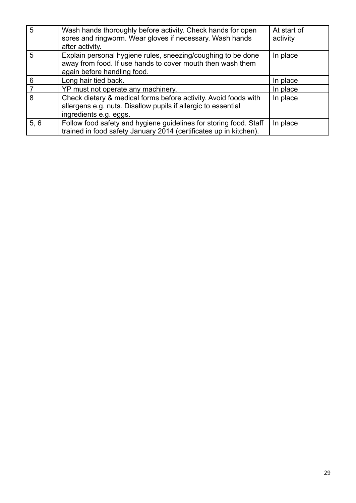| 5    | Wash hands thoroughly before activity. Check hands for open<br>sores and ringworm. Wear gloves if necessary. Wash hands<br>after activity.                 | At start of<br>activity |
|------|------------------------------------------------------------------------------------------------------------------------------------------------------------|-------------------------|
| 5    | Explain personal hygiene rules, sneezing/coughing to be done<br>away from food. If use hands to cover mouth then wash them<br>again before handling food.  | In place                |
| 6    | Long hair tied back.                                                                                                                                       | In place                |
|      | YP must not operate any machinery.                                                                                                                         | In place                |
| 8    | Check dietary & medical forms before activity. Avoid foods with<br>allergens e.g. nuts. Disallow pupils if allergic to essential<br>ingredients e.g. eggs. | In place                |
| 5, 6 | Follow food safety and hygiene guidelines for storing food. Staff<br>trained in food safety January 2014 (certificates up in kitchen).                     | In place                |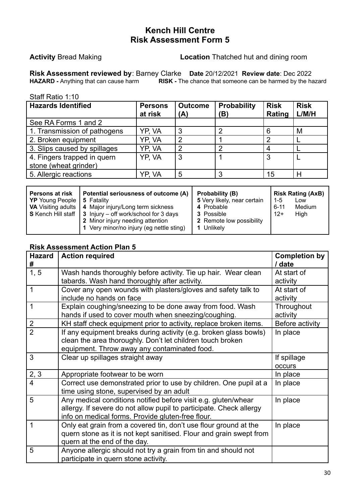**Activity** Bread Making **Location** Thatched hut and dining room

**Risk Assessment reviewed by**: Barney Clarke **Date** 20/12/2021 **Review date**: Dec 2022 **RISK -** The chance that someone can be harmed by the hazard

Staff Ratio 1:10

| <b>Hazards Identified</b>                            | <b>Persons</b><br>at risk | <b>Outcome</b><br>(A) | <b>Probability</b><br>(B) | <b>Risk</b><br>Rating | <b>Risk</b><br>L/M/H |
|------------------------------------------------------|---------------------------|-----------------------|---------------------------|-----------------------|----------------------|
| See RA Forms 1 and 2                                 |                           |                       |                           |                       |                      |
| 1. Transmission of pathogens                         | YP. VA                    | 3                     |                           | 6                     | M                    |
| 2. Broken equipment                                  | YP. VA                    | 2                     |                           | 2                     |                      |
| 3. Slips caused by spillages                         | YP, VA                    | າ                     | ⌒                         |                       |                      |
| 4. Fingers trapped in quern<br>stone (wheat grinder) | YP, VA                    | 3                     |                           | 3                     |                      |
| 5. Allergic reactions                                | YP. VA                    | 5                     | 3                         | 15                    |                      |

| Persons at risk<br>  YP Young People | Potential seriousness of outcome (A)<br>5 Fatality<br>  VA Visiting adults   4 Major injury/Long term sickness<br>$\mid$ S Kench Hill staff $\mid$ 3 Injury – off work/school for 3 days | Probability (B)<br>5 Very likely, near certain<br>4 Probable<br><b>3</b> Possible | $1 - 5$<br>6-11<br>$12+$ | <b>Risk Rating (AxB)</b><br>Low<br>Medium<br>High |
|--------------------------------------|------------------------------------------------------------------------------------------------------------------------------------------------------------------------------------------|-----------------------------------------------------------------------------------|--------------------------|---------------------------------------------------|
|                                      | 2 Minor injury needing attention<br>1 Very minor/no injury (eg nettle sting)                                                                                                             | 2 Remote low possibility<br>1 Unlikely                                            |                          |                                                   |

| <b>Hazard</b><br># | <b>Action required</b>                                                                                                                                                                     | <b>Completion by</b><br>/ date |
|--------------------|--------------------------------------------------------------------------------------------------------------------------------------------------------------------------------------------|--------------------------------|
| 1, 5               | Wash hands thoroughly before activity. Tie up hair. Wear clean<br>tabards. Wash hand thoroughly after activity.                                                                            | At start of<br>activity        |
| 1                  | Cover any open wounds with plasters/gloves and safety talk to<br>include no hands on face                                                                                                  | At start of<br>activity        |
| 1                  | Explain coughing/sneezing to be done away from food. Wash<br>hands if used to cover mouth when sneezing/coughing.                                                                          | Throughout<br>activity         |
| $\overline{2}$     | KH staff check equipment prior to activity, replace broken items.                                                                                                                          | Before activity                |
|                    | If any equipment breaks during activity (e.g. broken glass bowls)<br>clean the area thoroughly. Don't let children touch broken<br>equipment. Throw away any contaminated food.            | In place                       |
| 3                  | Clear up spillages straight away                                                                                                                                                           | If spillage<br>occurs          |
| 2, 3               | Appropriate footwear to be worn                                                                                                                                                            | In place                       |
| 4                  | Correct use demonstrated prior to use by children. One pupil at a<br>time using stone, supervised by an adult                                                                              | In place                       |
| 5                  | Any medical conditions notified before visit e.g. gluten/whear<br>allergy. If severe do not allow pupil to participate. Check allergy<br>info on medical forms. Provide gluten-free flour. | In place                       |
| 1                  | Only eat grain from a covered tin, don't use flour ground at the<br>quern stone as it is not kept sanitised. Flour and grain swept from<br>quern at the end of the day.                    | In place                       |
| 5                  | Anyone allergic should not try a grain from tin and should not<br>participate in quern stone activity.                                                                                     |                                |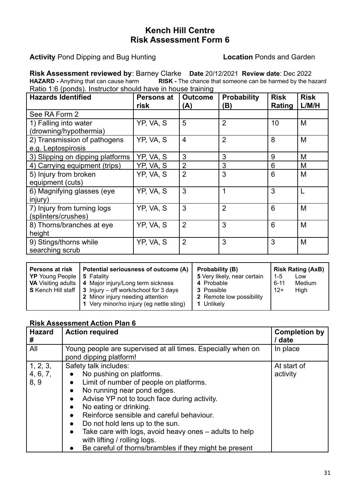**Activity** Pond Dipping and Bug Hunting **Location** Ponds and Garden

**Risk Assessment reviewed by**: Barney Clarke **Date** 20/12/2021 **Review date**: Dec 2022 **RISK -** The chance that someone can be harmed by the hazard Ratio 1:6 (ponds). Instructor should have in house training

| <b>Hazards Identified</b>                          | <b>Persons at</b><br>risk | <b>Outcome</b><br>(A) | <b>Probability</b><br>(B) | <b>Risk</b><br>Rating | <b>Risk</b><br>L/M/H |
|----------------------------------------------------|---------------------------|-----------------------|---------------------------|-----------------------|----------------------|
| See RA Form 2                                      |                           |                       |                           |                       |                      |
| 1) Falling into water<br>(drowning/hypothermia)    | YP, VA, S                 | 5                     | $\overline{2}$            | 10                    | M                    |
| 2) Transmission of pathogens<br>e.g. Leptospirosis | YP, VA, S                 | $\overline{4}$        | $\overline{2}$            | 8                     | M                    |
| 3) Slipping on dipping platforms                   | YP, VA, S                 | 3                     | 3                         | 9                     | M                    |
| 4) Carrying equipment (trips)                      | YP, VA, S                 | $\overline{2}$        | 3                         | 6                     | M                    |
| 5) Injury from broken<br>equipment (cuts)          | YP, VA, S                 | $\overline{2}$        | 3                         | 6                     | M                    |
| 6) Magnifying glasses (eye<br>injury)              | YP, VA, S                 | 3                     | 1                         | 3                     | L                    |
| 7) Injury from turning logs<br>(splinters/crushes) | YP, VA, S                 | 3                     | $\overline{2}$            | 6                     | M                    |
| 8) Thorns/branches at eye<br>height                | YP, VA, S                 | $\overline{2}$        | 3                         | 6                     | M                    |
| 9) Stings/thorns while<br>searching scrub          | YP, VA, S                 | $\overline{2}$        | 3                         | 3                     | M                    |

| <b>Persons at risk</b><br><b>YP</b> Young People   5 Fatality | Potential seriousness of outcome (A)<br>  VA Visiting adults   4 Major injury/Long term sickness<br>$\mid$ S Kench Hill staff $\mid$ 3 Injury – off work/school for 3 days<br>2 Minor injury needing attention | <b>Probability (B)</b><br>5 Very likely, near certain<br>4 Probable<br><b>3</b> Possible<br>2 Remote low possibility | 1-5<br>$6 - 11$<br>$12+$ | <b>Risk Rating (AxB)</b><br>LOW<br>Medium<br>High |
|---------------------------------------------------------------|----------------------------------------------------------------------------------------------------------------------------------------------------------------------------------------------------------------|----------------------------------------------------------------------------------------------------------------------|--------------------------|---------------------------------------------------|
|                                                               | 1 Very minor/no injury (eg nettle sting)                                                                                                                                                                       | 1 Unlikely                                                                                                           |                          |                                                   |

| <b>Hazard</b> | <b>Action required</b>                                              | <b>Completion by</b> |
|---------------|---------------------------------------------------------------------|----------------------|
| #             |                                                                     | / date               |
| All           | Young people are supervised at all times. Especially when on        | In place             |
|               | pond dipping platform!                                              |                      |
| 1, 2, 3,      | Safety talk includes:                                               | At start of          |
| 4, 6, 7,      | No pushing on platforms.<br>$\bullet$                               | activity             |
| 8, 9          | Limit of number of people on platforms.<br>$\bullet$                |                      |
|               | No running near pond edges.<br>$\bullet$                            |                      |
|               | Advise YP not to touch face during activity.<br>$\bullet$           |                      |
|               | No eating or drinking.<br>$\bullet$                                 |                      |
|               | Reinforce sensible and careful behaviour.<br>$\bullet$              |                      |
|               | Do not hold lens up to the sun.<br>$\bullet$                        |                      |
|               | Take care with logs, avoid heavy ones – adults to help<br>$\bullet$ |                      |
|               | with lifting / rolling logs.                                        |                      |
|               | Be careful of thorns/brambles if they might be present              |                      |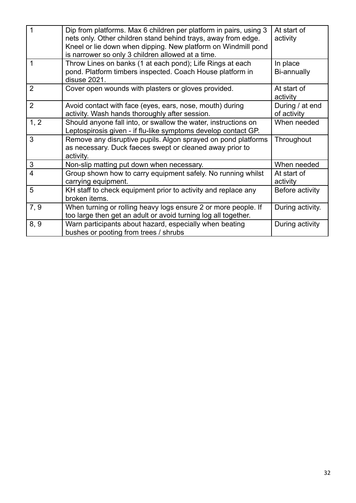| 1              | Dip from platforms. Max 6 children per platform in pairs, using 3<br>nets only. Other children stand behind trays, away from edge.<br>Kneel or lie down when dipping. New platform on Windmill pond<br>is narrower so only 3 children allowed at a time. | At start of<br>activity        |
|----------------|----------------------------------------------------------------------------------------------------------------------------------------------------------------------------------------------------------------------------------------------------------|--------------------------------|
| 1              | Throw Lines on banks (1 at each pond); Life Rings at each<br>pond. Platform timbers inspected. Coach House platform in<br>disuse 2021.                                                                                                                   | In place<br>Bi-annually        |
| $\overline{2}$ | Cover open wounds with plasters or gloves provided.                                                                                                                                                                                                      | At start of<br>activity        |
| $\overline{2}$ | Avoid contact with face (eyes, ears, nose, mouth) during<br>activity. Wash hands thoroughly after session.                                                                                                                                               | During / at end<br>of activity |
| 1, 2           | Should anyone fall into, or swallow the water, instructions on<br>Leptospirosis given - if flu-like symptoms develop contact GP.                                                                                                                         | When needed                    |
| 3              | Remove any disruptive pupils. Algon sprayed on pond platforms<br>as necessary. Duck faeces swept or cleaned away prior to<br>activity.                                                                                                                   | Throughout                     |
| 3              | Non-slip matting put down when necessary.                                                                                                                                                                                                                | When needed                    |
| $\overline{4}$ | Group shown how to carry equipment safely. No running whilst<br>carrying equipment.                                                                                                                                                                      | At start of<br>activity        |
| 5              | KH staff to check equipment prior to activity and replace any<br>broken items.                                                                                                                                                                           | Before activity                |
| 7, 9           | When turning or rolling heavy logs ensure 2 or more people. If<br>too large then get an adult or avoid turning log all together.                                                                                                                         | During activity.               |
| 8, 9           | Warn participants about hazard, especially when beating<br>bushes or pooting from trees / shrubs                                                                                                                                                         | During activity                |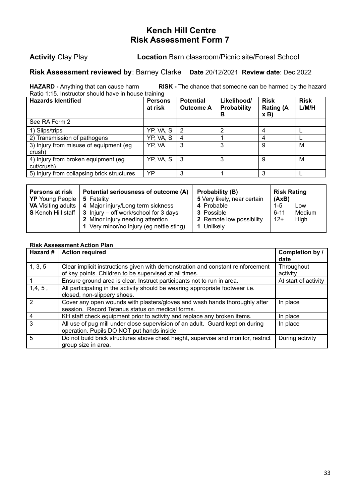**Activity** Clay Play **Location** Barn classroom/Picnic site/Forest School

#### **Risk Assessment reviewed by**: Barney Clarke **Date** 20/12/2021 **Review date**: Dec 2022

**HAZARD -** Anything that can cause harm **RISK -** The chance that someone can be harmed by the hazard Ratio 1:15. Instructor should have in house training

| <b>Hazards Identified</b>                         | <b>Persons</b><br>at risk | <b>Potential</b><br><b>Outcome A</b> | Likelihood/<br><b>Probability</b><br>в | <b>Risk</b><br><b>Rating (A</b><br>x B | <b>Risk</b><br>L/M/H |
|---------------------------------------------------|---------------------------|--------------------------------------|----------------------------------------|----------------------------------------|----------------------|
| See RA Form 2                                     |                           |                                      |                                        |                                        |                      |
| 1) Slips/trips                                    | YP, VA, S                 | -2                                   |                                        |                                        |                      |
| 2) Transmission of pathogens                      | YP, VA, S                 |                                      |                                        |                                        |                      |
| 3) Injury from misuse of equipment (eg)<br>crush) | YP, VA                    | 3                                    | 3                                      | 9                                      | М                    |
| 4) Injury from broken equipment (eg<br>cut/crush) | YP, VA, S                 | - 3                                  | 3                                      | 9                                      | M                    |
| 5) Injury from collapsing brick structures        | YP                        | 3                                    |                                        |                                        |                      |

| <b>Persons at risk</b><br><b>YP</b> Young People   5 Fatality | Potential seriousness of outcome (A)<br><b>VA</b> Visiting adults   4 Major injury/Long term sickness<br><b>S</b> Kench Hill staff $\vert 3 \vert$ Injury – off work/school for 3 days<br>2 Minor injury needing attention | Probability (B)<br>5 Very likely, near certain<br>4 Probable<br><b>3</b> Possible<br>2 Remote low possibility | <b>Risk Rating</b><br>  (AxB)<br>$1 - 5$<br>Low<br>Medium<br>$6 - 11$<br>$12+$<br>High |
|---------------------------------------------------------------|----------------------------------------------------------------------------------------------------------------------------------------------------------------------------------------------------------------------------|---------------------------------------------------------------------------------------------------------------|----------------------------------------------------------------------------------------|
|                                                               | 1 Very minor/no injury (eg nettle sting)                                                                                                                                                                                   | 1 Unlikely                                                                                                    |                                                                                        |

| Hazard # | <b>Action required</b>                                                                                                                    | Completion by /<br>date |
|----------|-------------------------------------------------------------------------------------------------------------------------------------------|-------------------------|
| 1, 3, 5  | Clear implicit instructions given with demonstration and constant reinforcement<br>of key points. Children to be supervised at all times. | Throughout<br>activity  |
|          | Ensure ground area is clear. Instruct participants not to run in area.                                                                    | At start of activity    |
| 1,4,5,   | All participating in the activity should be wearing appropriate footwear i.e.<br>closed, non-slippery shoes.                              |                         |
|          | Cover any open wounds with plasters/gloves and wash hands thoroughly after<br>session. Record Tetanus status on medical forms.            | In place                |
|          | KH staff check equipment prior to activity and replace any broken items.                                                                  | In place                |
| 3        | All use of pug mill under close supervision of an adult. Guard kept on during<br>operation. Pupils DO NOT put hands inside.               | In place                |
| 5        | Do not build brick structures above chest height, supervise and monitor, restrict<br>group size in area.                                  | During activity         |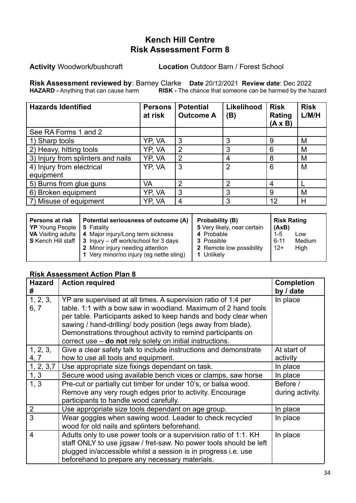**Activity** Woodwork**/**bushcraft **Location** Outdoor Barn / Forest School

**Risk Assessment reviewed by**: Barney Clarke **Date** 20/12/2021 **Review date**: Dec 2022 **HAZARD -** Anything that can cause harm **RISK -** The chance that someone can be harmed by the hazard

| <b>Hazards Identified</b>          | <b>Persons</b><br>at risk | <b>Potential</b><br><b>Outcome A</b> | Likelihood<br>(B) | <b>Risk</b><br>Rating<br>$(A \times B)$ | <b>Risk</b><br>L/M/H |
|------------------------------------|---------------------------|--------------------------------------|-------------------|-----------------------------------------|----------------------|
| See RA Forms 1 and 2               |                           |                                      |                   |                                         |                      |
| 1) Sharp tools                     | YP, VA                    | 3                                    | 3                 | 9                                       | M                    |
| 2) Heavy, hitting tools            | YP, VA                    | $\overline{2}$                       | 3                 | 6                                       | M                    |
| 3) Injury from splinters and nails | YP, VA                    | $\overline{2}$                       | 4                 | 8                                       | M                    |
| 4) Injury from electrical          | YP, VA                    | 3                                    | $\overline{2}$    | 6                                       | M                    |
| equipment                          |                           |                                      |                   |                                         |                      |
| 5) Burns from glue guns            | VA                        | 2                                    | $\overline{2}$    | 4                                       |                      |
| 6) Broken equipment                | YP, VA                    | 3                                    | 3                 | 9                                       | M                    |
| 7) Misuse of equipment             | YP. VA                    | 4                                    | 3                 | 12                                      | н                    |

| <b>Persons at risk</b> | Potential seriousness of outcome (A)                                                                                                                                                                                    | Probability (B)                                                  | <b>Risk Rating</b>                                  |
|------------------------|-------------------------------------------------------------------------------------------------------------------------------------------------------------------------------------------------------------------------|------------------------------------------------------------------|-----------------------------------------------------|
| YP Young People        | 5 Fatality                                                                                                                                                                                                              | 5 Very likely, near certain                                      | (AxB)                                               |
|                        | <b>VA</b> Visiting adults   4 Major injury/Long term sickness<br>$\mid$ S Kench Hill staff $\mid$ 3 Injury – off work/school for 3 days<br>2 Minor injury needing attention<br>1 Very minor/no injury (eg nettle sting) | 4 Probable<br>3 Possible<br>2 Remote low possibility<br>Unlikely | $1-5$<br>Low<br>Medium<br>$6 - 11$<br>$12+$<br>High |

| <b>Hazard</b><br># | <b>Action required</b>                                                                                                                                                                                                                                                                                                                                                                            | <b>Completion</b><br>by / date |
|--------------------|---------------------------------------------------------------------------------------------------------------------------------------------------------------------------------------------------------------------------------------------------------------------------------------------------------------------------------------------------------------------------------------------------|--------------------------------|
| 1, 2, 3,<br>6, 7   | YP are supervised at all times. A supervision ratio of 1:4 per<br>table. 1:1 with a bow saw in woodland. Maximum of 2 hand tools<br>per table. Participants asked to keep hands and body clear when<br>sawing / hand-drilling/ body position (legs away from blade).<br>Demonstrations throughout activity to remind participants on<br>correct use - do not rely solely on initial instructions. | In place                       |
| 1, 2, 3,<br>4, 7   | Give a clear safety talk to include instructions and demonstrate<br>how to use all tools and equipment.                                                                                                                                                                                                                                                                                           | At start of<br>activity        |
| 1, 2, 3, 7         | Use appropriate size fixings dependant on task.                                                                                                                                                                                                                                                                                                                                                   | In place                       |
| 1, 3               | Secure wood using available bench vices or clamps, saw horse                                                                                                                                                                                                                                                                                                                                      | In place                       |
| 1, 3               | Pre-cut or partially cut timber for under 10's, or balsa wood.<br>Remove any very rough edges prior to activity. Encourage                                                                                                                                                                                                                                                                        | Before /<br>during activity.   |
|                    | participants to handle wood carefully.                                                                                                                                                                                                                                                                                                                                                            |                                |
| $\overline{2}$     | Use appropriate size tools dependant on age group.                                                                                                                                                                                                                                                                                                                                                | In place                       |
| 3                  | Wear goggles when sawing wood. Leader to check recycled<br>wood for old nails and splinters beforehand.                                                                                                                                                                                                                                                                                           | In place                       |
| $\overline{4}$     | Adults only to use power tools or a supervision ratio of 1:1. KH<br>staff ONLY to use jigsaw / fret-saw. No power tools should be left<br>plugged in/accessible whilst a session is in progress i.e. use<br>beforehand to prepare any necessary materials.                                                                                                                                        | In place                       |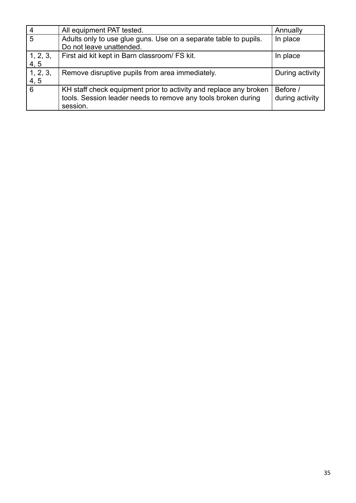|                    | All equipment PAT tested.                                         | Annually        |
|--------------------|-------------------------------------------------------------------|-----------------|
| 5                  | Adults only to use glue guns. Use on a separate table to pupils.  | In place        |
|                    | Do not leave unattended.                                          |                 |
|                    | First aid kit kept in Barn classroom/ FS kit.                     | In place        |
| $1, 2, 3,$<br>4, 5 |                                                                   |                 |
| 1, 2, 3,           | Remove disruptive pupils from area immediately.                   | During activity |
| 4, 5               |                                                                   |                 |
| 6                  | KH staff check equipment prior to activity and replace any broken | Before /        |
|                    | tools. Session leader needs to remove any tools broken during     | during activity |
|                    | session.                                                          |                 |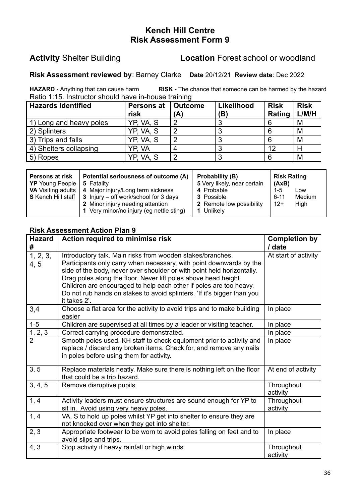#### **Activity** Shelter Building **Location** Forest school or woodland

#### **Risk Assessment reviewed by**: Barney Clarke **Date** 20/12/21 **Review date**: Dec 2022

**HAZARD -** Anything that can cause harm **RISK -** The chance that someone can be harmed by the hazard Ratio 1:15. Instructor should have in-house training

| <b>Hazards Identified</b> | Persons at<br>risk | Outcome<br>(A) | Likelihood<br>(B) | <b>Risk</b><br>Rating | <b>Risk</b><br>L/M/H |
|---------------------------|--------------------|----------------|-------------------|-----------------------|----------------------|
| 1) Long and heavy poles   | YP, VA, S          |                |                   |                       | м                    |
| 2) Splinters              | YP, VA, S          | n              |                   |                       | M                    |
| 3) Trips and falls        | YP, VA, S          |                |                   |                       | M                    |
| 4) Shelters collapsing    | YP. VA             |                |                   | 12                    |                      |
| 5) Ropes                  | YP, VA, S          |                |                   |                       | M                    |

| Potential seriousness of outcome (A)<br>Persons at risk<br><b>YP</b> Young People   5 Fatality |                                                                                                                                                                                                                  | Probability (B)<br>5 Very likely, near certain                          | <b>Risk Rating</b><br>  (AxB)                       |
|------------------------------------------------------------------------------------------------|------------------------------------------------------------------------------------------------------------------------------------------------------------------------------------------------------------------|-------------------------------------------------------------------------|-----------------------------------------------------|
|                                                                                                | VA Visiting adults   4 Major injury/Long term sickness<br>$\mid$ S Kench Hill staff $\mid$ 3 Injury – off work/school for 3 days<br>2 Minor injury needing attention<br>1 Very minor/no injury (eg nettle sting) | 4 Probable<br><b>3</b> Possible<br>2 Remote low possibility<br>Unlikelv | $1-5$<br>Low<br>Medium<br>$6 - 11$<br>$12+$<br>High |

| <b>Hazard</b><br># | Action required to minimise risk                                                                                                                                                                                                                                                                                                                                                                                                                | <b>Completion by</b><br>/ date |
|--------------------|-------------------------------------------------------------------------------------------------------------------------------------------------------------------------------------------------------------------------------------------------------------------------------------------------------------------------------------------------------------------------------------------------------------------------------------------------|--------------------------------|
| 1, 2, 3,<br>4.5    | Introductory talk. Main risks from wooden stakes/branches.<br>Participants only carry when necessary, with point downwards by the<br>side of the body, never over shoulder or with point held horizontally.<br>Drag poles along the floor. Never lift poles above head height.<br>Children are encouraged to help each other if poles are too heavy.<br>Do not rub hands on stakes to avoid splinters. 'If it's bigger than you<br>it takes 2'. | At start of activity           |
| 3,4                | Choose a flat area for the activity to avoid trips and to make building<br>easier                                                                                                                                                                                                                                                                                                                                                               | In place                       |
| $1-5$              | Children are supervised at all times by a leader or visiting teacher.                                                                                                                                                                                                                                                                                                                                                                           | In place                       |
| 1, 2, 3            | Correct carrying procedure demonstrated.                                                                                                                                                                                                                                                                                                                                                                                                        | In place                       |
|                    | Smooth poles used. KH staff to check equipment prior to activity and<br>replace / discard any broken items. Check for, and remove any nails<br>in poles before using them for activity.                                                                                                                                                                                                                                                         | In place                       |
| 3, 5               | Replace materials neatly. Make sure there is nothing left on the floor<br>that could be a trip hazard.                                                                                                                                                                                                                                                                                                                                          | At end of activity             |
| 3, 4, 5            | Remove disruptive pupils                                                                                                                                                                                                                                                                                                                                                                                                                        | Throughout<br>activity         |
| 1, 4               | Activity leaders must ensure structures are sound enough for YP to<br>sit in. Avoid using very heavy poles.                                                                                                                                                                                                                                                                                                                                     | Throughout<br>activity         |
| 1, 4               | VA, S to hold up poles whilst YP get into shelter to ensure they are<br>not knocked over when they get into shelter.                                                                                                                                                                                                                                                                                                                            |                                |
| 2, 3               | Appropriate footwear to be worn to avoid poles falling on feet and to<br>avoid slips and trips.                                                                                                                                                                                                                                                                                                                                                 | In place                       |
| 4, 3               | Stop activity if heavy rainfall or high winds                                                                                                                                                                                                                                                                                                                                                                                                   | Throughout<br>activity         |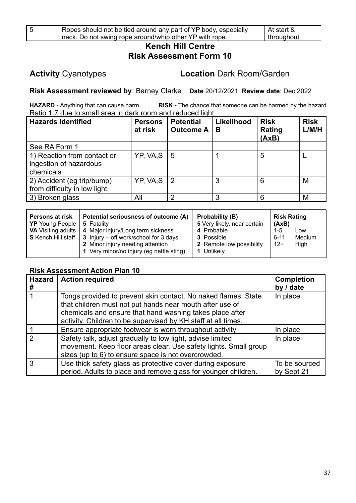| ۰<br>٠<br>I           |  |
|-----------------------|--|
| I<br>×<br>×<br>×<br>v |  |

### **Activity** Cyanotypes **Location** Dark Room/Garden

**Risk Assessment reviewed by**: Barney Clarke **Date** 20/12/2021 **Review date**: Dec 2022

**HAZARD -** Anything that can cause harm **RISK -** The chance that someone can be harmed by the hazard Ratio 1:7 due to small area in dark room and reduced light.

| <b>Hazards Identified</b>                                          | <b>Persons</b><br>at risk | <b>Potential</b><br><b>Outcome A</b> | Likelihood<br>В | <b>Risk</b><br>Rating<br>(AxB) | <b>Risk</b><br>L/M/H |
|--------------------------------------------------------------------|---------------------------|--------------------------------------|-----------------|--------------------------------|----------------------|
| See RA Form 1                                                      |                           |                                      |                 |                                |                      |
| 1) Reaction from contact or<br>ingestion of hazardous<br>chemicals | YP, VA,S                  | <u>  5</u>                           |                 | 5                              |                      |
| 2) Accident (eg trip/bump)<br>from difficulty in low light         | YP, VA, S                 | l 2                                  | 3               | 6                              | M                    |
| 3) Broken glass                                                    | All                       | っ                                    | ર               | 6                              | M                    |

| Potential seriousness of outcome (A)<br><b>Persons at risk</b><br><b>YP</b> Young People<br><b>5 Fatality</b><br><b>VA</b> Visiting adults   4 Major injury/Long term sickness<br><b>S</b> Kench Hill staff $\vert$ 3 Injury – off work/school for 3 days |                                          | Probability (B)<br>5 Very likely, near certain<br>4 Probable<br><b>3</b> Possible | <b>Risk Rating</b><br>  (AxB)<br>$1-5$<br>Low<br>Medium<br>6-11 |
|-----------------------------------------------------------------------------------------------------------------------------------------------------------------------------------------------------------------------------------------------------------|------------------------------------------|-----------------------------------------------------------------------------------|-----------------------------------------------------------------|
|                                                                                                                                                                                                                                                           | 2 Minor injury needing attention         | 2 Remote low possibility                                                          | l 12+                                                           |
|                                                                                                                                                                                                                                                           | 1 Very minor/no injury (eg nettle sting) | 1 Unlikely                                                                        | High                                                            |

| <b>Hazard</b><br># | <b>Action required</b>                                                                                                                                                                                                                                  | <b>Completion</b><br>by / date |
|--------------------|---------------------------------------------------------------------------------------------------------------------------------------------------------------------------------------------------------------------------------------------------------|--------------------------------|
|                    | Tongs provided to prevent skin contact. No naked flames. State<br>that children must not put hands near mouth after use of<br>chemicals and ensure that hand washing takes place after<br>activity. Children to be supervised by KH staff at all times. | In place                       |
|                    | Ensure appropriate footwear is worn throughout activity                                                                                                                                                                                                 | In place                       |
|                    | Safety talk, adjust gradually to low light, advise limited<br>movement. Keep floor areas clear. Use safety lights. Small group<br>sizes (up to 6) to ensure space is not overcrowded.                                                                   | In place                       |
| 3                  | Use thick safety glass as protective cover during exposure<br>period. Adults to place and remove glass for younger children.                                                                                                                            | To be sourced<br>by Sept 21    |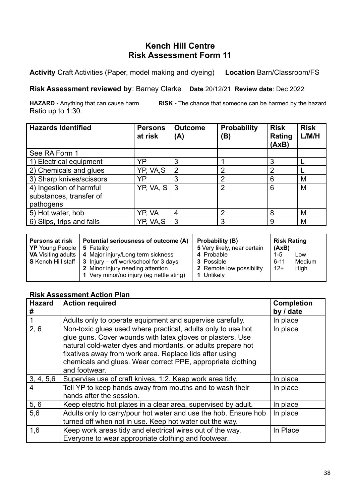**Activity** Craft Activities (Paper, model making and dyeing) **Location** Barn/Classroom/FS

**Risk Assessment reviewed by**: Barney Clarke **Date** 20/12/21 **Review date**: Dec 2022

**HAZARD -** Anything that can cause harm **RISK -** The chance that someone can be harmed by the hazard Ratio up to 1:30.

| <b>Hazards Identified</b>                                       | <b>Persons</b><br>at risk | <b>Outcome</b><br>(A) | <b>Probability</b><br>(B) | <b>Risk</b><br>Rating<br>(AxB) | <b>Risk</b><br>L/M/H |
|-----------------------------------------------------------------|---------------------------|-----------------------|---------------------------|--------------------------------|----------------------|
| See RA Form 1                                                   |                           |                       |                           |                                |                      |
| 1) Electrical equipment                                         | YP                        | 3                     |                           | 3                              |                      |
| 2) Chemicals and glues                                          | YP, VA,S                  | $\overline{2}$        | ົ                         | 2                              |                      |
| 3) Sharp knives/scissors                                        | YP                        | 3                     | 2                         | 6                              | M                    |
| 4) Ingestion of harmful<br>substances, transfer of<br>pathogens | $YP$ , VA, S              | -3                    | $\overline{2}$            | 6                              | M                    |
| 5) Hot water, hob                                               | YP, VA                    | 4                     | 2                         | 8                              | M                    |
| 6) Slips, trips and falls                                       | YP, VA,S                  | 3                     | 3                         | 9                              | M                    |

| Potential seriousness of outcome (A)<br>Persons at risk<br><b>YP</b> Young People   5 Fatality<br><b>VA</b> Visiting adults   4 Major injury/Long term sickness<br><b>S</b> Kench Hill staff $\vert$ 3 Injury – off work/school for 3 days<br>2 Minor injury needing attention<br>1 Very minor/no injury (eg nettle sting) | Probability (B)<br>5 Very likely, near certain<br>4 Probable<br>3 Possible<br>2 Remote low possibility<br>1 Unlikely | <b>Risk Rating</b><br>(AxB)<br>$1-5$<br>Low<br>Medium<br>6-11<br>l 12+<br>High |
|----------------------------------------------------------------------------------------------------------------------------------------------------------------------------------------------------------------------------------------------------------------------------------------------------------------------------|----------------------------------------------------------------------------------------------------------------------|--------------------------------------------------------------------------------|
|----------------------------------------------------------------------------------------------------------------------------------------------------------------------------------------------------------------------------------------------------------------------------------------------------------------------------|----------------------------------------------------------------------------------------------------------------------|--------------------------------------------------------------------------------|

| <b>Hazard</b> | <b>Action required</b>                                                                                                                                                                                                                                                                                                               | <b>Completion</b> |
|---------------|--------------------------------------------------------------------------------------------------------------------------------------------------------------------------------------------------------------------------------------------------------------------------------------------------------------------------------------|-------------------|
| #             |                                                                                                                                                                                                                                                                                                                                      | by / date         |
|               | Adults only to operate equipment and supervise carefully.                                                                                                                                                                                                                                                                            | In place          |
| 2, 6          | Non-toxic glues used where practical, adults only to use hot<br>glue guns. Cover wounds with latex gloves or plasters. Use<br>natural cold-water dyes and mordants, or adults prepare hot<br>fixatives away from work area. Replace lids after using<br>chemicals and glues. Wear correct PPE, appropriate clothing<br>and footwear. | In place          |
| 3, 4, 5, 6    | Supervise use of craft knives, 1:2. Keep work area tidy.                                                                                                                                                                                                                                                                             | In place          |
| 4             | Tell YP to keep hands away from mouths and to wash their<br>hands after the session.                                                                                                                                                                                                                                                 | In place          |
| 5, 6          | Keep electric hot plates in a clear area, supervised by adult.                                                                                                                                                                                                                                                                       | In place          |
| 5,6           | Adults only to carry/pour hot water and use the hob. Ensure hob<br>turned off when not in use. Keep hot water out the way.                                                                                                                                                                                                           | In place          |
| 1,6           | Keep work areas tidy and electrical wires out of the way.<br>Everyone to wear appropriate clothing and footwear.                                                                                                                                                                                                                     | In Place          |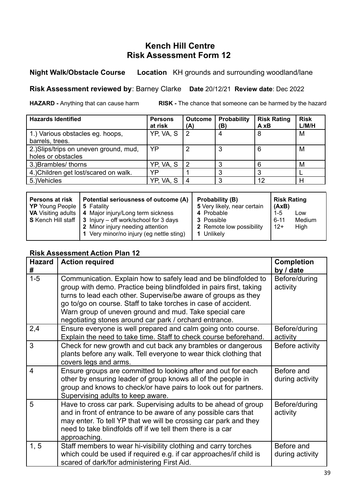#### **Night Walk/Obstacle Course Location** KH grounds and surrounding woodland/lane

#### **Risk Assessment reviewed by**: Barney Clarke **Date** 20/12/21 **Review date**: Dec 2022

**HAZARD -** Anything that can cause harm **RISK -** The chance that someone can be harmed by the hazard

| <b>Hazards Identified</b>              | <b>Persons</b><br>at risk | <b>Outcome</b><br>(A) | Probability<br>(B) | <b>Risk Rating</b><br>A xB | <b>Risk</b><br>L/M/H |
|----------------------------------------|---------------------------|-----------------------|--------------------|----------------------------|----------------------|
| 1.) Various obstacles eg. hoops,       | YP, VA, S                 | 2                     | 4                  | 8                          | M                    |
| barrels, trees.                        |                           |                       |                    |                            |                      |
| 2.) Slips/trips on uneven ground, mud, | YP                        | າ                     | 3                  | 6                          | M                    |
| holes or obstacles                     |                           |                       |                    |                            |                      |
| 3.) Brambles/ thorns                   | YP, VA, S                 | 2                     |                    | 6                          | M                    |
| 4.) Children get lost/scared on walk.  | YP                        |                       |                    |                            |                      |
| 5.) Vehicles                           | YP, VA, S                 |                       | ◠                  | 12                         | н                    |

| Potential seriousness of outcome (A)<br><b>Persons at risk</b><br>  YP Young People  <br>5 Fatality<br>4 Major injury/Long term sickness<br><b>VA</b> Visiting adults  <br>$\mid$ S Kench Hill staff $\mid$ 3 Injury – off work/school for 3 days<br>2 Minor injury needing attention<br>1 Very minor/no injury (eg nettle sting) | Probability (B)<br>5 Very likely, near certain<br>4 Probable<br><b>3</b> Possible<br>2 Remote low possibility<br>1 Unlikely | <b>Risk Rating</b><br>  (AxB)<br>1-5<br>6-11<br>l 12+ | Low<br>Medium<br>High |  |
|-----------------------------------------------------------------------------------------------------------------------------------------------------------------------------------------------------------------------------------------------------------------------------------------------------------------------------------|-----------------------------------------------------------------------------------------------------------------------------|-------------------------------------------------------|-----------------------|--|
|-----------------------------------------------------------------------------------------------------------------------------------------------------------------------------------------------------------------------------------------------------------------------------------------------------------------------------------|-----------------------------------------------------------------------------------------------------------------------------|-------------------------------------------------------|-----------------------|--|

| <b>Hazard</b><br># | <b>Action required</b>                                                                                                                                                                                                                                                                                                                                                                        | <b>Completion</b><br>by / date |
|--------------------|-----------------------------------------------------------------------------------------------------------------------------------------------------------------------------------------------------------------------------------------------------------------------------------------------------------------------------------------------------------------------------------------------|--------------------------------|
| $1 - 5$            | Communication. Explain how to safely lead and be blindfolded to<br>group with demo. Practice being blindfolded in pairs first, taking<br>turns to lead each other. Supervise/be aware of groups as they<br>go to/go on course. Staff to take torches in case of accident.<br>Warn group of uneven ground and mud. Take special care<br>negotiating stones around car park / orchard entrance. | Before/during<br>activity      |
| 2,4                | Ensure everyone is well prepared and calm going onto course.<br>Explain the need to take time. Staff to check course beforehand.                                                                                                                                                                                                                                                              | Before/during<br>activity      |
| 3                  | Check for new growth and cut back any brambles or dangerous<br>plants before any walk. Tell everyone to wear thick clothing that<br>covers legs and arms.                                                                                                                                                                                                                                     | Before activity                |
| $\overline{4}$     | Ensure groups are committed to looking after and out for each<br>other by ensuring leader of group knows all of the people in<br>group and knows to check/or have pairs to look out for partners.<br>Supervising adults to keep aware.                                                                                                                                                        | Before and<br>during activity  |
| 5                  | Have to cross car park. Supervising adults to be ahead of group<br>and in front of entrance to be aware of any possible cars that<br>may enter. To tell YP that we will be crossing car park and they<br>need to take blindfolds off if we tell them there is a car<br>approaching.                                                                                                           | Before/during<br>activity      |
| 1, 5               | Staff members to wear hi-visibility clothing and carry torches<br>which could be used if required e.g. if car approaches/if child is<br>scared of dark/for administering First Aid.                                                                                                                                                                                                           | Before and<br>during activity  |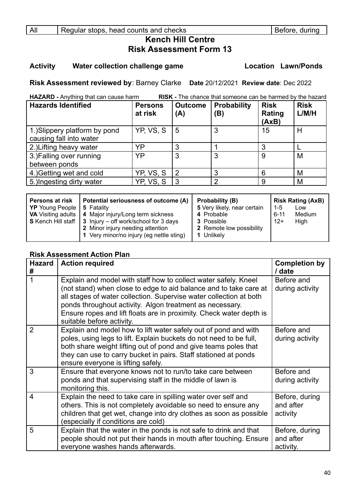#### **Activity Water collection challenge game Location Lawn/Ponds**

**Risk Assessment reviewed by**: Barney Clarke **Date** 20/12/2021 **Review date**: Dec 2022

| RISK - The chance that someone can be harmed by the hazard<br>HAZARD - Anything that can cause harm |                           |                       |                           |                                |                      |
|-----------------------------------------------------------------------------------------------------|---------------------------|-----------------------|---------------------------|--------------------------------|----------------------|
| <b>Hazards Identified</b>                                                                           | <b>Persons</b><br>at risk | <b>Outcome</b><br>(A) | <b>Probability</b><br>(B) | <b>Risk</b><br>Rating<br>(AxB) | <b>Risk</b><br>L/M/H |
| 1.) Slippery platform by pond<br>causing fall into water                                            | YP, VS, S                 | 5                     | 3                         | 15                             | Н                    |
| 2.) Lifting heavy water                                                                             | YP                        | 3                     |                           |                                |                      |
| 3.) Falling over running<br>between ponds                                                           | YP                        | 3                     | 3                         | 9                              | M                    |
| 4.) Getting wet and cold                                                                            | YP, VS, S                 | $\overline{2}$        | 3                         | 6                              | M                    |
| 5.) Ingesting dirty water                                                                           | YP, VS, S                 | 3                     | $\overline{2}$            | 9                              | M                    |

| <b>Persons at risk</b>              | Potential seriousness of outcome (A)                                    | Probability (B)             | <b>Risk Rating (AxB)</b> |
|-------------------------------------|-------------------------------------------------------------------------|-----------------------------|--------------------------|
| <b>YP</b> Young People   5 Fatality |                                                                         | 5 Very likely, near certain | $1 - 5$<br>Low           |
|                                     | <b>VA</b> Visiting adults   4 Major injury/Long term sickness           | 4 Probable                  | Medium<br>6-11           |
|                                     | <b>S</b> Kench Hill staff $\vert$ 3 Injury – off work/school for 3 days | <b>3</b> Possible           | $12+$<br>High            |
|                                     | 2 Minor injury needing attention                                        | 2 Remote low possibility    |                          |
|                                     | 1 Very minor/no injury (eg nettle sting)                                | 1 Unlikely                  |                          |

| <b>Hazard</b><br># | <b>Action required</b>                                                                                                                                                                                                                                                                                                                                                     | <b>Completion by</b><br>/ date           |
|--------------------|----------------------------------------------------------------------------------------------------------------------------------------------------------------------------------------------------------------------------------------------------------------------------------------------------------------------------------------------------------------------------|------------------------------------------|
|                    | Explain and model with staff how to collect water safely. Kneel<br>(not stand) when close to edge to aid balance and to take care at<br>all stages of water collection. Supervise water collection at both<br>ponds throughout activity. Algon treatment as necessary.<br>Ensure ropes and lift floats are in proximity. Check water depth is<br>suitable before activity. | Before and<br>during activity            |
| $\overline{2}$     | Explain and model how to lift water safely out of pond and with<br>poles, using legs to lift. Explain buckets do not need to be full,<br>both share weight lifting out of pond and give teams poles that<br>they can use to carry bucket in pairs. Staff stationed at ponds<br>ensure everyone is lifting safely.                                                          | Before and<br>during activity            |
| 3                  | Ensure that everyone knows not to run/to take care between<br>ponds and that supervising staff in the middle of lawn is<br>monitoring this.                                                                                                                                                                                                                                | Before and<br>during activity            |
| $\overline{4}$     | Explain the need to take care in spilling water over self and<br>others. This is not completely avoidable so need to ensure any<br>children that get wet, change into dry clothes as soon as possible<br>(especially if conditions are cold)                                                                                                                               | Before, during<br>and after<br>activity  |
| 5                  | Explain that the water in the ponds is not safe to drink and that<br>people should not put their hands in mouth after touching. Ensure<br>everyone washes hands afterwards.                                                                                                                                                                                                | Before, during<br>and after<br>activity. |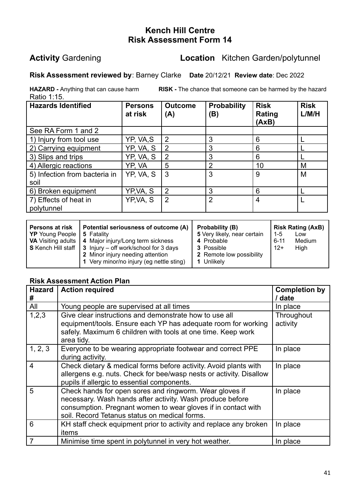### **Activity** Gardening **Location** Kitchen Garden/polytunnel

#### **Risk Assessment reviewed by**: Barney Clarke **Date** 20/12/21 **Review date**: Dec 2022

Ratio 1:15.

**HAZARD -** Anything that can cause harm **RISK -** The chance that someone can be harmed by the hazard

| <b>Hazards Identified</b>             | <b>Persons</b><br>at risk | <b>Outcome</b><br>(A) | <b>Probability</b><br>(B) | <b>Risk</b><br>Rating<br>(AxB) | <b>Risk</b><br>L/M/H |
|---------------------------------------|---------------------------|-----------------------|---------------------------|--------------------------------|----------------------|
| See RA Form 1 and 2                   |                           |                       |                           |                                |                      |
| 1) Injury from tool use               | YP, VA,S                  | $\overline{2}$        | 3                         | 6                              |                      |
| 2) Carrying equipment                 | YP, VA, S                 | 2                     | 3                         | 6                              |                      |
| 3) Slips and trips                    | YP, VA, S                 | 2                     | 3                         | 6                              |                      |
| 4) Allergic reactions                 | YP, VA                    | 5                     | $\mathcal{P}$             | 10                             | M                    |
| 5) Infection from bacteria in<br>soil | YP, VA, S                 | 3                     | 3                         | 9                              | M                    |
| 6) Broken equipment                   | YP,VA, S                  | 2                     | 3                         | 6                              |                      |
| 7) Effects of heat in<br>polytunnel   | YP, VA, S                 | $\overline{2}$        | $\overline{2}$            | 4                              |                      |

| Persons at risk<br><b>YP</b> Young People | Potential seriousness of outcome (A)<br>5 Fatality<br><b>VA</b> Visiting adults   4 Major injury/Long term sickness<br><b>S</b> Kench Hill staff $\vert$ 3 Injury – off work/school for 3 days | Probability (B)<br>5 Very likely, near certain<br>4 Probable<br><b>3</b> Possible | l 1-5<br>$6 - 11$<br>$12+$ | <b>Risk Rating (AxB)</b><br>Low<br>Medium<br>High |
|-------------------------------------------|------------------------------------------------------------------------------------------------------------------------------------------------------------------------------------------------|-----------------------------------------------------------------------------------|----------------------------|---------------------------------------------------|
|                                           | 2 Minor injury needing attention<br>1 Very minor/no injury (eg nettle sting)                                                                                                                   | 2 Remote low possibility<br>1 Unlikely                                            |                            |                                                   |

| <b>Hazard</b><br>#      | <b>Action required</b>                                                                                                                                                                                                                 | <b>Completion by</b><br>/ date |
|-------------------------|----------------------------------------------------------------------------------------------------------------------------------------------------------------------------------------------------------------------------------------|--------------------------------|
| All                     | Young people are supervised at all times                                                                                                                                                                                               | In place                       |
| 1,2,3                   | Give clear instructions and demonstrate how to use all<br>equipment/tools. Ensure each YP has adequate room for working<br>safely. Maximum 6 children with tools at one time. Keep work<br>area tidy.                                  | Throughout<br>activity         |
| 1, 2, 3                 | Everyone to be wearing appropriate footwear and correct PPE<br>during activity.                                                                                                                                                        | In place                       |
| $\overline{\mathbf{4}}$ | Check dietary & medical forms before activity. Avoid plants with<br>allergens e.g. nuts. Check for bee/wasp nests or activity. Disallow<br>pupils if allergic to essential components.                                                 | In place                       |
| 5                       | Check hands for open sores and ringworm. Wear gloves if<br>necessary. Wash hands after activity. Wash produce before<br>consumption. Pregnant women to wear gloves if in contact with<br>soil. Record Tetanus status on medical forms. | In place                       |
| 6                       | KH staff check equipment prior to activity and replace any broken<br>items                                                                                                                                                             | In place                       |
| $\overline{7}$          | Minimise time spent in polytunnel in very hot weather.                                                                                                                                                                                 | In place                       |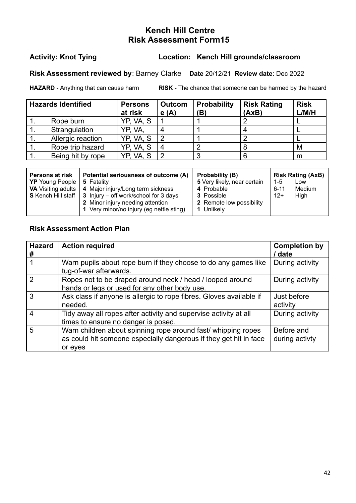#### **Activity: Knot Tying Location: Kench Hill grounds/classroom**

**Risk Assessment reviewed by**: Barney Clarke **Date** 20/12/21 **Review date**: Dec 2022

**HAZARD -** Anything that can cause harm **RISK -** The chance that someone can be harmed by the hazard

| <b>Hazards Identified</b> | <b>Persons</b><br>at risk | Outcom<br>e(A) | <b>Probability</b><br>(B) | <b>Risk Rating</b><br>(AxB) | <b>Risk</b><br>L/M/H |
|---------------------------|---------------------------|----------------|---------------------------|-----------------------------|----------------------|
| Rope burn                 | YP, VA, S                 |                |                           |                             |                      |
| Strangulation             | yp, va,                   |                |                           |                             |                      |
| Allergic reaction         | YP, VA, S                 |                |                           |                             |                      |
| Rope trip hazard          | YP, VA, S                 |                |                           |                             | M                    |
| Being hit by rope         | VA.S<br>YP.               |                |                           |                             | m                    |

| <b>Persons at risk</b><br>  YP Young People   5 Fatality | Potential seriousness of outcome (A)<br>VA Visiting adults   4 Major injury/Long term sickness<br><b>S</b> Kench Hill staff $\vert 3 \vert$ Injury – off work/school for 3 days<br>2 Minor injury needing attention | Probability (B)<br>5 Very likely, near certain<br>4 Probable<br>3 Possible<br>2 Remote low possibility | <b>Risk Rating (AxB)</b><br>l 1-5<br>Low<br>Medium<br>$6 - 11$<br>High<br>$12+$ |
|----------------------------------------------------------|---------------------------------------------------------------------------------------------------------------------------------------------------------------------------------------------------------------------|--------------------------------------------------------------------------------------------------------|---------------------------------------------------------------------------------|
|                                                          | 1 Very minor/no injury (eg nettle sting)                                                                                                                                                                            | 1 Unlikely                                                                                             |                                                                                 |

| <b>Hazard</b><br># | <b>Action required</b>                                                                                                                        | <b>Completion by</b><br>/ date |
|--------------------|-----------------------------------------------------------------------------------------------------------------------------------------------|--------------------------------|
|                    | Warn pupils about rope burn if they choose to do any games like<br>tug-of-war afterwards.                                                     | During activity                |
| $\mathcal{P}$      | Ropes not to be draped around neck / head / looped around<br>hands or legs or used for any other body use.                                    | During activity                |
| 3                  | Ask class if anyone is allergic to rope fibres. Gloves available if<br>needed.                                                                | Just before<br>activity        |
| 4                  | Tidy away all ropes after activity and supervise activity at all<br>times to ensure no danger is posed.                                       | During activity                |
| 5                  | Warn children about spinning rope around fast/ whipping ropes<br>as could hit someone especially dangerous if they get hit in face<br>or eyes | Before and<br>during activty   |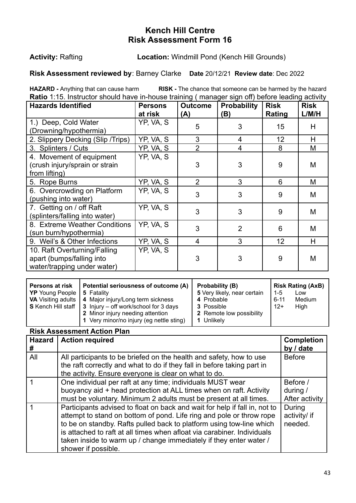#### **Activity:** Rafting **Location:** Windmill Pond (Kench Hill Grounds)

#### **Risk Assessment reviewed by**: Barney Clarke **Date** 20/12/21 **Review date**: Dec 2022

**HAZARD -** Anything that can cause harm **RISK -** The chance that someone can be harmed by the hazard **Ratio** 1:15. Instructor should have in-house training ( manager sign off) before leading activity

| <b>Hazards Identified</b>                                                                | <b>Persons</b><br>at risk | <b>Outcome</b><br>(A) | <b>Probability</b><br>(B) | <b>Risk</b><br>Rating | <b>Risk</b><br>L/M/H |
|------------------------------------------------------------------------------------------|---------------------------|-----------------------|---------------------------|-----------------------|----------------------|
| 1.) Deep, Cold Water<br>(Drowning/hypothermia)                                           | YP, VA, S                 | 5                     | 3                         | 15                    | H                    |
| 2. Slippery Decking (Slip /Trips)                                                        | YP, VA, S                 | 3                     | 4                         | 12                    | H                    |
| 3. Splinters / Cuts                                                                      | YP, VA, S                 | $\overline{2}$        | 4                         | 8                     | M                    |
| 4. Movement of equipment<br>(crush injury/sprain or strain<br>from lifting)              | YP, VA, S                 | 3                     | 3                         | 9                     | M                    |
| 5. Rope Burns                                                                            | YP, VA, S                 | $\overline{2}$        | 3                         | 6                     | M                    |
| 6. Overcrowding on Platform<br>(pushing into water)                                      | YP, VA, S                 | 3                     | 3                         | 9                     | M                    |
| 7. Getting on / off Raft<br>(splinters/falling into water)                               | YP, VA, S                 | 3                     | 3                         | 9                     | M                    |
| 8. Extreme Weather Conditions<br>(sun burn/hypothermia)                                  | YP, VA, S                 | 3                     | $\overline{2}$            | 6                     | M                    |
| 9. Weil's & Other Infections                                                             | YP, VA, S                 | $\overline{4}$        | 3                         | 12                    | H                    |
| 10. Raft Overturning/Falling<br>apart (bumps/falling into<br>water/trapping under water) | YP, VA, S                 | 3                     | 3                         | 9                     | M                    |

| <b>Persons at risk</b><br><b>YP</b> Young People<br><b>VA</b> Visiting adults<br><b>S</b> Kench Hill staff | Potential seriousness of outcome (A)<br>5 Fatality<br>4 Major injury/Long term sickness<br>3 Injury – off work/school for 3 days<br>2 Minor injury needing attention<br>1 Very minor/no injury (eg nettle sting) | Probability (B)<br>5 Very likely, near certain<br>4 Probable<br><b>3</b> Possible<br>2 Remote low possibility<br>Unlikely | $1-5$<br>$6 - 11$<br>$12+$ | <b>Risk Rating (AxB)</b><br>Low<br>Medium<br>High |
|------------------------------------------------------------------------------------------------------------|------------------------------------------------------------------------------------------------------------------------------------------------------------------------------------------------------------------|---------------------------------------------------------------------------------------------------------------------------|----------------------------|---------------------------------------------------|
|                                                                                                            |                                                                                                                                                                                                                  |                                                                                                                           |                            |                                                   |

| <b>Hazard</b><br># | <b>Action required</b>                                                                                                                                                                                                                                                                                                                                                                             | <b>Completion</b><br>by / date         |
|--------------------|----------------------------------------------------------------------------------------------------------------------------------------------------------------------------------------------------------------------------------------------------------------------------------------------------------------------------------------------------------------------------------------------------|----------------------------------------|
| All                | All participants to be briefed on the health and safety, how to use<br>the raft correctly and what to do if they fall in before taking part in<br>the activity. Ensure everyone is clear on what to do.                                                                                                                                                                                            | <b>Before</b>                          |
|                    | One individual per raft at any time; individuals MUST wear<br>buoyancy aid + head protection at ALL times when on raft. Activity<br>must be voluntary. Minimum 2 adults must be present at all times.                                                                                                                                                                                              | Before /<br>during /<br>After activity |
|                    | Participants advised to float on back and wait for help if fall in, not to<br>attempt to stand on bottom of pond. Life ring and pole or throw rope<br>to be on standby. Rafts pulled back to platform using tow-line which<br>is attached to raft at all times when afloat via carabiner. Individuals<br>taken inside to warm up / change immediately if they enter water /<br>shower if possible. | During<br>activity/ if<br>needed.      |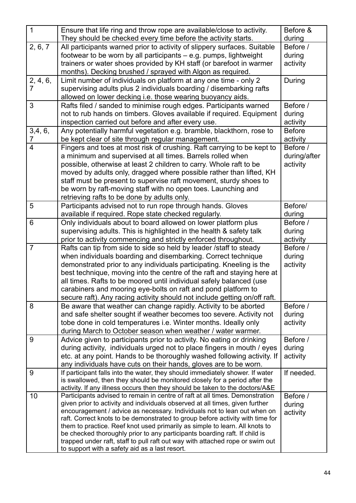| $\mathbf{1}$            | Ensure that life ring and throw rope are available/close to activity.                                                                                       | Before &      |
|-------------------------|-------------------------------------------------------------------------------------------------------------------------------------------------------------|---------------|
|                         | They should be checked every time before the activity starts.                                                                                               | during        |
| 2, 6, 7                 | All participants warned prior to activity of slippery surfaces. Suitable                                                                                    | Before /      |
|                         | footwear to be worn by all participants – e.g. pumps, lightweight                                                                                           | during        |
|                         | trainers or water shoes provided by KH staff (or barefoot in warmer                                                                                         | activity      |
|                         | months). Decking brushed / sprayed with Algon as required.                                                                                                  |               |
| 2, 4, 6,                | Limit number of individuals on platform at any one time - only 2                                                                                            | During        |
| 7                       | supervising adults plus 2 individuals boarding / disembarking rafts                                                                                         |               |
|                         | allowed on lower decking i.e. those wearing buoyancy aids.                                                                                                  |               |
| 3                       | Rafts filed / sanded to minimise rough edges. Participants warned                                                                                           | Before /      |
|                         | not to rub hands on timbers. Gloves available if required. Equipment                                                                                        | during        |
|                         | inspection carried out before and after every use.                                                                                                          | activity      |
| 3,4,6,                  | Any potentially harmful vegetation e.g. bramble, blackthorn, rose to                                                                                        | <b>Before</b> |
| 7                       | be kept clear of site through regular management.                                                                                                           | activity      |
| $\overline{\mathbf{4}}$ | Fingers and toes at most risk of crushing. Raft carrying to be kept to                                                                                      | Before /      |
|                         | a minimum and supervised at all times. Barrels rolled when                                                                                                  | during/after  |
|                         | possible, otherwise at least 2 children to carry. Whole raft to be                                                                                          | activity      |
|                         | moved by adults only, dragged where possible rather than lifted, KH                                                                                         |               |
|                         | staff must be present to supervise raft movement, sturdy shoes to                                                                                           |               |
|                         | be worn by raft-moving staff with no open toes. Launching and                                                                                               |               |
|                         | retrieving rafts to be done by adults only.                                                                                                                 |               |
| 5                       | Participants advised not to run rope through hands. Gloves                                                                                                  | Before/       |
|                         | available if required. Rope state checked regularly.                                                                                                        | during        |
| $6\phantom{1}$          | Only individuals about to board allowed on lower platform plus                                                                                              | Before /      |
|                         | supervising adults. This is highlighted in the health & safety talk                                                                                         | during        |
|                         | prior to activity commencing and strictly enforced throughout.                                                                                              | activity      |
| $\overline{7}$          | Rafts can tip from side to side so held by leader /staff to steady                                                                                          | Before /      |
|                         | when individuals boarding and disembarking. Correct technique                                                                                               | during        |
|                         | demonstrated prior to any individuals participating. Kneeling is the                                                                                        | activity      |
|                         | best technique, moving into the centre of the raft and staying here at                                                                                      |               |
|                         | all times. Rafts to be moored until individual safely balanced (use                                                                                         |               |
|                         | carabiners and mooring eye-bolts on raft and pond platform to                                                                                               |               |
|                         | secure raft). Any racing activity should not include getting on/off raft.                                                                                   |               |
| 8                       | Be aware that weather can change rapidly. Activity to be aborted                                                                                            | Before /      |
|                         | and safe shelter sought if weather becomes too severe. Activity not                                                                                         | during        |
|                         | tobe done in cold temperatures i.e. Winter months. Ideally only                                                                                             | activity      |
|                         | during March to October season when weather / water warmer.                                                                                                 |               |
| 9                       | Advice given to participants prior to activity. No eating or drinking                                                                                       | Before /      |
|                         | during activity, individuals urged not to place fingers in mouth / eyes                                                                                     | during        |
|                         | etc. at any point. Hands to be thoroughly washed following activity. If                                                                                     | activity      |
|                         | any individuals have cuts on their hands, gloves are to be worn.                                                                                            |               |
| 9                       | If participant falls into the water, they should immediately shower. If water<br>is swallowed, then they should be monitored closely for a period after the | If needed.    |
|                         | activity. If any illness occurs then they should be taken to the doctors/A&E                                                                                |               |
| 10                      | Participants advised to remain in centre of raft at all times. Demonstration                                                                                | Before /      |
|                         | given prior to activity and individuals observed at all times, given further                                                                                | during        |
|                         | encouragement / advice as necessary. Individuals not to lean out when on                                                                                    | activity      |
|                         | raft. Correct knots to be demonstrated to group before activity with time for                                                                               |               |
|                         | them to practice. Reef knot used primarily as simple to learn. All knots to                                                                                 |               |
|                         | be checked thoroughly prior to any participants boarding raft. If child is                                                                                  |               |
|                         | trapped under raft, staff to pull raft out way with attached rope or swim out                                                                               |               |
|                         | to support with a safety aid as a last resort.                                                                                                              |               |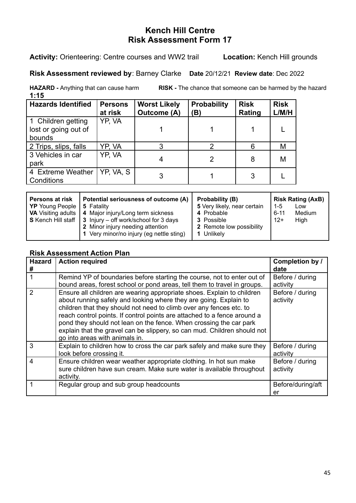#### **Activity:** Orienteering: Centre courses and WW2 trail **Location:** Kench Hill grounds

#### **Risk Assessment reviewed by**: Barney Clarke **Date** 20/12/21 **Review date**: Dec 2022

**HAZARD -** Anything that can cause harm **RISK -** The chance that someone can be harmed by the hazard **1:15**

| <b>Hazards Identified</b>       | <b>Persons</b><br>at risk | <b>Worst Likely</b><br><b>Outcome (A)</b> | <b>Probability</b><br>(B) | <b>Risk</b><br>Rating | <b>Risk</b><br>L/M/H |
|---------------------------------|---------------------------|-------------------------------------------|---------------------------|-----------------------|----------------------|
| 1 Children getting              | YP, VA                    |                                           |                           |                       |                      |
| lost or going out of            |                           |                                           |                           |                       |                      |
| bounds                          |                           |                                           |                           |                       |                      |
| 2 Trips, slips, falls           | YP. VA                    |                                           |                           | 6                     | M                    |
| 3 Vehicles in car<br>park       | YP, VA                    |                                           |                           | 8                     | M                    |
| 4 Extreme Weather<br>Conditions | YP, VA, S                 |                                           |                           |                       |                      |

| <b>Hazard</b><br># | <b>Action required</b>                                                                                                                                                                                                                                                                                                                                                                                                                                                             | Completion by /<br>date     |
|--------------------|------------------------------------------------------------------------------------------------------------------------------------------------------------------------------------------------------------------------------------------------------------------------------------------------------------------------------------------------------------------------------------------------------------------------------------------------------------------------------------|-----------------------------|
|                    | Remind YP of boundaries before starting the course, not to enter out of<br>bound areas, forest school or pond areas, tell them to travel in groups.                                                                                                                                                                                                                                                                                                                                | Before / during<br>activity |
| $\mathcal{P}$      | Ensure all children are wearing appropriate shoes. Explain to children<br>about running safely and looking where they are going. Explain to<br>children that they should not need to climb over any fences etc. to<br>reach control points. If control points are attached to a fence around a<br>pond they should not lean on the fence. When crossing the car park<br>explain that the gravel can be slippery, so can mud. Children should not<br>go into areas with animals in. | Before / during<br>activity |
| 3                  | Explain to children how to cross the car park safely and make sure they<br>look before crossing it.                                                                                                                                                                                                                                                                                                                                                                                | Before / during<br>activity |
| 4                  | Ensure children wear weather appropriate clothing. In hot sun make<br>sure children have sun cream. Make sure water is available throughout<br>activity.                                                                                                                                                                                                                                                                                                                           | Before / during<br>activity |
|                    | Regular group and sub group headcounts                                                                                                                                                                                                                                                                                                                                                                                                                                             | Before/during/aft<br>er     |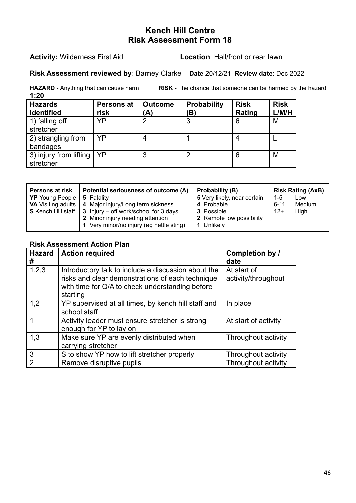#### **Activity:** Wilderness First Aid **Location** Hall/front or rear lawn

#### **Risk Assessment reviewed by**: Barney Clarke **Date** 20/12/21 **Review date**: Dec 2022

**HAZARD -** Anything that can cause harm **RISK -** The chance that someone can be harmed by the hazard

| 1:20                                |                           |                      |                          |                       |                      |
|-------------------------------------|---------------------------|----------------------|--------------------------|-----------------------|----------------------|
| <b>Hazards</b><br><b>Identified</b> | <b>Persons at</b><br>risk | <b>Outcome</b><br>A) | <b>Probability</b><br>B) | <b>Risk</b><br>Rating | <b>Risk</b><br>L/M/H |
| 1) falling off<br>stretcher         | YP                        | $\overline{2}$       | 3                        | 6                     | M                    |
| 2) strangling from<br>bandages      | YP                        | 4                    |                          |                       |                      |
| 3) injury from lifting<br>stretcher | YP                        | 3                    | $\overline{2}$           | 6                     | M                    |

| <b>Persons at risk</b><br>YP Young People<br><b>VA</b> Visiting adults | Potential seriousness of outcome (A)<br>5 Fatality<br>4 Major injury/Long term sickness<br>$\mid$ S Kench Hill staff $\mid$ 3 Injury – off work/school for 3 days<br>2 Minor injury needing attention<br>1 Very minor/no injury (eg nettle sting) | Probability (B)<br>5 Very likely, near certain<br>4 Probable<br>3 Possible<br>2 Remote low possibility<br>1 Unlikely | <b>Risk Rating (AxB)</b><br>l 1-5<br>Low<br>$6 - 11$<br>Medium<br>$12+$<br>High |
|------------------------------------------------------------------------|---------------------------------------------------------------------------------------------------------------------------------------------------------------------------------------------------------------------------------------------------|----------------------------------------------------------------------------------------------------------------------|---------------------------------------------------------------------------------|
|                                                                        |                                                                                                                                                                                                                                                   |                                                                                                                      |                                                                                 |

| <b>Hazard</b><br># | <b>Action required</b>                                                                                                                                                 | Completion by /<br>date            |
|--------------------|------------------------------------------------------------------------------------------------------------------------------------------------------------------------|------------------------------------|
| 1, 2, 3            | Introductory talk to include a discussion about the<br>risks and clear demonstrations of each technique<br>with time for Q/A to check understanding before<br>starting | At start of<br>activity/throughout |
| 1,2                | YP supervised at all times, by kench hill staff and<br>school staff                                                                                                    | In place                           |
|                    | Activity leader must ensure stretcher is strong<br>enough for YP to lay on                                                                                             | At start of activity               |
| 1,3                | Make sure YP are evenly distributed when<br>carrying stretcher                                                                                                         | Throughout activity                |
| 3                  | S to show YP how to lift stretcher properly                                                                                                                            | Throughout activity                |
| $\overline{2}$     | Remove disruptive pupils                                                                                                                                               | Throughout activity                |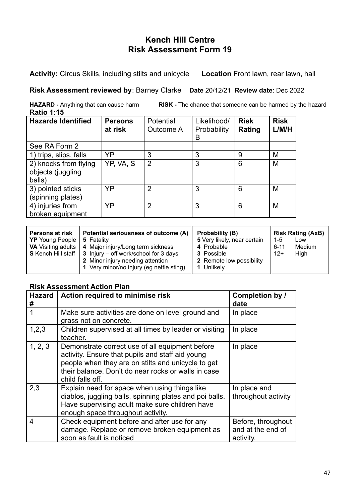**Activity:** Circus Skills, including stilts and unicycle **Location** Front lawn, rear lawn, hall

#### **Risk Assessment reviewed by**: Barney Clarke **Date** 20/12/21 **Review date**: Dec 2022

**HAZARD -** Anything that can cause harm **RISK -** The chance that someone can be harmed by the hazard **Ratio 1:15**

| <b>Hazards Identified</b>                            | <b>Persons</b><br>at risk | Potential<br>Outcome A | Likelihood/<br>Probability<br>B | <b>Risk</b><br>Rating | <b>Risk</b><br>L/M/H |
|------------------------------------------------------|---------------------------|------------------------|---------------------------------|-----------------------|----------------------|
| See RA Form 2                                        |                           |                        |                                 |                       |                      |
| 1) trips, slips, falls                               | YP                        | 3                      | 3                               | 9                     | M                    |
| 2) knocks from flying<br>objects (juggling<br>balls) | YP, VA, S                 | 2                      | 3                               | 6                     | M                    |
| 3) pointed sticks<br>(spinning plates)               | YP                        | 2                      | 3                               | 6                     | M                    |
| 4) injuries from<br>broken equipment                 | YP                        | 2                      | 3                               | 6                     | M                    |

| <b>Persons at risk</b>              | Potential seriousness of outcome (A)                                    | Probability (B)             |          | <b>Risk Rating (AxB)</b> |
|-------------------------------------|-------------------------------------------------------------------------|-----------------------------|----------|--------------------------|
| <b>YP</b> Young People   5 Fatality |                                                                         | 5 Very likely, near certain | $1 - 5$  | Low                      |
|                                     | <b>VA</b> Visiting adults   4 Major injury/Long term sickness           | 4 Probable                  | $6 - 11$ | Medium                   |
|                                     | <b>S</b> Kench Hill staff $\vert$ 3 Injury – off work/school for 3 days | <b>3</b> Possible           | $12+$    | High                     |
|                                     | 2 Minor injury needing attention                                        | 2 Remote low possibility    |          |                          |
|                                     | 1 Very minor/no injury (eg nettle sting)                                | 1 Unlikely                  |          |                          |

| <b>Hazard</b><br># | Action required to minimise risk                                                                                                                                                                                                     | Completion by /<br>date                              |
|--------------------|--------------------------------------------------------------------------------------------------------------------------------------------------------------------------------------------------------------------------------------|------------------------------------------------------|
|                    | Make sure activities are done on level ground and<br>grass not on concrete.                                                                                                                                                          | In place                                             |
| 1,2,3              | Children supervised at all times by leader or visiting<br>teacher.                                                                                                                                                                   | In place                                             |
| 1, 2, 3            | Demonstrate correct use of all equipment before<br>activity. Ensure that pupils and staff aid young<br>people when they are on stilts and unicycle to get<br>their balance. Don't do near rocks or walls in case<br>child falls off. | In place                                             |
| 2,3                | Explain need for space when using things like<br>diablos, juggling balls, spinning plates and poi balls.<br>Have supervising adult make sure children have<br>enough space throughout activity.                                      | In place and<br>throughout activity                  |
| 4                  | Check equipment before and after use for any<br>damage. Replace or remove broken equipment as<br>soon as fault is noticed                                                                                                            | Before, throughout<br>and at the end of<br>activity. |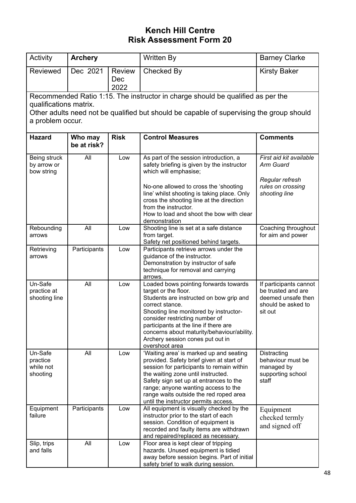| Activity                                     | <b>Archery</b>         |                              | Written By                                                                                                                                                                                                                                                                                                                                           | <b>Barney Clarke</b>                                                                                |
|----------------------------------------------|------------------------|------------------------------|------------------------------------------------------------------------------------------------------------------------------------------------------------------------------------------------------------------------------------------------------------------------------------------------------------------------------------------------------|-----------------------------------------------------------------------------------------------------|
| Reviewed                                     | Dec 2021               | <b>Review</b><br>Dec<br>2022 | Checked By                                                                                                                                                                                                                                                                                                                                           | <b>Kirsty Baker</b>                                                                                 |
| qualifications matrix.                       |                        |                              | Recommended Ratio 1:15. The instructor in charge should be qualified as per the                                                                                                                                                                                                                                                                      |                                                                                                     |
|                                              |                        |                              | Other adults need not be qualified but should be capable of supervising the group should                                                                                                                                                                                                                                                             |                                                                                                     |
| a problem occur.                             |                        |                              |                                                                                                                                                                                                                                                                                                                                                      |                                                                                                     |
| <b>Hazard</b>                                | Who may<br>be at risk? | <b>Risk</b>                  | <b>Control Measures</b>                                                                                                                                                                                                                                                                                                                              | <b>Comments</b>                                                                                     |
| Being struck<br>by arrow or<br>bow string    | All                    | Low                          | As part of the session introduction, a<br>safety briefing is given by the instructor<br>which will emphasise;                                                                                                                                                                                                                                        | First aid kit available<br>Arm Guard                                                                |
|                                              |                        |                              | No-one allowed to cross the 'shooting<br>line' whilst shooting is taking place. Only<br>cross the shooting line at the direction<br>from the instructor.<br>How to load and shoot the bow with clear<br>demonstration                                                                                                                                | Regular refresh<br>rules on crossing<br>shooting line                                               |
| Rebounding<br>arrows                         | All                    | Low                          | Shooting line is set at a safe distance<br>from target.<br>Safety net positioned behind targets.                                                                                                                                                                                                                                                     | Coaching throughout<br>for aim and power                                                            |
| Retrieving<br>arrows                         | Participants           | Low                          | Participants retrieve arrows under the<br>guidance of the instructor.<br>Demonstration by instructor of safe<br>technique for removal and carrying<br>arrows.                                                                                                                                                                                        |                                                                                                     |
| Un-Safe<br>practice at<br>shooting line      | All                    | Low                          | Loaded bows pointing forwards towards<br>target or the floor.<br>Students are instructed on bow grip and<br>correct stance.<br>Shooting line monitored by instructor-<br>consider restricting number of<br>participants at the line if there are<br>concerns about maturity/behaviour/ability.<br>Archery session cones put out in<br>overshoot area | If participants cannot<br>be trusted and are<br>deemed unsafe then<br>should be asked to<br>sit out |
| Un-Safe<br>practice<br>while not<br>shooting | All                    | Low                          | 'Waiting area' is marked up and seating<br>provided. Safety brief given at start of<br>session for participants to remain within<br>the waiting zone until instructed.<br>Safety sign set up at entrances to the<br>range; anyone wanting access to the<br>range waits outside the red roped area<br>until the instructor permits access.            | Distracting<br>behaviour must be<br>managed by<br>supporting school<br>staff                        |
| Equipment<br>failure                         | Participants           | Low                          | All equipment is visually checked by the<br>instructor prior to the start of each<br>session. Condition of equipment is<br>recorded and faulty items are withdrawn<br>and repaired/replaced as necessary.                                                                                                                                            | Equipment<br>checked termly<br>and signed off                                                       |
| Slip, trips<br>and falls                     | All                    | Low                          | Floor area is kept clear of tripping<br>hazards. Unused equipment is tidied<br>away before session begins. Part of initial<br>safety brief to walk during session.                                                                                                                                                                                   |                                                                                                     |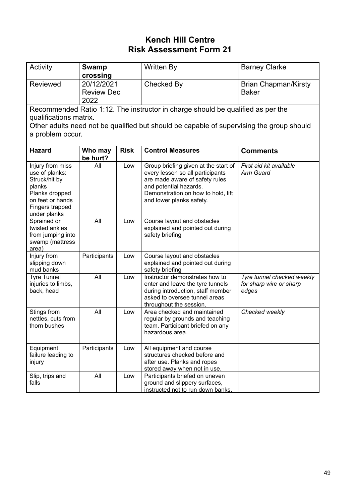| Activity                                                                                                                                                                                                                  | <b>Swamp</b><br>crossing                |             | Written By                                                                                                                                                                                             | <b>Barney Clarke</b>                                           |
|---------------------------------------------------------------------------------------------------------------------------------------------------------------------------------------------------------------------------|-----------------------------------------|-------------|--------------------------------------------------------------------------------------------------------------------------------------------------------------------------------------------------------|----------------------------------------------------------------|
| <b>Reviewed</b>                                                                                                                                                                                                           | 20/12/2021<br><b>Review Dec</b><br>2022 |             | <b>Checked By</b>                                                                                                                                                                                      | <b>Brian Chapman/Kirsty</b><br><b>Baker</b>                    |
| Recommended Ratio 1:12. The instructor in charge should be qualified as per the<br>qualifications matrix.<br>Other adults need not be qualified but should be capable of supervising the group should<br>a problem occur. |                                         |             |                                                                                                                                                                                                        |                                                                |
| <b>Hazard</b>                                                                                                                                                                                                             | Who may<br>be hurt?                     | <b>Risk</b> | <b>Control Measures</b>                                                                                                                                                                                | <b>Comments</b>                                                |
| Injury from miss<br>use of planks:<br>Struck/hit by<br>planks<br>Planks dropped<br>on feet or hands<br>Fingers trapped<br>under planks                                                                                    | All                                     | Low         | Group briefing given at the start of<br>every lesson so all participants<br>are made aware of safety rules<br>and potential hazards.<br>Demonstration on how to hold, lift<br>and lower planks safety. | First aid kit available<br>Arm Guard                           |
| Sprained or<br>twisted ankles<br>from jumping into<br>swamp (mattress<br>area)                                                                                                                                            | All                                     | Low         | Course layout and obstacles<br>explained and pointed out during<br>safety briefing                                                                                                                     |                                                                |
| Injury from<br>slipping down<br>mud banks                                                                                                                                                                                 | Participants                            | Low         | Course layout and obstacles<br>explained and pointed out during<br>safety briefing                                                                                                                     |                                                                |
| <b>Tyre Tunnel</b><br>injuries to limbs,<br>back, head                                                                                                                                                                    | All                                     | Low         | Instructor demonstrates how to<br>enter and leave the tyre tunnels<br>during introduction, staff member<br>asked to oversee tunnel areas<br>throughout the session.                                    | Tyre tunnel checked weekly<br>for sharp wire or sharp<br>edges |
| Stings from<br>nettles, cuts from<br>thorn bushes                                                                                                                                                                         | All                                     | Low         | Area checked and maintained<br>regular by grounds and teaching<br>team. Participant briefed on any<br>hazardous area.                                                                                  | Checked weekly                                                 |
| Equipment<br>failure leading to<br>injury                                                                                                                                                                                 | Participants                            | Low         | All equipment and course<br>structures checked before and<br>after use. Planks and ropes<br>stored away when not in use.                                                                               |                                                                |
| Slip, trips and<br>falls                                                                                                                                                                                                  | All                                     | Low         | Participants briefed on uneven<br>ground and slippery surfaces,<br>instructed not to run down banks.                                                                                                   |                                                                |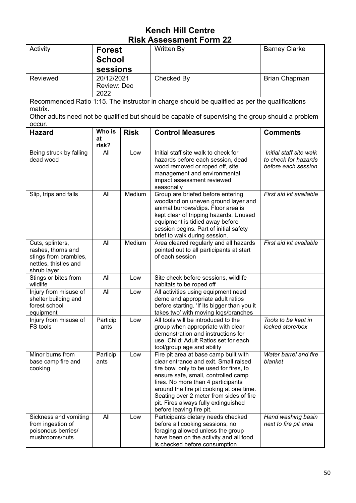| Activity                                                                                                | <b>Forest</b>                     |             | Written By                                                                                                                                                                                                                                                                                                                                                        | <b>Barney Clarke</b>                                                   |  |
|---------------------------------------------------------------------------------------------------------|-----------------------------------|-------------|-------------------------------------------------------------------------------------------------------------------------------------------------------------------------------------------------------------------------------------------------------------------------------------------------------------------------------------------------------------------|------------------------------------------------------------------------|--|
|                                                                                                         | <b>School</b>                     |             |                                                                                                                                                                                                                                                                                                                                                                   |                                                                        |  |
|                                                                                                         | sessions                          |             |                                                                                                                                                                                                                                                                                                                                                                   |                                                                        |  |
| Reviewed                                                                                                | 20/12/2021<br>Review: Dec<br>2022 |             | Checked By                                                                                                                                                                                                                                                                                                                                                        | Brian Chapman                                                          |  |
|                                                                                                         |                                   |             | Recommended Ratio 1:15. The instructor in charge should be qualified as per the qualifications                                                                                                                                                                                                                                                                    |                                                                        |  |
| matrix.                                                                                                 |                                   |             | Other adults need not be qualified but should be capable of supervising the group should a problem                                                                                                                                                                                                                                                                |                                                                        |  |
| occur.                                                                                                  |                                   |             |                                                                                                                                                                                                                                                                                                                                                                   |                                                                        |  |
| <b>Hazard</b>                                                                                           | Who is<br>at<br>risk?             | <b>Risk</b> | <b>Control Measures</b>                                                                                                                                                                                                                                                                                                                                           | <b>Comments</b>                                                        |  |
| Being struck by falling<br>dead wood                                                                    | All                               | Low         | Initial staff site walk to check for<br>hazards before each session, dead<br>wood removed or roped off, site<br>management and environmental<br>impact assessment reviewed<br>seasonally                                                                                                                                                                          | Initial staff site walk<br>to check for hazards<br>before each session |  |
| Slip, trips and falls                                                                                   | All                               | Medium      | Group are briefed before entering<br>woodland on uneven ground layer and<br>animal burrows/dips. Floor area is<br>kept clear of tripping hazards. Unused<br>equipment is tidied away before<br>session begins. Part of initial safety<br>brief to walk during session.                                                                                            | First aid kit available                                                |  |
| Cuts, splinters,<br>rashes, thorns and<br>stings from brambles,<br>nettles, thistles and<br>shrub layer | All                               | Medium      | Area cleared regularly and all hazards<br>pointed out to all participants at start<br>of each session                                                                                                                                                                                                                                                             | First aid kit available                                                |  |
| Stings or bites from<br>wildlife                                                                        | All                               | Low         | Site check before sessions, wildlife<br>habitats to be roped off                                                                                                                                                                                                                                                                                                  |                                                                        |  |
| Injury from misuse of<br>shelter building and<br>forest school<br>equipment                             | All                               | Low         | All activities using equipment need<br>demo and appropriate adult ratios<br>before starting. 'If its bigger than you it<br>takes two' with moving logs/branches                                                                                                                                                                                                   |                                                                        |  |
| Injury from misuse of<br>FS tools                                                                       | Particip<br>ants                  | Low         | All tools will be introduced to the<br>group when appropriate with clear<br>demonstration and instructions for<br>use. Child: Adult Ratios set for each<br>tool/group age and ability                                                                                                                                                                             | Tools to be kept in<br>locked store/box                                |  |
| Minor burns from<br>base camp fire and<br>cooking                                                       | Particip<br>ants                  | Low         | Fire pit area at base camp built with<br>clear entrance and exit. Small raised<br>fire bowl only to be used for fires, to<br>ensure safe, small, controlled camp<br>fires. No more than 4 participants<br>around the fire pit cooking at one time.<br>Seating over 2 meter from sides of fire<br>pit. Fires always fully extinguished<br>before leaving fire pit. | Water barrel and fire<br>blanket                                       |  |
| Sickness and vomiting<br>from ingestion of<br>poisonous berries/<br>mushrooms/nuts                      | All                               | Low         | Participants dietary needs checked<br>before all cooking sessions, no<br>foraging allowed unless the group<br>have been on the activity and all food<br>is checked before consumption                                                                                                                                                                             | Hand washing basin<br>next to fire pit area                            |  |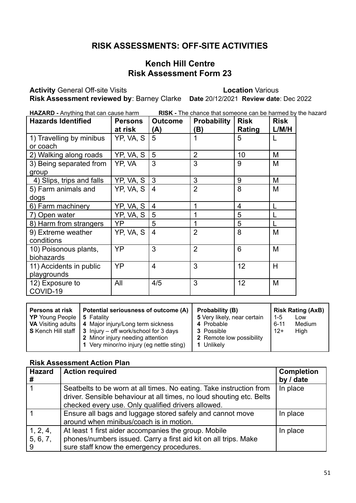#### **RISK ASSESSMENTS: OFF-SITE ACTIVITIES**

#### **Kench Hill Centre Risk Assessment Form 23**

**Activity** General Off-site Visits **Location** Various

**Risk Assessment reviewed by**: Barney Clarke **Date** 20/12/2021 **Review date**: Dec 2022

**HAZARD -** Anything that can cause harm **RISK -** The chance that someone can be harmed by the hazard

| <b>Hazards Identified</b>              | <b>Persons</b><br>at risk | <b>Outcome</b><br>(A) | <b>Probability</b><br>ΈI) | <b>Risk</b><br>Rating | <b>Risk</b><br>L/M/H |
|----------------------------------------|---------------------------|-----------------------|---------------------------|-----------------------|----------------------|
| 1) Travelling by minibus<br>or coach   | YP, VA, S                 | 5                     |                           | 5                     |                      |
| 2) Walking along roads                 | YP, VA, S                 | 5                     | $\overline{2}$            | 10                    | M                    |
| 3) Being separated from<br>group       | YP. VA                    | 3                     | 3                         | 9                     | M                    |
| 4) Slips, trips and falls              | YP, VA, S                 | 3                     | 3                         | 9                     | M                    |
| 5) Farm animals and<br>dogs            | YP, VA, S                 | $\overline{4}$        | $\overline{2}$            | 8                     | M                    |
| 6) Farm machinery                      | YP, VA, S                 | $\overline{4}$        | 1                         | $\overline{4}$        |                      |
| 7) Open water                          | YP, VA, S                 | 5                     | 1                         | 5                     |                      |
| 8) Harm from strangers                 | YP                        | 5                     | 1                         | 5                     |                      |
| 9) Extreme weather<br>conditions       | YP, VA, S                 | $\overline{4}$        | $\overline{2}$            | 8                     | M                    |
| 10) Poisonous plants,<br>biohazards    | YP                        | 3                     | $\overline{2}$            | 6                     | M                    |
| 11) Accidents in public<br>playgrounds | YP                        | $\overline{4}$        | 3                         | 12                    | H                    |
| 12) Exposure to<br>COVID-19            | All                       | 4/5                   | 3                         | 12                    | M                    |

| <b>Persons at risk</b><br><b>YP</b> Young People<br><b>VA</b> Visiting adults | Potential seriousness of outcome (A)<br>5 Fatality<br>4 Major injury/Long term sickness<br><b>S</b> Kench Hill staff $\vert$ 3 Injury – off work/school for 3 days | Probability (B)<br>5 Very likely, near certain<br>4 Probable<br><b>3</b> Possible | $1 - 5$<br>$6 - 11$<br>$12+$ | <b>Risk Rating (AxB)</b><br>Low<br><b>Medium</b><br>High |
|-------------------------------------------------------------------------------|--------------------------------------------------------------------------------------------------------------------------------------------------------------------|-----------------------------------------------------------------------------------|------------------------------|----------------------------------------------------------|
|                                                                               | 2 Minor injury needing attention<br>1 Very minor/no injury (eg nettle sting)                                                                                       | 2 Remote low possibility<br>1 Unlikely                                            |                              |                                                          |

| <b>Hazard</b>             | <b>Action required</b>                                                                                                                                                                            | <b>Completion</b> |
|---------------------------|---------------------------------------------------------------------------------------------------------------------------------------------------------------------------------------------------|-------------------|
| #                         |                                                                                                                                                                                                   | by / date         |
|                           | Seatbelts to be worn at all times. No eating. Take instruction from<br>driver. Sensible behaviour at all times, no loud shouting etc. Belts<br>checked every use. Only qualified drivers allowed. | In place          |
|                           | Ensure all bags and luggage stored safely and cannot move<br>around when minibus/coach is in motion.                                                                                              | In place          |
| 1, 2, 4,<br>5, 6, 7,<br>9 | At least 1 first aider accompanies the group. Mobile<br>phones/numbers issued. Carry a first aid kit on all trips. Make<br>sure staff know the emergency procedures.                              | In place          |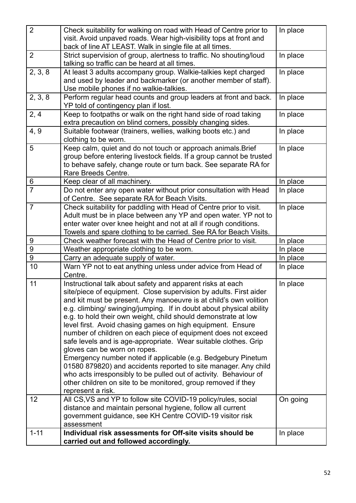| 2              | Check suitability for walking on road with Head of Centre prior to<br>visit. Avoid unpaved roads. Wear high-visibility tops at front and<br>back of line AT LEAST. Walk in single file at all times.                                                                                                                                                                                                                                                                                                                                                                                                                                                                                                                                                                                                                                                                                                                                                                                                                                                                     | In place             |
|----------------|--------------------------------------------------------------------------------------------------------------------------------------------------------------------------------------------------------------------------------------------------------------------------------------------------------------------------------------------------------------------------------------------------------------------------------------------------------------------------------------------------------------------------------------------------------------------------------------------------------------------------------------------------------------------------------------------------------------------------------------------------------------------------------------------------------------------------------------------------------------------------------------------------------------------------------------------------------------------------------------------------------------------------------------------------------------------------|----------------------|
| 2              | Strict supervision of group, alertness to traffic. No shouting/loud<br>talking so traffic can be heard at all times.                                                                                                                                                                                                                                                                                                                                                                                                                                                                                                                                                                                                                                                                                                                                                                                                                                                                                                                                                     | In place             |
| 2, 3, 8        | At least 3 adults accompany group. Walkie-talkies kept charged<br>and used by leader and backmarker (or another member of staff).<br>Use mobile phones if no walkie-talkies.                                                                                                                                                                                                                                                                                                                                                                                                                                                                                                                                                                                                                                                                                                                                                                                                                                                                                             | In place             |
| 2, 3, 8        | Perform regular head counts and group leaders at front and back.<br>YP told of contingency plan if lost.                                                                                                                                                                                                                                                                                                                                                                                                                                                                                                                                                                                                                                                                                                                                                                                                                                                                                                                                                                 | In place             |
| 2, 4           | Keep to footpaths or walk on the right hand side of road taking<br>extra precaution on blind corners, possibly changing sides.                                                                                                                                                                                                                                                                                                                                                                                                                                                                                                                                                                                                                                                                                                                                                                                                                                                                                                                                           | In place             |
| 4, 9           | Suitable footwear (trainers, wellies, walking boots etc.) and<br>clothing to be worn.                                                                                                                                                                                                                                                                                                                                                                                                                                                                                                                                                                                                                                                                                                                                                                                                                                                                                                                                                                                    | In place             |
| 5              | Keep calm, quiet and do not touch or approach animals. Brief<br>group before entering livestock fields. If a group cannot be trusted<br>to behave safely, change route or turn back. See separate RA for<br>Rare Breeds Centre.                                                                                                                                                                                                                                                                                                                                                                                                                                                                                                                                                                                                                                                                                                                                                                                                                                          | In place             |
| 6              | Keep clear of all machinery.                                                                                                                                                                                                                                                                                                                                                                                                                                                                                                                                                                                                                                                                                                                                                                                                                                                                                                                                                                                                                                             | In place             |
| $\overline{7}$ | Do not enter any open water without prior consultation with Head<br>of Centre. See separate RA for Beach Visits.                                                                                                                                                                                                                                                                                                                                                                                                                                                                                                                                                                                                                                                                                                                                                                                                                                                                                                                                                         | In place             |
| $\overline{7}$ | Check suitability for paddling with Head of Centre prior to visit.<br>Adult must be in place between any YP and open water. YP not to<br>enter water over knee height and not at all if rough conditions.<br>Towels and spare clothing to be carried. See RA for Beach Visits.                                                                                                                                                                                                                                                                                                                                                                                                                                                                                                                                                                                                                                                                                                                                                                                           | In place             |
| 9              | Check weather forecast with the Head of Centre prior to visit.                                                                                                                                                                                                                                                                                                                                                                                                                                                                                                                                                                                                                                                                                                                                                                                                                                                                                                                                                                                                           | In place             |
| 9              | Weather appropriate clothing to be worn.                                                                                                                                                                                                                                                                                                                                                                                                                                                                                                                                                                                                                                                                                                                                                                                                                                                                                                                                                                                                                                 | In place             |
| 9              | Carry an adequate supply of water.                                                                                                                                                                                                                                                                                                                                                                                                                                                                                                                                                                                                                                                                                                                                                                                                                                                                                                                                                                                                                                       | In place             |
| 10             | Warn YP not to eat anything unless under advice from Head of<br>Centre.                                                                                                                                                                                                                                                                                                                                                                                                                                                                                                                                                                                                                                                                                                                                                                                                                                                                                                                                                                                                  | In place             |
| 11<br>12       | Instructional talk about safety and apparent risks at each<br>site/piece of equipment. Close supervision by adults. First aider<br>and kit must be present. Any manoeuvre is at child's own volition<br>e.g. climbing/swinging/jumping. If in doubt about physical ability<br>e.g. to hold their own weight, child should demonstrate at low<br>level first. Avoid chasing games on high equipment. Ensure<br>number of children on each piece of equipment does not exceed<br>safe levels and is age-appropriate. Wear suitable clothes. Grip<br>gloves can be worn on ropes.<br>Emergency number noted if applicable (e.g. Bedgebury Pinetum<br>01580 879820) and accidents reported to site manager. Any child<br>who acts irresponsibly to be pulled out of activity. Behaviour of<br>other children on site to be monitored, group removed if they<br>represent a risk.<br>All CS, VS and YP to follow site COVID-19 policy/rules, social<br>distance and maintain personal hygiene, follow all current<br>government guidance, see KH Centre COVID-19 visitor risk | In place<br>On going |
| $1 - 11$       | assessment<br>Individual risk assessments for Off-site visits should be                                                                                                                                                                                                                                                                                                                                                                                                                                                                                                                                                                                                                                                                                                                                                                                                                                                                                                                                                                                                  | In place             |
|                | carried out and followed accordingly.                                                                                                                                                                                                                                                                                                                                                                                                                                                                                                                                                                                                                                                                                                                                                                                                                                                                                                                                                                                                                                    |                      |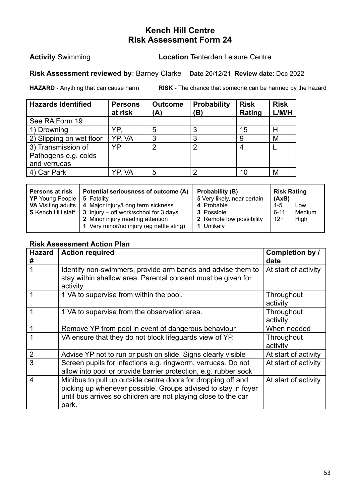#### **Activity** Swimming **Location** Tenterden Leisure Centre

#### **Risk Assessment reviewed by**: Barney Clarke **Date** 20/12/21 **Review date**: Dec 2022

**HAZARD -** Anything that can cause harm **RISK -** The chance that someone can be harmed by the hazard

| <b>Hazards Identified</b> | <b>Persons</b><br>at risk | <b>Outcome</b><br>(A) | Probability<br>(B) | <b>Risk</b><br>Rating | <b>Risk</b><br>L/M/H |
|---------------------------|---------------------------|-----------------------|--------------------|-----------------------|----------------------|
| See RA Form 19            |                           |                       |                    |                       |                      |
| 1) Drowning               | YP.                       | 5                     | 3                  | 15                    | Н                    |
| 2) Slipping on wet floor  | YP. VA                    | ◠                     | 3                  |                       | M                    |
| 3) Transmission of        | YP                        | າ                     | $\overline{2}$     |                       |                      |
| Pathogens e.g. colds      |                           |                       |                    |                       |                      |
| and verrucas              |                           |                       |                    |                       |                      |
| 4) Car Park               | YP. VA                    | 5                     | 2                  | 10                    | M                    |

| <b>Persons at risk</b><br><b>YP</b> Young People   5 Fatality | Potential seriousness of outcome (A)                                    | Probability (B)<br>5 Very likely, near certain | <b>Risk Rating</b><br>(AxB) |        |
|---------------------------------------------------------------|-------------------------------------------------------------------------|------------------------------------------------|-----------------------------|--------|
|                                                               | <b>VA</b> Visiting adults   4 Major injury/Long term sickness           | 4 Probable                                     | $1 - 5$                     | Low    |
|                                                               | <b>S</b> Kench Hill staff $\vert$ 3 Injury – off work/school for 3 days | <b>3</b> Possible                              | $6 - 11$                    | Medium |
|                                                               | 2 Minor injury needing attention                                        | 2 Remote low possibility                       | $12+$                       | High   |
|                                                               | 1 Very minor/no injury (eg nettle sting)                                | 1 Unlikely                                     |                             |        |

| <b>Hazard</b><br># | <b>Action required</b>                                                                                                                                                                                   | Completion by /<br>date |
|--------------------|----------------------------------------------------------------------------------------------------------------------------------------------------------------------------------------------------------|-------------------------|
| 1                  | Identify non-swimmers, provide arm bands and advise them to<br>stay within shallow area. Parental consent must be given for<br>activity                                                                  | At start of activity    |
|                    | 1 VA to supervise from within the pool.                                                                                                                                                                  | Throughout<br>activity  |
| 1                  | 1 VA to supervise from the observation area.                                                                                                                                                             | Throughout<br>activity  |
|                    | Remove YP from pool in event of dangerous behaviour                                                                                                                                                      | When needed             |
|                    | VA ensure that they do not block lifeguards view of YP.                                                                                                                                                  | Throughout<br>activity  |
| $\overline{2}$     | Advise YP not to run or push on slide. Signs clearly visible                                                                                                                                             | At start of activity    |
| 3                  | Screen pupils for infections e.g. ringworm, verrucas. Do not<br>allow into pool or provide barrier protection, e.g. rubber sock                                                                          | At start of activity    |
| $\overline{4}$     | Minibus to pull up outside centre doors for dropping off and<br>picking up whenever possible. Groups advised to stay in foyer<br>until bus arrives so children are not playing close to the car<br>park. | At start of activity    |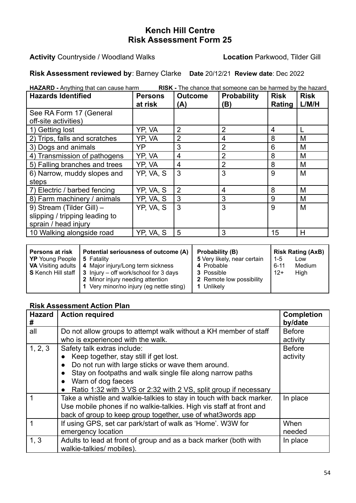**Activity** Countryside / Woodland Walks **Location** Parkwood, Tilder Gill

**Risk Assessment reviewed by**: Barney Clarke **Date** 20/12/21 **Review date**: Dec 2022

**HAZARD -** Anything that can cause harm **RISK -** The chance that someone can be harmed by the hazard

| <b>Hazards Identified</b>      | <b>Persons</b><br>at risk | <b>Outcome</b><br>(A) | <b>Probability</b><br>(B) | <b>Risk</b><br>Rating | <b>Risk</b><br>L/M/H |
|--------------------------------|---------------------------|-----------------------|---------------------------|-----------------------|----------------------|
| See RA Form 17 (General        |                           |                       |                           |                       |                      |
| off-site activities)           |                           |                       |                           |                       |                      |
| 1) Getting lost                | YP, VA                    | 2                     | $\overline{2}$            | 4                     |                      |
| 2) Trips, falls and scratches  | YP, VA                    | 2                     | 4                         | 8                     | M                    |
| 3) Dogs and animals            | <b>YP</b>                 | 3                     | $\overline{2}$            | 6                     | M                    |
| 4) Transmission of pathogens   | YP. VA                    | 4                     | $\overline{2}$            | 8                     | M                    |
| 5) Falling branches and trees  | YP, VA                    | 4                     | $\overline{2}$            | 8                     | M                    |
| 6) Narrow, muddy slopes and    | YP, VA, S                 | 3                     | 3                         | 9                     | M                    |
| steps                          |                           |                       |                           |                       |                      |
| 7) Electric / barbed fencing   | YP, VA, S                 | $\overline{2}$        | 4                         | 8                     | M                    |
| 8) Farm machinery / animals    | YP, VA, S                 | 3                     | 3                         | 9                     | M                    |
| 9) Stream (Tilder Gill) -      | YP, VA, S                 | 3                     | 3                         | 9                     | M                    |
| slipping / tripping leading to |                           |                       |                           |                       |                      |
| sprain / head injury           |                           |                       |                           |                       |                      |
| 10 Walking alongside road      | YP, VA, S                 | 5                     | 3                         | 15                    | H                    |

| Potential seriousness of outcome (A)<br><b>Persons at risk</b><br><b>YP</b> Young People   5 Fatality<br><b>VA</b> Visiting adults   4 Major injury/Long term sickness<br><b>S</b> Kench Hill staff $\vert$ 3 Injury – off work/school for 3 days<br>2 Minor injury needing attention<br>1 Very minor/no injury (eg nettle sting) | Probability (B)<br>5 Very likely, near certain<br>4 Probable<br>3 Possible<br>2 Remote low possibility<br>Unlikely | $1 - 5$<br>$6 - 11$<br>$12+$ | <b>Risk Rating (AxB)</b><br>Low<br>Medium<br>High |
|-----------------------------------------------------------------------------------------------------------------------------------------------------------------------------------------------------------------------------------------------------------------------------------------------------------------------------------|--------------------------------------------------------------------------------------------------------------------|------------------------------|---------------------------------------------------|
|-----------------------------------------------------------------------------------------------------------------------------------------------------------------------------------------------------------------------------------------------------------------------------------------------------------------------------------|--------------------------------------------------------------------------------------------------------------------|------------------------------|---------------------------------------------------|

| <b>Hazard</b><br># | <b>Action required</b>                                               | <b>Completion</b><br>by/date |
|--------------------|----------------------------------------------------------------------|------------------------------|
| all                | Do not allow groups to attempt walk without a KH member of staff     | <b>Before</b>                |
|                    | who is experienced with the walk.                                    | activity                     |
| 1, 2, 3            | Safety talk extras include:                                          | <b>Before</b>                |
|                    | Keep together, stay still if get lost.                               | activity                     |
|                    | Do not run with large sticks or wave them around.                    |                              |
|                    | Stay on footpaths and walk single file along narrow paths            |                              |
|                    | Warn of dog faeces                                                   |                              |
|                    | Ratio 1:32 with 3 VS or 2:32 with 2 VS, split group if necessary     |                              |
|                    | Take a whistle and walkie-talkies to stay in touch with back marker. | In place                     |
|                    | Use mobile phones if no walkie-talkies. High vis staff at front and  |                              |
|                    | back of group to keep group together, use of what3words app          |                              |
|                    | If using GPS, set car park/start of walk as 'Home'. W3W for          | When                         |
|                    | emergency location                                                   | needed                       |
| 1, 3               | Adults to lead at front of group and as a back marker (both with     | In place                     |
|                    | walkie-talkies/ mobiles).                                            |                              |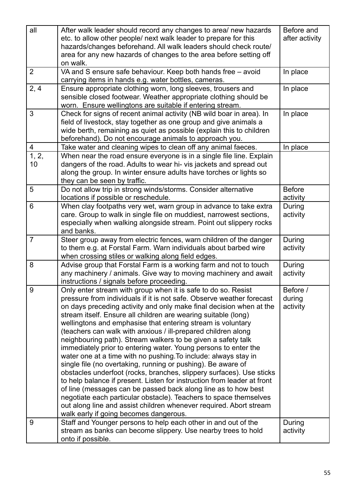| all            | After walk leader should record any changes to area/ new hazards<br>etc. to allow other people/ next walk leader to prepare for this<br>hazards/changes beforehand. All walk leaders should check route/                                                                                                                                                                                                                                                                                                                                                                                                                                                                                                                                                                                                                                                                                                                                                                                                                                                                                        | Before and<br>after activity   |
|----------------|-------------------------------------------------------------------------------------------------------------------------------------------------------------------------------------------------------------------------------------------------------------------------------------------------------------------------------------------------------------------------------------------------------------------------------------------------------------------------------------------------------------------------------------------------------------------------------------------------------------------------------------------------------------------------------------------------------------------------------------------------------------------------------------------------------------------------------------------------------------------------------------------------------------------------------------------------------------------------------------------------------------------------------------------------------------------------------------------------|--------------------------------|
|                | area for any new hazards of changes to the area before setting off<br>on walk.                                                                                                                                                                                                                                                                                                                                                                                                                                                                                                                                                                                                                                                                                                                                                                                                                                                                                                                                                                                                                  |                                |
| $\overline{2}$ | VA and S ensure safe behaviour. Keep both hands free - avoid<br>carrying items in hands e.g. water bottles, cameras.                                                                                                                                                                                                                                                                                                                                                                                                                                                                                                                                                                                                                                                                                                                                                                                                                                                                                                                                                                            | In place                       |
| 2, 4           | Ensure appropriate clothing worn, long sleeves, trousers and<br>sensible closed footwear. Weather appropriate clothing should be<br>worn. Ensure wellingtons are suitable if entering stream.                                                                                                                                                                                                                                                                                                                                                                                                                                                                                                                                                                                                                                                                                                                                                                                                                                                                                                   | In place                       |
| 3              | Check for signs of recent animal activity (NB wild boar in area). In<br>field of livestock, stay together as one group and give animals a<br>wide berth, remaining as quiet as possible (explain this to children<br>beforehand). Do not encourage animals to approach you.                                                                                                                                                                                                                                                                                                                                                                                                                                                                                                                                                                                                                                                                                                                                                                                                                     | In place                       |
| $\overline{4}$ | Take water and cleaning wipes to clean off any animal faeces.                                                                                                                                                                                                                                                                                                                                                                                                                                                                                                                                                                                                                                                                                                                                                                                                                                                                                                                                                                                                                                   | In place                       |
| 1, 2,<br>10    | When near the road ensure everyone is in a single file line. Explain<br>dangers of the road. Adults to wear hi- vis jackets and spread out<br>along the group. In winter ensure adults have torches or lights so<br>they can be seen by traffic.                                                                                                                                                                                                                                                                                                                                                                                                                                                                                                                                                                                                                                                                                                                                                                                                                                                |                                |
| 5              | Do not allow trip in strong winds/storms. Consider alternative<br>locations if possible or reschedule.                                                                                                                                                                                                                                                                                                                                                                                                                                                                                                                                                                                                                                                                                                                                                                                                                                                                                                                                                                                          | <b>Before</b><br>activity      |
| 6              | When clay footpaths very wet, warn group in advance to take extra<br>care. Group to walk in single file on muddiest, narrowest sections,<br>especially when walking alongside stream. Point out slippery rocks<br>and banks.                                                                                                                                                                                                                                                                                                                                                                                                                                                                                                                                                                                                                                                                                                                                                                                                                                                                    | During<br>activity             |
| $\overline{7}$ | Steer group away from electric fences, warn children of the danger<br>to them e.g. at Forstal Farm. Warn individuals about barbed wire<br>when crossing stiles or walking along field edges.                                                                                                                                                                                                                                                                                                                                                                                                                                                                                                                                                                                                                                                                                                                                                                                                                                                                                                    | During<br>activity             |
| 8              | Advise group that Forstal Farm is a working farm and not to touch<br>any machinery / animals. Give way to moving machinery and await<br>instructions / signals before proceeding.                                                                                                                                                                                                                                                                                                                                                                                                                                                                                                                                                                                                                                                                                                                                                                                                                                                                                                               | During<br>activity             |
| 9              | Only enter stream with group when it is safe to do so. Resist<br>pressure from individuals if it is not safe. Observe weather forecast<br>on days preceding activity and only make final decision when at the<br>stream itself. Ensure all children are wearing suitable (long)<br>wellingtons and emphasise that entering stream is voluntary<br>(teachers can walk with anxious / ill-prepared children along<br>neighbouring path). Stream walkers to be given a safety talk<br>immediately prior to entering water. Young persons to enter the<br>water one at a time with no pushing. To include: always stay in<br>single file (no overtaking, running or pushing). Be aware of<br>obstacles underfoot (rocks, branches, slippery surfaces). Use sticks<br>to help balance if present. Listen for instruction from leader at front<br>of line (messages can be passed back along line as to how best<br>negotiate each particular obstacle). Teachers to space themselves<br>out along line and assist children whenever required. Abort stream<br>walk early if going becomes dangerous. | Before /<br>during<br>activity |
| 9              | Staff and Younger persons to help each other in and out of the<br>stream as banks can become slippery. Use nearby trees to hold<br>onto if possible.                                                                                                                                                                                                                                                                                                                                                                                                                                                                                                                                                                                                                                                                                                                                                                                                                                                                                                                                            | During<br>activity             |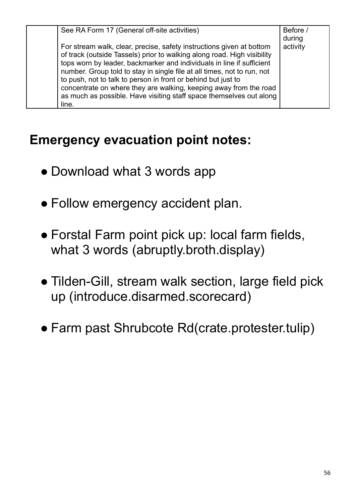| See RA Form 17 (General off-site activities)                            | Before / |
|-------------------------------------------------------------------------|----------|
|                                                                         | during   |
| For stream walk, clear, precise, safety instructions given at bottom    | activity |
| of track (outside Tassels) prior to walking along road. High visibility |          |
| tops worn by leader, backmarker and individuals in line if sufficient   |          |
| number. Group told to stay in single file at all times, not to run, not |          |
| to push, not to talk to person in front or behind but just to           |          |
| concentrate on where they are walking, keeping away from the road       |          |
| as much as possible. Have visiting staff space themselves out along     |          |
| line.                                                                   |          |

## **Emergency evacuation point notes:**

- Download what 3 words app
- Follow emergency accident plan.
- Forstal Farm point pick up: local farm fields, what 3 words (abruptly.broth.display)
- Tilden-Gill, stream walk section, large field pick up (introduce.disarmed.scorecard)
- Farm past Shrubcote Rd(crate.protester.tulip)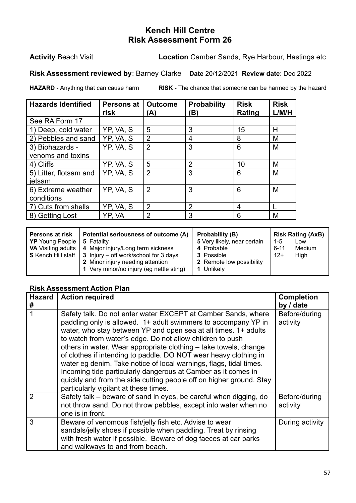**Activity** Beach Visit **Location** Camber Sands, Rye Harbour, Hastings etc

**Risk Assessment reviewed by**: Barney Clarke **Date** 20/12/2021 **Review date**: Dec 2022

**HAZARD -** Anything that can cause harm **RISK -** The chance that someone can be harmed by the hazard

| <b>Hazards Identified</b> | <b>Persons at</b><br>risk | <b>Outcome</b><br>(A) | <b>Probability</b><br>(B) | <b>Risk</b><br>Rating | <b>Risk</b><br>L/M/H |
|---------------------------|---------------------------|-----------------------|---------------------------|-----------------------|----------------------|
| See RA Form 17            |                           |                       |                           |                       |                      |
| 1) Deep, cold water       | YP, VA, S                 | 5                     | 3                         | 15                    | Н                    |
| 2) Pebbles and sand       | YP, VA, S                 | $\overline{2}$        | 4                         | 8                     | M                    |
| 3) Biohazards -           | YP, VA, S                 | $\overline{2}$        | 3                         | 6                     | M                    |
| venoms and toxins         |                           |                       |                           |                       |                      |
| 4) Cliffs                 | YP, VA, S                 | 5                     | 2                         | 10                    | M                    |
| 5) Litter, flotsam and    | YP, VA, S                 | $\overline{2}$        | 3                         | 6                     | M                    |
| ietsam                    |                           |                       |                           |                       |                      |
| 6) Extreme weather        | YP, VA, S                 | $\overline{2}$        | 3                         | 6                     | M                    |
| conditions                |                           |                       |                           |                       |                      |
| 7) Cuts from shells       | YP, VA, S                 | 2                     | 2                         | 4                     |                      |
| 8) Getting Lost           | YP, VA                    | 2                     | 3                         | 6                     | M                    |

| <b>Persons at risk</b><br>YP Young People<br><b>VA</b> Visiting adults | Potential seriousness of outcome (A)<br>5 Fatality<br>4 Major injury/Long term sickness<br>$\mid$ S Kench Hill staff $\mid$ 3 Injury – off work/school for 3 days<br>2 Minor injury needing attention<br>1 Very minor/no injury (eg nettle sting) | Probability (B)<br>5 Very likely, near certain<br>4 Probable<br><b>3</b> Possible<br>2 Remote low possibility<br>1 Unlikely | 1-5<br>6-11<br>$12+$ | <b>Risk Rating (AxB)</b><br>Low<br>Medium<br>High |
|------------------------------------------------------------------------|---------------------------------------------------------------------------------------------------------------------------------------------------------------------------------------------------------------------------------------------------|-----------------------------------------------------------------------------------------------------------------------------|----------------------|---------------------------------------------------|
|                                                                        |                                                                                                                                                                                                                                                   |                                                                                                                             |                      |                                                   |

| <b>Hazard</b><br># | <b>Action required</b>                                                                                                                                                                                                                                                                                                                                                                                                                                                                                                                                                                                                                                         | <b>Completion</b><br>by / date |
|--------------------|----------------------------------------------------------------------------------------------------------------------------------------------------------------------------------------------------------------------------------------------------------------------------------------------------------------------------------------------------------------------------------------------------------------------------------------------------------------------------------------------------------------------------------------------------------------------------------------------------------------------------------------------------------------|--------------------------------|
|                    | Safety talk. Do not enter water EXCEPT at Camber Sands, where<br>paddling only is allowed. 1+ adult swimmers to accompany YP in<br>water, who stay between YP and open sea at all times. 1+ adults<br>to watch from water's edge. Do not allow children to push<br>others in water. Wear appropriate clothing - take towels, change<br>of clothes if intending to paddle. DO NOT wear heavy clothing in<br>water eg denim. Take notice of local warnings, flags, tidal times.<br>Incoming tide particularly dangerous at Camber as it comes in<br>quickly and from the side cutting people off on higher ground. Stay<br>particularly vigilant at these times. | Before/during<br>activity      |
| 2                  | Safety talk - beware of sand in eyes, be careful when digging, do<br>not throw sand. Do not throw pebbles, except into water when no<br>one is in front.                                                                                                                                                                                                                                                                                                                                                                                                                                                                                                       | Before/during<br>activity      |
| 3                  | Beware of venomous fish/jelly fish etc. Advise to wear<br>sandals/jelly shoes if possible when paddling. Treat by rinsing<br>with fresh water if possible. Beware of dog faeces at car parks<br>and walkways to and from beach.                                                                                                                                                                                                                                                                                                                                                                                                                                | During activity                |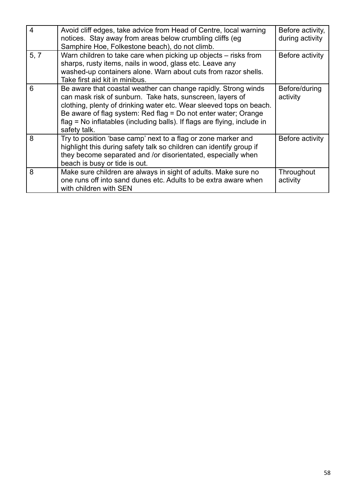| 4    | Avoid cliff edges, take advice from Head of Centre, local warning<br>notices. Stay away from areas below crumbling cliffs (eg)<br>Samphire Hoe, Folkestone beach), do not climb.                                                                                                                                                                                 | Before activity,<br>during activity |
|------|------------------------------------------------------------------------------------------------------------------------------------------------------------------------------------------------------------------------------------------------------------------------------------------------------------------------------------------------------------------|-------------------------------------|
| 5, 7 | Warn children to take care when picking up objects – risks from<br>sharps, rusty items, nails in wood, glass etc. Leave any<br>washed-up containers alone. Warn about cuts from razor shells.<br>Take first aid kit in minibus.                                                                                                                                  | Before activity                     |
| 6    | Be aware that coastal weather can change rapidly. Strong winds<br>can mask risk of sunburn. Take hats, sunscreen, layers of<br>clothing, plenty of drinking water etc. Wear sleeved tops on beach.<br>Be aware of flag system: Red flag = Do not enter water; Orange<br>flag = No inflatables (including balls). If flags are flying, include in<br>safety talk. | Before/during<br>activity           |
| 8    | Try to position 'base camp' next to a flag or zone marker and<br>highlight this during safety talk so children can identify group if<br>they become separated and /or disorientated, especially when<br>beach is busy or tide is out.                                                                                                                            | Before activity                     |
| 8    | Make sure children are always in sight of adults. Make sure no<br>one runs off into sand dunes etc. Adults to be extra aware when<br>with children with SEN                                                                                                                                                                                                      | Throughout<br>activity              |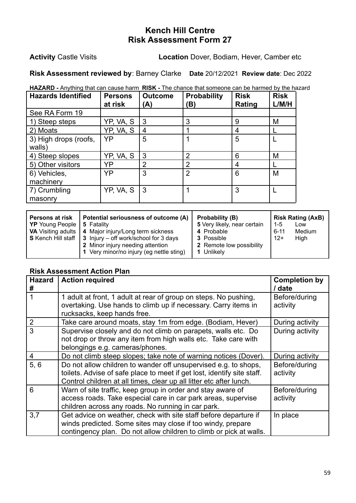**Activity** Castle Visits **Location** Dover, Bodiam, Hever, Camber etc

**Risk Assessment reviewed by**: Barney Clarke **Date** 20/12/2021 **Review date**: Dec 2022

| <b>HAZARD</b> - Anything that can cause harm RISK - The chance that someone can be harmed by the hazard |  |  |  |
|---------------------------------------------------------------------------------------------------------|--|--|--|
|                                                                                                         |  |  |  |

| <b>Hazards Identified</b> | <b>Persons</b><br>at risk | <b>Outcome</b><br>(A) | <b>Probability</b><br>B) | <b>Risk</b><br>Rating | <b>Risk</b><br>L/M/H |
|---------------------------|---------------------------|-----------------------|--------------------------|-----------------------|----------------------|
| See RA Form 19            |                           |                       |                          |                       |                      |
| 1) Steep steps            | YP, VA, S                 | 3                     | 3                        | 9                     | M                    |
| 2) Moats                  | YP, VA, S                 | 4                     |                          | 4                     |                      |
| 3) High drops (roofs,     | YP                        | 5                     |                          | 5                     |                      |
| walls)                    |                           |                       |                          |                       |                      |
| 4) Steep slopes           | YP, VA, S                 | 3                     | $\overline{2}$           | 6                     | M                    |
| 5) Other visitors         | YP                        | $\overline{2}$        | $\overline{2}$           | 4                     |                      |
| 6) Vehicles,              | YP                        | 3                     | $\overline{2}$           | 6                     | M                    |
| machinery                 |                           |                       |                          |                       |                      |
| 7) Crumbling              | YP, VA, S                 | 3                     |                          | 3                     |                      |
| masonry                   |                           |                       |                          |                       |                      |

| Persons at risk<br><b>YP</b> Young People<br><b>VA</b> Visiting adults | Potential seriousness of outcome (A)<br>5 Fatality<br>4 Major injury/Long term sickness<br><b>S</b> Kench Hill staff $\vert$ 3 Injury – off work/school for 3 days<br>2 Minor injury needing attention | Probability (B)<br>5 Very likely, near certain<br>4 Probable<br><b>3</b> Possible<br>2 Remote low possibility | 1-5<br>$6 - 11$<br>$12+$ | <b>Risk Rating (AxB)</b><br>Low<br><b>Medium</b><br>High |
|------------------------------------------------------------------------|--------------------------------------------------------------------------------------------------------------------------------------------------------------------------------------------------------|---------------------------------------------------------------------------------------------------------------|--------------------------|----------------------------------------------------------|
|                                                                        | 1 Very minor/no injury (eg nettle sting)                                                                                                                                                               | 1 Unlikely                                                                                                    |                          |                                                          |

| <b>Hazard</b><br># | <b>Action required</b>                                                                                                                                                                                            | <b>Completion by</b><br>/ date |
|--------------------|-------------------------------------------------------------------------------------------------------------------------------------------------------------------------------------------------------------------|--------------------------------|
|                    | 1 adult at front, 1 adult at rear of group on steps. No pushing,<br>overtaking. Use hands to climb up if necessary. Carry items in<br>rucksacks, keep hands free.                                                 | Before/during<br>activity      |
| $\overline{2}$     | Take care around moats, stay 1m from edge. (Bodiam, Hever)                                                                                                                                                        | During activity                |
| 3                  | Supervise closely and do not climb on parapets, walls etc. Do<br>not drop or throw any item from high walls etc. Take care with<br>belongings e.g. cameras/phones.                                                | During activity                |
| 4                  | Do not climb steep slopes; take note of warning notices (Dover).                                                                                                                                                  | During activity                |
| 5, 6               | Do not allow children to wander off unsupervised e.g. to shops,<br>toilets. Advise of safe place to meet if get lost, identify site staff.<br>Control children at all times, clear up all litter etc after lunch. | Before/during<br>activity      |
| 6                  | Warn of site traffic, keep group in order and stay aware of<br>access roads. Take especial care in car park areas, supervise<br>children across any roads. No running in car park.                                | Before/during<br>activity      |
| 3,7                | Get advice on weather, check with site staff before departure if<br>winds predicted. Some sites may close if too windy, prepare<br>contingency plan. Do not allow children to climb or pick at walls.             | In place                       |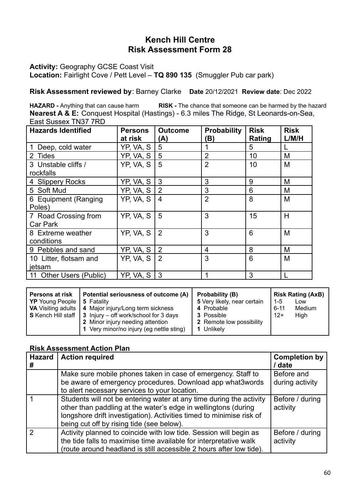**Activity:** Geography GCSE Coast Visit

**Location:** Fairlight Cove / Pett Level – **TQ 890 135** (Smuggler Pub car park)

**Risk Assessment reviewed by**: Barney Clarke **Date** 20/12/2021 **Review date**: Dec 2022

**HAZARD -** Anything that can cause harm **RISK -** The chance that someone can be harmed by the hazard **Nearest A & E:** Conquest Hospital (Hastings) - 6.3 miles The Ridge, St Leonards-on-Sea, East Sussex TN37 7RD

| <b>Hazards Identified</b>        | <b>Persons</b><br>at risk | <b>Outcome</b><br>(A) | <b>Probability</b><br>(B) | <b>Risk</b><br>Rating | <b>Risk</b><br>L/M/H |
|----------------------------------|---------------------------|-----------------------|---------------------------|-----------------------|----------------------|
| Deep, cold water                 | YP, VA, S                 | 5                     |                           | 5                     |                      |
| 2 Tides                          | YP, VA, S                 | 5                     | $\overline{2}$            | 10                    | M                    |
| 3 Unstable cliffs /<br>rockfalls | YP, VA, S                 | 5                     | $\overline{2}$            | 10                    | M                    |
| 4 Slippery Rocks                 | YP, VA, S                 | 3                     | 3                         | 9                     | M                    |
| 5 Soft Mud                       | YP, VA, S                 | 2                     | 3                         | 6                     | M                    |
| 6 Equipment (Ranging<br>Poles)   | YP, VA, S                 | $\overline{4}$        | $\overline{2}$            | 8                     | M                    |
| 7 Road Crossing from<br>Car Park | YP, VA, S                 | 5                     | 3                         | 15                    | H                    |
| 8 Extreme weather<br>conditions  | YP, VA, S                 | 2                     | 3                         | 6                     | M                    |
| 9 Pebbles and sand               | YP, VA, S                 | $\sqrt{2}$            | 4                         | 8                     | M                    |
| 10 Litter, flotsam and<br>jetsam | YP, VA, S                 | $\overline{2}$        | 3                         | 6                     | M                    |
| 11 Other Users (Public)          | YP, VA, S                 | l 3                   | 1                         | 3                     |                      |

| <b>Hazard</b><br># | <b>Action required</b>                                                                                                                                                                                                                                     | <b>Completion by</b><br>/ date |
|--------------------|------------------------------------------------------------------------------------------------------------------------------------------------------------------------------------------------------------------------------------------------------------|--------------------------------|
|                    | Make sure mobile phones taken in case of emergency. Staff to<br>be aware of emergency procedures. Download app what3words                                                                                                                                  | Before and<br>during activity  |
|                    | to alert necessary services to your location.                                                                                                                                                                                                              |                                |
|                    | Students will not be entering water at any time during the activity<br>other than paddling at the water's edge in wellingtons (during<br>longshore drift investigation). Activities timed to minimise risk of<br>being cut off by rising tide (see below). | Before / during<br>activity    |
|                    | Activity planned to coincide with low tide. Session will begin as<br>the tide falls to maximise time available for interpretative walk<br>(route around headland is still accessible 2 hours after low tide).                                              | Before / during<br>activity    |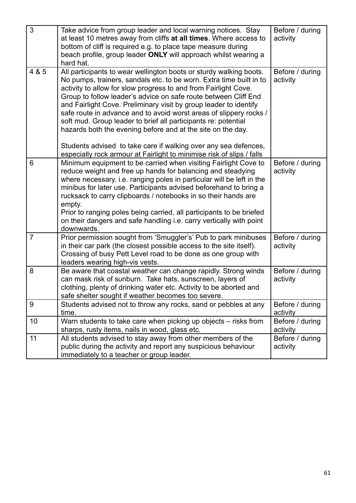| 3              | Take advice from group leader and local warning notices. Stay<br>at least 10 metres away from cliffs at all times. Where access to<br>bottom of cliff is required e.g. to place tape measure during<br>beach profile, group leader ONLY will approach whilst wearing a<br>hard hat.                                                                                                                                                                                                                                                                                                                                            | Before / during<br>activity |
|----------------|--------------------------------------------------------------------------------------------------------------------------------------------------------------------------------------------------------------------------------------------------------------------------------------------------------------------------------------------------------------------------------------------------------------------------------------------------------------------------------------------------------------------------------------------------------------------------------------------------------------------------------|-----------------------------|
| 4 & 5          | All participants to wear wellington boots or sturdy walking boots.<br>No pumps, trainers, sandals etc. to be worn. Extra time built in to<br>activity to allow for slow progress to and from Fairlight Cove.<br>Group to follow leader's advice on safe route between Cliff End<br>and Fairlight Cove. Preliminary visit by group leader to identify<br>safe route in advance and to avoid worst areas of slippery rocks /<br>soft mud. Group leader to brief all participants re: potential<br>hazards both the evening before and at the site on the day.<br>Students advised to take care if walking over any sea defences, | Before / during<br>activity |
| 6              | especially rock armour at Fairlight to minimise risk of slips / falls<br>Minimum equipment to be carried when visiting Fairlight Cove to<br>reduce weight and free up hands for balancing and steadying<br>where necessary. i.e. ranging poles in particular will be left in the<br>minibus for later use. Participants advised beforehand to bring a<br>rucksack to carry clipboards / notebooks in so their hands are<br>empty.<br>Prior to ranging poles being carried, all participants to be briefed<br>on their dangers and safe handling i.e. carry vertically with point<br>downwards.                                 | Before / during<br>activity |
| $\overline{7}$ | Prior permission sought from 'Smuggler's' Pub to park minibuses<br>in their car park (the closest possible access to the site itself).<br>Crossing of busy Pett Level road to be done as one group with<br>leaders wearing high-vis vests.                                                                                                                                                                                                                                                                                                                                                                                     | Before / during<br>activity |
| 8              | Be aware that coastal weather can change rapidly. Strong winds<br>can mask risk of sunburn. Take hats, sunscreen, layers of<br>clothing, plenty of drinking water etc. Activity to be aborted and<br>safe shelter sought if weather becomes too severe.                                                                                                                                                                                                                                                                                                                                                                        | Before / during<br>activity |
| 9              | Students advised not to throw any rocks, sand or pebbles at any<br>time.                                                                                                                                                                                                                                                                                                                                                                                                                                                                                                                                                       | Before / during<br>activity |
| 10             | Warn students to take care when picking up objects – risks from<br>sharps, rusty items, nails in wood, glass etc.                                                                                                                                                                                                                                                                                                                                                                                                                                                                                                              | Before / during<br>activity |
| 11             | All students advised to stay away from other members of the<br>public during the activity and report any suspicious behaviour<br>immediately to a teacher or group leader.                                                                                                                                                                                                                                                                                                                                                                                                                                                     | Before / during<br>activity |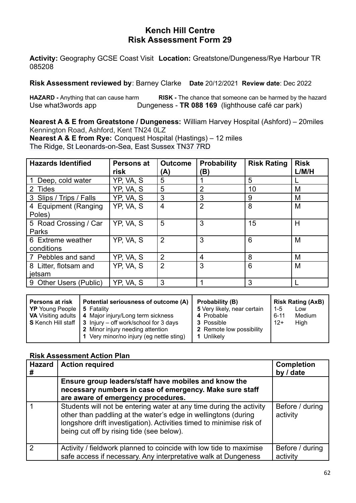**Activity:** Geography GCSE Coast Visit **Location:** Greatstone/Dungeness/Rye Harbour TR 085208

**Risk Assessment reviewed by**: Barney Clarke **Date** 20/12/2021 **Review date**: Dec 2022

**HAZARD -** Anything that can cause harm **RISK -** The chance that someone can be harmed by the hazard Use what3words app **Dungeness - TR 088 169** (lighthouse café car park)

**Nearest A & E from Greatstone / Dungeness:** William Harvey Hospital (Ashford) – 20miles Kennington Road, Ashford, Kent TN24 0LZ **Nearest A & E from Rye:** Conquest Hospital (Hastings) – 12 miles

The Ridge, St Leonards-on-Sea, East Sussex TN37 7RD

| <b>Hazards Identified</b>       | <b>Persons at</b><br>risk | <b>Outcome</b><br>(A) | <b>Probability</b><br>(B) | <b>Risk Rating</b> | <b>Risk</b><br>L/M/H |
|---------------------------------|---------------------------|-----------------------|---------------------------|--------------------|----------------------|
| Deep, cold water                | YP, VA, S                 | 5                     |                           | 5                  |                      |
| 2 Tides                         | YP, VA, S                 | 5                     | 2                         | 10                 | M                    |
| 3 Slips / Trips / Falls         | YP, VA, S                 | 3                     | 3                         | 9                  | M                    |
| 4 Equipment (Ranging<br>Poles)  | YP, VA, S                 | 4                     | $\overline{2}$            | 8                  | M                    |
| 5 Road Crossing / Car<br>Parks  | YP, VA, S                 | 5                     | 3                         | 15                 | Н                    |
| 6 Extreme weather<br>conditions | YP, VA, S                 | $\overline{2}$        | 3                         | 6                  | M                    |
| 7 Pebbles and sand              | YP, VA, S                 | $\overline{2}$        | 4                         | 8                  | M                    |
| 8 Litter, flotsam and<br>ietsam | YP, VA, S                 | $\overline{2}$        | 3                         | 6                  | M                    |
| 9 Other Users (Public)          | YP, VA, S                 | 3                     |                           | 3                  |                      |

| <b>Persons at risk</b><br><b>YP</b> Young People   5 Fatality | Potential seriousness of outcome (A)<br><b>VA</b> Visiting adults   4 Major injury/Long term sickness<br><b>S</b> Kench Hill staff $\vert$ 3 Injury – off work/school for 3 days<br>2 Minor injury needing attention | Probability (B)<br>5 Very likely, near certain<br>4 Probable<br><b>3</b> Possible<br>2 Remote low possibility | $1 - 5$<br>$6 - 11$<br>$12+$ | <b>Risk Rating (AxB)</b><br>Low<br>Medium<br>High |
|---------------------------------------------------------------|----------------------------------------------------------------------------------------------------------------------------------------------------------------------------------------------------------------------|---------------------------------------------------------------------------------------------------------------|------------------------------|---------------------------------------------------|
|                                                               | 1 Very minor/no injury (eg nettle sting)                                                                                                                                                                             | 1 Unlikely                                                                                                    |                              |                                                   |

| <b>Hazard</b> | <b>Action required</b>                                                                                                                                                                                                                                     | <b>Completion</b><br>by / date |
|---------------|------------------------------------------------------------------------------------------------------------------------------------------------------------------------------------------------------------------------------------------------------------|--------------------------------|
|               | Ensure group leaders/staff have mobiles and know the<br>necessary numbers in case of emergency. Make sure staff<br>are aware of emergency procedures.                                                                                                      |                                |
|               | Students will not be entering water at any time during the activity<br>other than paddling at the water's edge in wellingtons (during<br>longshore drift investigation). Activities timed to minimise risk of<br>being cut off by rising tide (see below). | Before / during<br>activity    |
|               | Activity / fieldwork planned to coincide with low tide to maximise<br>safe access if necessary. Any interpretative walk at Dungeness                                                                                                                       | Before / during<br>activity    |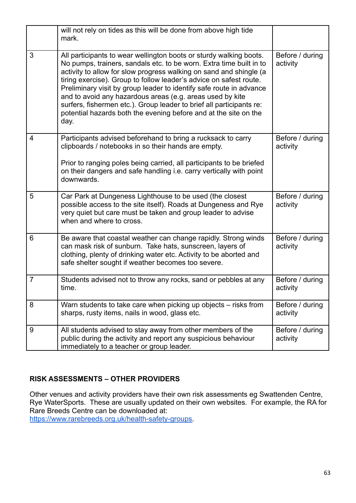|                | will not rely on tides as this will be done from above high tide<br>mark.                                                                                                                                                                                                                                                                                                                                                                                                                                                                                                     |                             |
|----------------|-------------------------------------------------------------------------------------------------------------------------------------------------------------------------------------------------------------------------------------------------------------------------------------------------------------------------------------------------------------------------------------------------------------------------------------------------------------------------------------------------------------------------------------------------------------------------------|-----------------------------|
| 3              | All participants to wear wellington boots or sturdy walking boots.<br>No pumps, trainers, sandals etc. to be worn. Extra time built in to<br>activity to allow for slow progress walking on sand and shingle (a<br>tiring exercise). Group to follow leader's advice on safest route.<br>Preliminary visit by group leader to identify safe route in advance<br>and to avoid any hazardous areas (e.g. areas used by kite<br>surfers, fishermen etc.). Group leader to brief all participants re:<br>potential hazards both the evening before and at the site on the<br>day. | Before / during<br>activity |
| $\overline{4}$ | Participants advised beforehand to bring a rucksack to carry<br>clipboards / notebooks in so their hands are empty.<br>Prior to ranging poles being carried, all participants to be briefed<br>on their dangers and safe handling i.e. carry vertically with point<br>downwards.                                                                                                                                                                                                                                                                                              | Before / during<br>activity |
| 5              | Car Park at Dungeness Lighthouse to be used (the closest<br>possible access to the site itself). Roads at Dungeness and Rye<br>very quiet but care must be taken and group leader to advise<br>when and where to cross.                                                                                                                                                                                                                                                                                                                                                       | Before / during<br>activity |
| 6              | Be aware that coastal weather can change rapidly. Strong winds<br>can mask risk of sunburn. Take hats, sunscreen, layers of<br>clothing, plenty of drinking water etc. Activity to be aborted and<br>safe shelter sought if weather becomes too severe.                                                                                                                                                                                                                                                                                                                       | Before / during<br>activity |
| 7              | Students advised not to throw any rocks, sand or pebbles at any<br>time.                                                                                                                                                                                                                                                                                                                                                                                                                                                                                                      | Before / during<br>activity |
| 8              | Warn students to take care when picking up objects – risks from<br>sharps, rusty items, nails in wood, glass etc.                                                                                                                                                                                                                                                                                                                                                                                                                                                             | Before / during<br>activity |
| 9              | All students advised to stay away from other members of the<br>public during the activity and report any suspicious behaviour<br>immediately to a teacher or group leader.                                                                                                                                                                                                                                                                                                                                                                                                    | Before / during<br>activity |

#### **RISK ASSESSMENTS – OTHER PROVIDERS**

Other venues and activity providers have their own risk assessments eg Swattenden Centre, Rye WaterSports. These are usually updated on their own websites. For example, the RA for Rare Breeds Centre can be downloaded at:

[https://www.rarebreeds.org.uk/health-safety-groups.](https://www.rarebreeds.org.uk/health-safety-groups)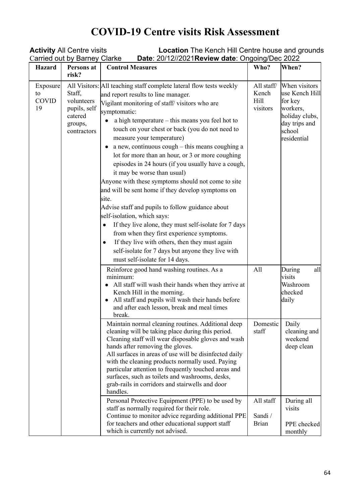## **COVID-19 Centre visits Risk Assessment**

| <b>Activity All Centre visits</b><br><b>Location</b> The Kench Hill Centre house and grounds<br>Carried out by Barney Clarke |                                                                           |                                                                                                                                                                                                                                                                                                                                                                                                                                                                                                                                                                                                                                                                                                                                                                                                                                                                                                                                                                  |                                         |                                                                                                                    |  |
|------------------------------------------------------------------------------------------------------------------------------|---------------------------------------------------------------------------|------------------------------------------------------------------------------------------------------------------------------------------------------------------------------------------------------------------------------------------------------------------------------------------------------------------------------------------------------------------------------------------------------------------------------------------------------------------------------------------------------------------------------------------------------------------------------------------------------------------------------------------------------------------------------------------------------------------------------------------------------------------------------------------------------------------------------------------------------------------------------------------------------------------------------------------------------------------|-----------------------------------------|--------------------------------------------------------------------------------------------------------------------|--|
| <b>Hazard</b>                                                                                                                | Persons at<br>risk?                                                       | Date: 20/12//2021 Review date: Ongoing/Dec 2022<br><b>Control Measures</b>                                                                                                                                                                                                                                                                                                                                                                                                                                                                                                                                                                                                                                                                                                                                                                                                                                                                                       | Who?                                    | When?                                                                                                              |  |
| Exposure<br>to<br><b>COVID</b><br>19                                                                                         | Staff,<br>volunteers<br>pupils, self<br>catered<br>groups,<br>contractors | All Visitors: All teaching staff complete lateral flow tests weekly<br>and report results to line manager.<br>Vigilant monitoring of staff/visitors who are<br>symptomatic:<br>a high temperature – this means you feel hot to<br>touch on your chest or back (you do not need to<br>measure your temperature)<br>a new, continuous cough – this means coughing a<br>lot for more than an hour, or 3 or more coughing<br>episodes in 24 hours (if you usually have a cough,<br>it may be worse than usual)<br>Anyone with these symptoms should not come to site<br>and will be sent home if they develop symptoms on<br>site.<br>Advise staff and pupils to follow guidance about<br>self-isolation, which says:<br>If they live alone, they must self-isolate for 7 days<br>from when they first experience symptoms.<br>If they live with others, then they must again<br>self-isolate for 7 days but anyone they live with<br>must self-isolate for 14 days. | All staff/<br>Kench<br>Hill<br>visitors | When visitors<br>use Kench Hill<br>for key<br>workers,<br>holiday clubs,<br>day trips and<br>school<br>residential |  |
|                                                                                                                              |                                                                           | Reinforce good hand washing routines. As a<br>minimum:<br>All staff will wash their hands when they arrive at<br>Kench Hill in the morning.<br>All staff and pupils will wash their hands before<br>and after each lesson, break and meal times<br>break.                                                                                                                                                                                                                                                                                                                                                                                                                                                                                                                                                                                                                                                                                                        | All                                     | all<br>During<br>visits<br>Washroom<br>checked<br>daily                                                            |  |
|                                                                                                                              |                                                                           | Maintain normal cleaning routines. Additional deep<br>cleaning will be taking place during this period.<br>Cleaning staff will wear disposable gloves and wash<br>hands after removing the gloves.<br>All surfaces in areas of use will be disinfected daily<br>with the cleaning products normally used. Paying<br>particular attention to frequently touched areas and<br>surfaces, such as toilets and washrooms, desks,<br>grab-rails in corridors and stairwells and door<br>handles.                                                                                                                                                                                                                                                                                                                                                                                                                                                                       | Domestic<br>staff                       | Daily<br>cleaning and<br>weekend<br>deep clean                                                                     |  |
|                                                                                                                              |                                                                           | Personal Protective Equipment (PPE) to be used by<br>staff as normally required for their role.<br>Continue to monitor advice regarding additional PPE<br>for teachers and other educational support staff<br>which is currently not advised.                                                                                                                                                                                                                                                                                                                                                                                                                                                                                                                                                                                                                                                                                                                    | All staff<br>Sandi /<br><b>Brian</b>    | During all<br>visits<br>PPE checked<br>monthly                                                                     |  |